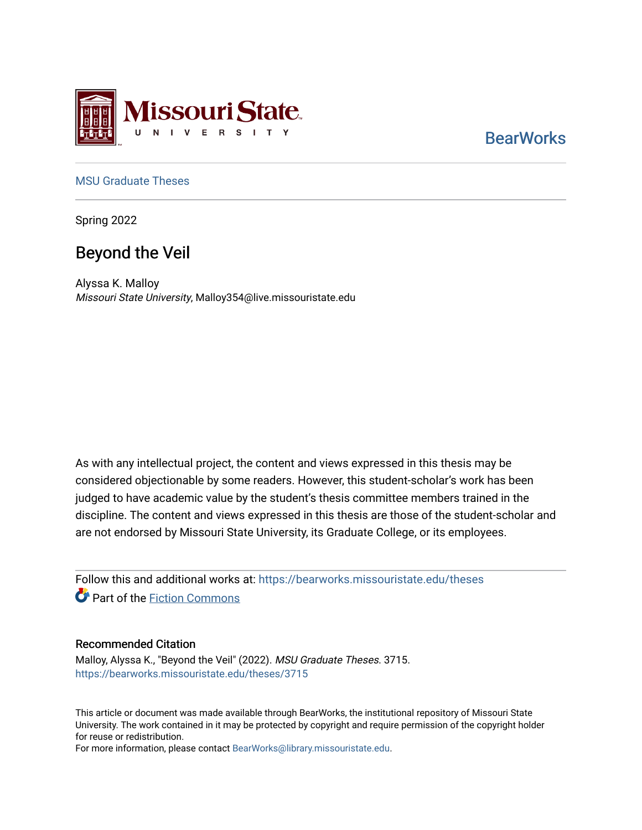

# **BearWorks**

## [MSU Graduate Theses](https://bearworks.missouristate.edu/theses)

Spring 2022

# Beyond the Veil

Alyssa K. Malloy Missouri State University, Malloy354@live.missouristate.edu

As with any intellectual project, the content and views expressed in this thesis may be considered objectionable by some readers. However, this student-scholar's work has been judged to have academic value by the student's thesis committee members trained in the discipline. The content and views expressed in this thesis are those of the student-scholar and are not endorsed by Missouri State University, its Graduate College, or its employees.

Follow this and additional works at: [https://bearworks.missouristate.edu/theses](https://bearworks.missouristate.edu/theses?utm_source=bearworks.missouristate.edu%2Ftheses%2F3715&utm_medium=PDF&utm_campaign=PDFCoverPages)  **C** Part of the Fiction Commons

#### Recommended Citation

Malloy, Alyssa K., "Beyond the Veil" (2022). MSU Graduate Theses. 3715. [https://bearworks.missouristate.edu/theses/3715](https://bearworks.missouristate.edu/theses/3715?utm_source=bearworks.missouristate.edu%2Ftheses%2F3715&utm_medium=PDF&utm_campaign=PDFCoverPages) 

This article or document was made available through BearWorks, the institutional repository of Missouri State University. The work contained in it may be protected by copyright and require permission of the copyright holder for reuse or redistribution.

For more information, please contact [BearWorks@library.missouristate.edu.](mailto:BearWorks@library.missouristate.edu)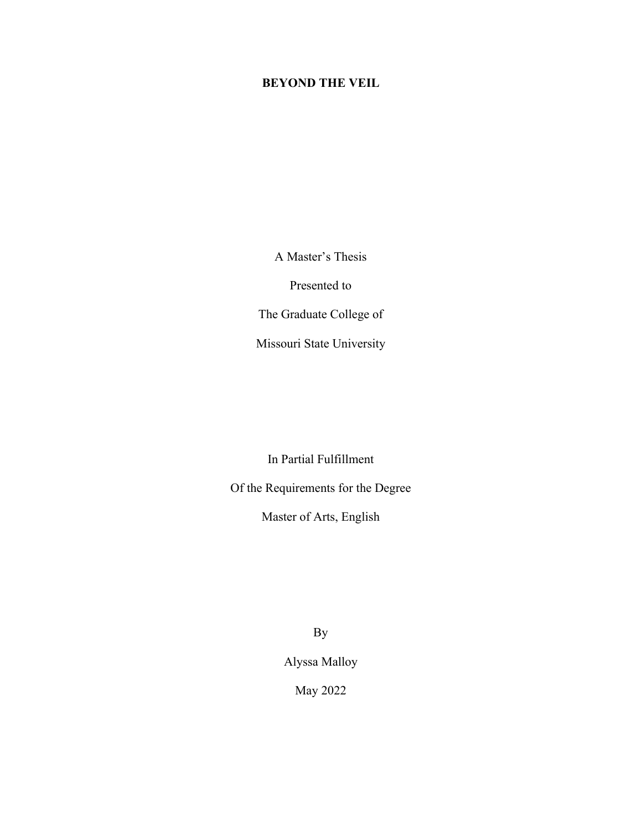## **BEYOND THE VEIL**

A Master's Thesis

Presented to

The Graduate College of

Missouri State University

In Partial Fulfillment

Of the Requirements for the Degree

Master of Arts, English

By

Alyssa Malloy

May 2022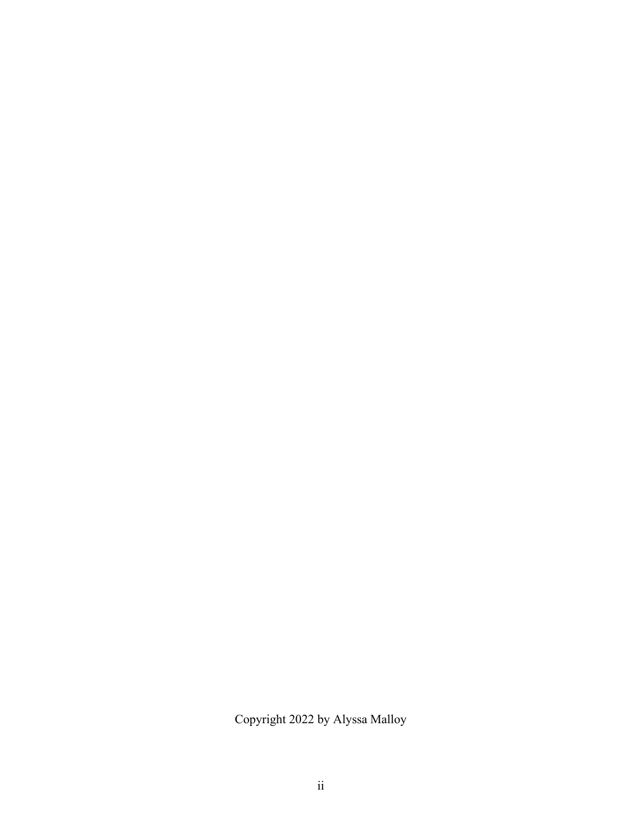Copyright 2022 by Alyssa Malloy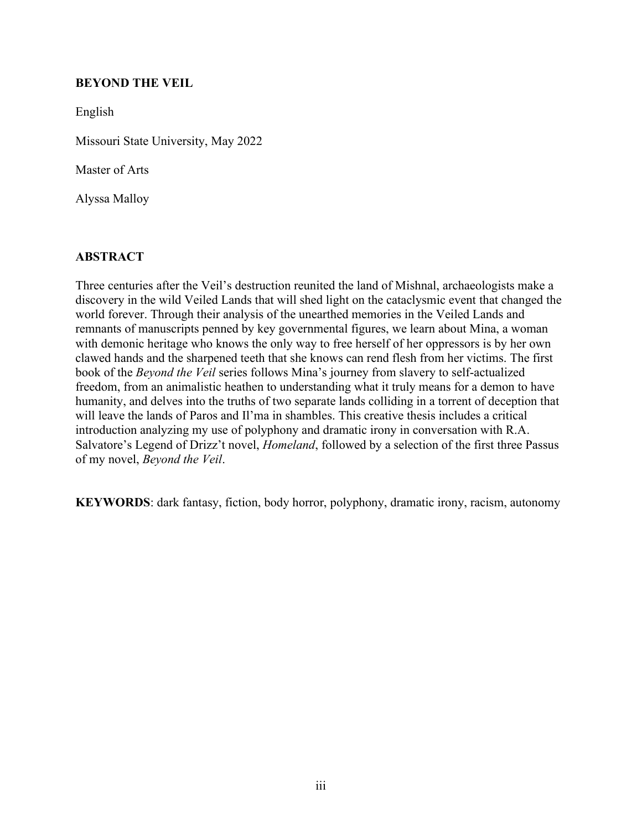## **BEYOND THE VEIL**

English

Missouri State University, May 2022

Master of Arts

Alyssa Malloy

## **ABSTRACT**

Three centuries after the Veil's destruction reunited the land of Mishnal, archaeologists make a discovery in the wild Veiled Lands that will shed light on the cataclysmic event that changed the world forever. Through their analysis of the unearthed memories in the Veiled Lands and remnants of manuscripts penned by key governmental figures, we learn about Mina, a woman with demonic heritage who knows the only way to free herself of her oppressors is by her own clawed hands and the sharpened teeth that she knows can rend flesh from her victims. The first book of the *Beyond the Veil* series follows Mina's journey from slavery to self-actualized freedom, from an animalistic heathen to understanding what it truly means for a demon to have humanity, and delves into the truths of two separate lands colliding in a torrent of deception that will leave the lands of Paros and Il'ma in shambles. This creative thesis includes a critical introduction analyzing my use of polyphony and dramatic irony in conversation with R.A. Salvatore's Legend of Drizz't novel, *Homeland*, followed by a selection of the first three Passus of my novel, *Beyond the Veil*.

**KEYWORDS**: dark fantasy, fiction, body horror, polyphony, dramatic irony, racism, autonomy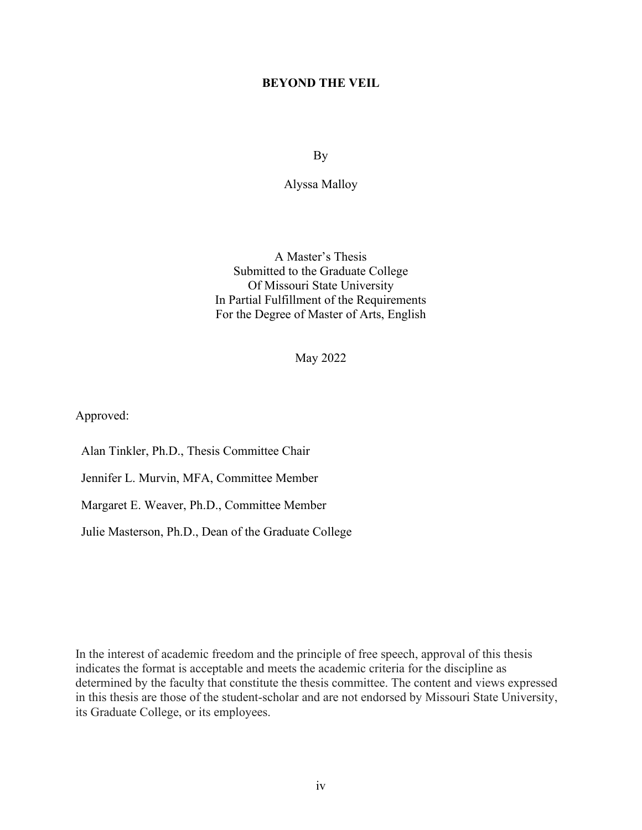### **BEYOND THE VEIL**

By

Alyssa Malloy

A Master's Thesis Submitted to the Graduate College Of Missouri State University In Partial Fulfillment of the Requirements For the Degree of Master of Arts, English

May 2022

Approved:

Alan Tinkler, Ph.D., Thesis Committee Chair

Jennifer L. Murvin, MFA, Committee Member

Margaret E. Weaver, Ph.D., Committee Member

Julie Masterson, Ph.D., Dean of the Graduate College

In the interest of academic freedom and the principle of free speech, approval of this thesis indicates the format is acceptable and meets the academic criteria for the discipline as determined by the faculty that constitute the thesis committee. The content and views expressed in this thesis are those of the student-scholar and are not endorsed by Missouri State University, its Graduate College, or its employees.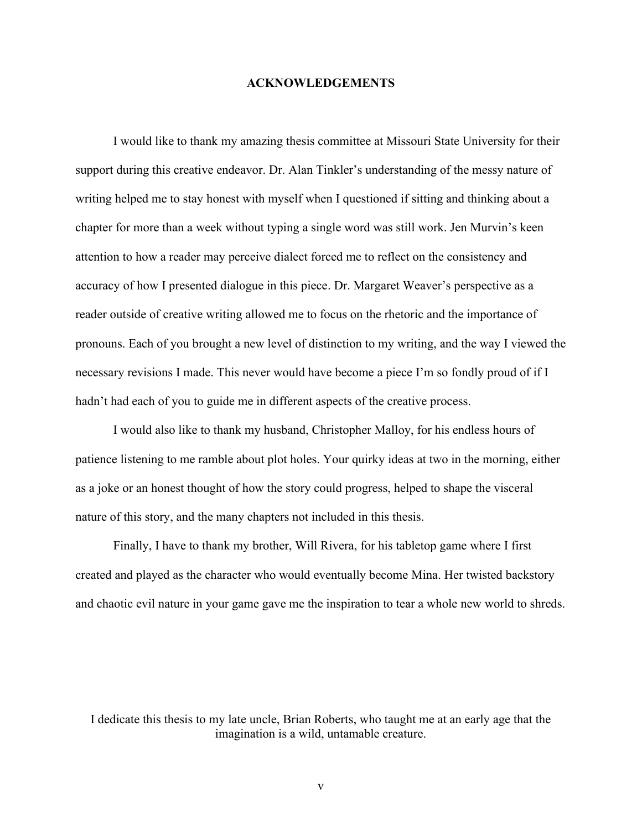#### **ACKNOWLEDGEMENTS**

I would like to thank my amazing thesis committee at Missouri State University for their support during this creative endeavor. Dr. Alan Tinkler's understanding of the messy nature of writing helped me to stay honest with myself when I questioned if sitting and thinking about a chapter for more than a week without typing a single word was still work. Jen Murvin's keen attention to how a reader may perceive dialect forced me to reflect on the consistency and accuracy of how I presented dialogue in this piece. Dr. Margaret Weaver's perspective as a reader outside of creative writing allowed me to focus on the rhetoric and the importance of pronouns. Each of you brought a new level of distinction to my writing, and the way I viewed the necessary revisions I made. This never would have become a piece I'm so fondly proud of if I hadn't had each of you to guide me in different aspects of the creative process.

I would also like to thank my husband, Christopher Malloy, for his endless hours of patience listening to me ramble about plot holes. Your quirky ideas at two in the morning, either as a joke or an honest thought of how the story could progress, helped to shape the visceral nature of this story, and the many chapters not included in this thesis.

Finally, I have to thank my brother, Will Rivera, for his tabletop game where I first created and played as the character who would eventually become Mina. Her twisted backstory and chaotic evil nature in your game gave me the inspiration to tear a whole new world to shreds.

I dedicate this thesis to my late uncle, Brian Roberts, who taught me at an early age that the imagination is a wild, untamable creature.

v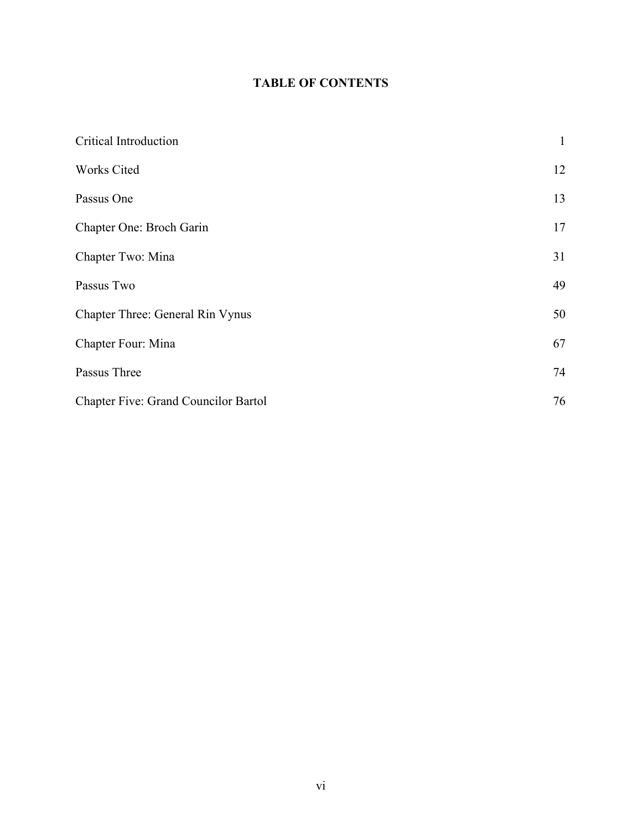## **TABLE OF CONTENTS**

| Critical Introduction                       | $\mathbf{1}$ |
|---------------------------------------------|--------------|
| Works Cited                                 | 12           |
| Passus One                                  | 13           |
| Chapter One: Broch Garin                    | 17           |
| Chapter Two: Mina                           | 31           |
| Passus Two                                  | 49           |
| Chapter Three: General Rin Vynus            | 50           |
| Chapter Four: Mina                          | 67           |
| Passus Three                                | 74           |
| <b>Chapter Five: Grand Councilor Bartol</b> | 76           |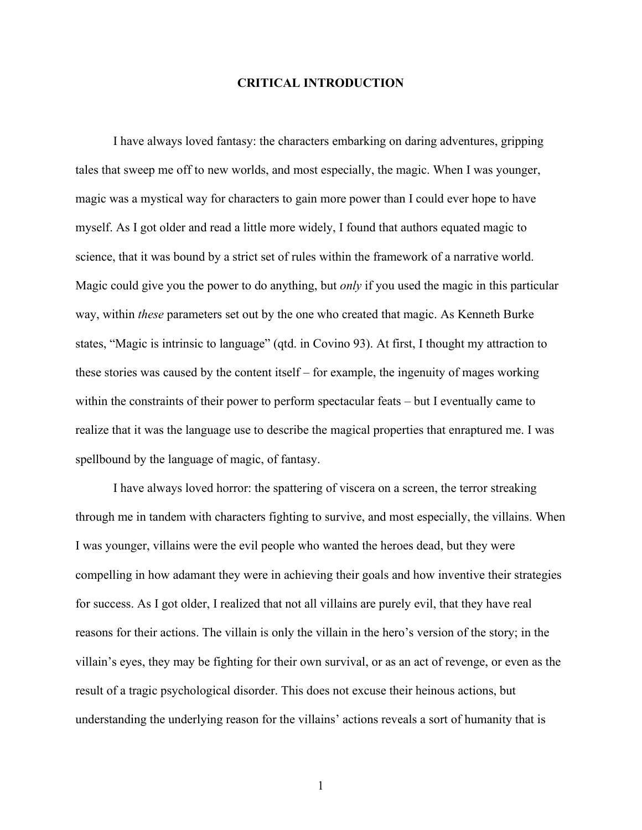#### **CRITICAL INTRODUCTION**

<span id="page-7-0"></span>I have always loved fantasy: the characters embarking on daring adventures, gripping tales that sweep me off to new worlds, and most especially, the magic. When I was younger, magic was a mystical way for characters to gain more power than I could ever hope to have myself. As I got older and read a little more widely, I found that authors equated magic to science, that it was bound by a strict set of rules within the framework of a narrative world. Magic could give you the power to do anything, but *only* if you used the magic in this particular way, within *these* parameters set out by the one who created that magic. As Kenneth Burke states, "Magic is intrinsic to language" (qtd. in Covino 93). At first, I thought my attraction to these stories was caused by the content itself – for example, the ingenuity of mages working within the constraints of their power to perform spectacular feats – but I eventually came to realize that it was the language use to describe the magical properties that enraptured me. I was spellbound by the language of magic, of fantasy.

I have always loved horror: the spattering of viscera on a screen, the terror streaking through me in tandem with characters fighting to survive, and most especially, the villains. When I was younger, villains were the evil people who wanted the heroes dead, but they were compelling in how adamant they were in achieving their goals and how inventive their strategies for success. As I got older, I realized that not all villains are purely evil, that they have real reasons for their actions. The villain is only the villain in the hero's version of the story; in the villain's eyes, they may be fighting for their own survival, or as an act of revenge, or even as the result of a tragic psychological disorder. This does not excuse their heinous actions, but understanding the underlying reason for the villains' actions reveals a sort of humanity that is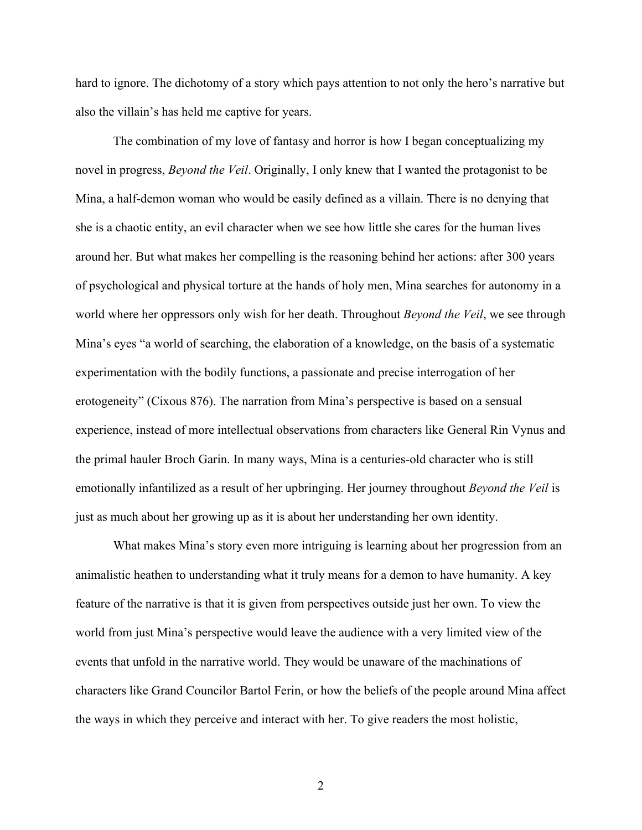hard to ignore. The dichotomy of a story which pays attention to not only the hero's narrative but also the villain's has held me captive for years.

The combination of my love of fantasy and horror is how I began conceptualizing my novel in progress, *Beyond the Veil*. Originally, I only knew that I wanted the protagonist to be Mina, a half-demon woman who would be easily defined as a villain. There is no denying that she is a chaotic entity, an evil character when we see how little she cares for the human lives around her. But what makes her compelling is the reasoning behind her actions: after 300 years of psychological and physical torture at the hands of holy men, Mina searches for autonomy in a world where her oppressors only wish for her death. Throughout *Beyond the Veil*, we see through Mina's eyes "a world of searching, the elaboration of a knowledge, on the basis of a systematic experimentation with the bodily functions, a passionate and precise interrogation of her erotogeneity" (Cixous 876). The narration from Mina's perspective is based on a sensual experience, instead of more intellectual observations from characters like General Rin Vynus and the primal hauler Broch Garin. In many ways, Mina is a centuries-old character who is still emotionally infantilized as a result of her upbringing. Her journey throughout *Beyond the Veil* is just as much about her growing up as it is about her understanding her own identity.

What makes Mina's story even more intriguing is learning about her progression from an animalistic heathen to understanding what it truly means for a demon to have humanity. A key feature of the narrative is that it is given from perspectives outside just her own. To view the world from just Mina's perspective would leave the audience with a very limited view of the events that unfold in the narrative world. They would be unaware of the machinations of characters like Grand Councilor Bartol Ferin, or how the beliefs of the people around Mina affect the ways in which they perceive and interact with her. To give readers the most holistic,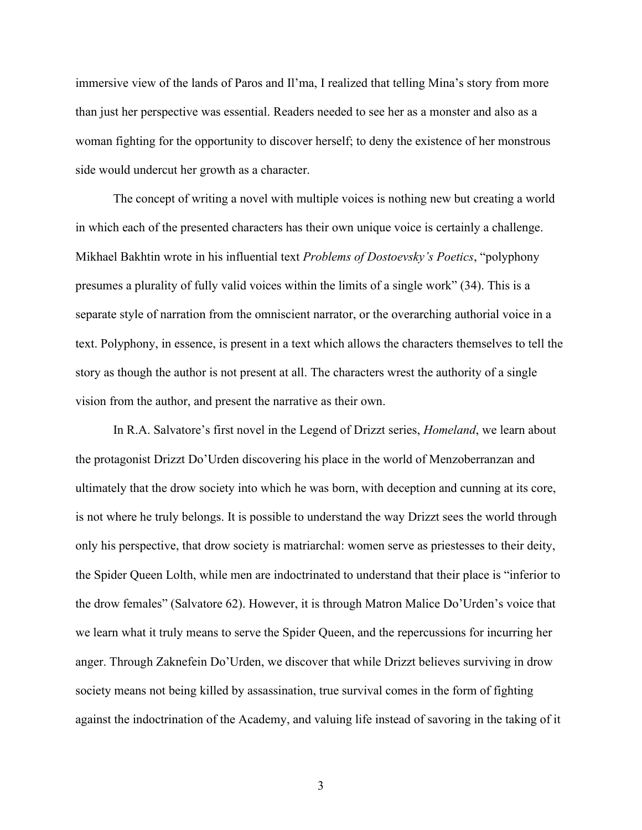immersive view of the lands of Paros and Il'ma, I realized that telling Mina's story from more than just her perspective was essential. Readers needed to see her as a monster and also as a woman fighting for the opportunity to discover herself; to deny the existence of her monstrous side would undercut her growth as a character.

The concept of writing a novel with multiple voices is nothing new but creating a world in which each of the presented characters has their own unique voice is certainly a challenge. Mikhael Bakhtin wrote in his influential text *Problems of Dostoevsky's Poetics*, "polyphony presumes a plurality of fully valid voices within the limits of a single work" (34). This is a separate style of narration from the omniscient narrator, or the overarching authorial voice in a text. Polyphony, in essence, is present in a text which allows the characters themselves to tell the story as though the author is not present at all. The characters wrest the authority of a single vision from the author, and present the narrative as their own.

In R.A. Salvatore's first novel in the Legend of Drizzt series, *Homeland*, we learn about the protagonist Drizzt Do'Urden discovering his place in the world of Menzoberranzan and ultimately that the drow society into which he was born, with deception and cunning at its core, is not where he truly belongs. It is possible to understand the way Drizzt sees the world through only his perspective, that drow society is matriarchal: women serve as priestesses to their deity, the Spider Queen Lolth, while men are indoctrinated to understand that their place is "inferior to the drow females" (Salvatore 62). However, it is through Matron Malice Do'Urden's voice that we learn what it truly means to serve the Spider Queen, and the repercussions for incurring her anger. Through Zaknefein Do'Urden, we discover that while Drizzt believes surviving in drow society means not being killed by assassination, true survival comes in the form of fighting against the indoctrination of the Academy, and valuing life instead of savoring in the taking of it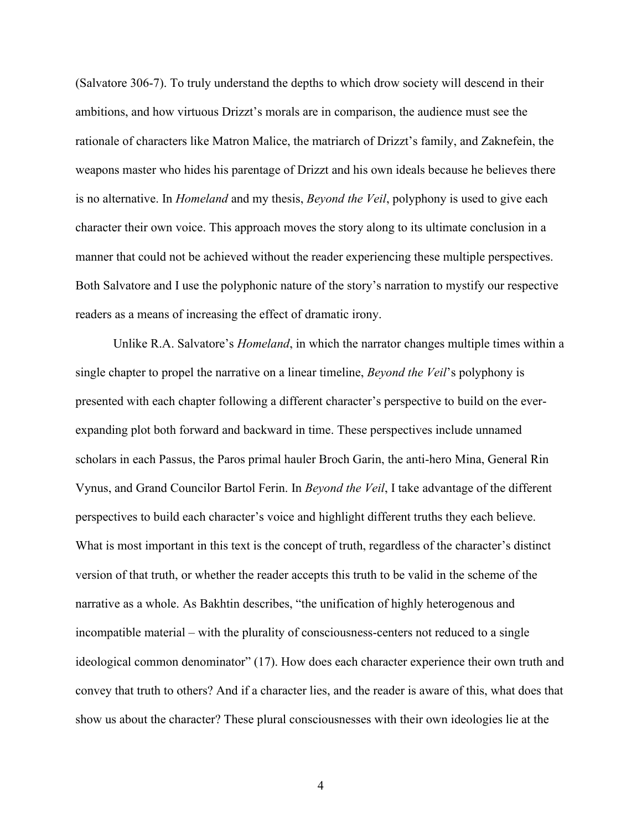(Salvatore 306-7). To truly understand the depths to which drow society will descend in their ambitions, and how virtuous Drizzt's morals are in comparison, the audience must see the rationale of characters like Matron Malice, the matriarch of Drizzt's family, and Zaknefein, the weapons master who hides his parentage of Drizzt and his own ideals because he believes there is no alternative. In *Homeland* and my thesis, *Beyond the Veil*, polyphony is used to give each character their own voice. This approach moves the story along to its ultimate conclusion in a manner that could not be achieved without the reader experiencing these multiple perspectives. Both Salvatore and I use the polyphonic nature of the story's narration to mystify our respective readers as a means of increasing the effect of dramatic irony.

Unlike R.A. Salvatore's *Homeland*, in which the narrator changes multiple times within a single chapter to propel the narrative on a linear timeline, *Beyond the Veil*'s polyphony is presented with each chapter following a different character's perspective to build on the everexpanding plot both forward and backward in time. These perspectives include unnamed scholars in each Passus, the Paros primal hauler Broch Garin, the anti-hero Mina, General Rin Vynus, and Grand Councilor Bartol Ferin. In *Beyond the Veil*, I take advantage of the different perspectives to build each character's voice and highlight different truths they each believe. What is most important in this text is the concept of truth, regardless of the character's distinct version of that truth, or whether the reader accepts this truth to be valid in the scheme of the narrative as a whole. As Bakhtin describes, "the unification of highly heterogenous and incompatible material – with the plurality of consciousness-centers not reduced to a single ideological common denominator" (17). How does each character experience their own truth and convey that truth to others? And if a character lies, and the reader is aware of this, what does that show us about the character? These plural consciousnesses with their own ideologies lie at the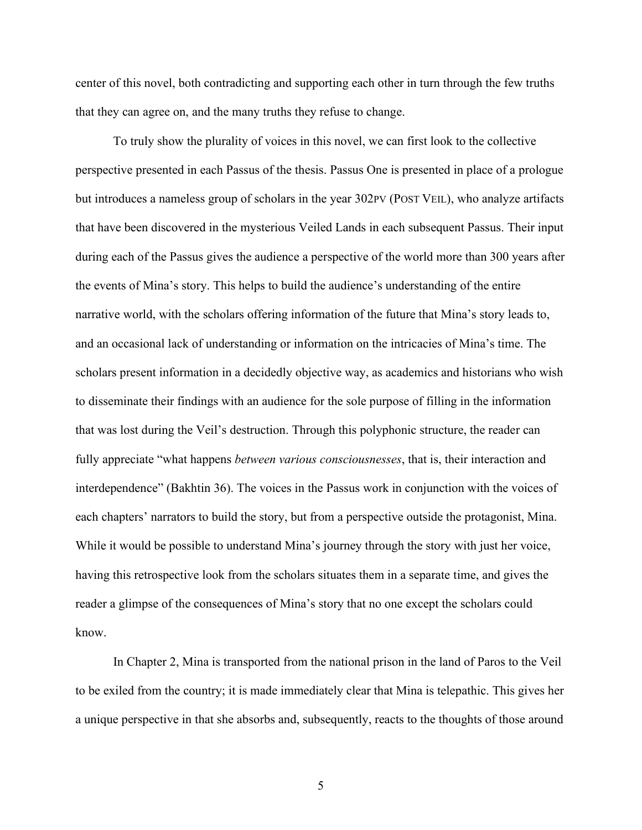center of this novel, both contradicting and supporting each other in turn through the few truths that they can agree on, and the many truths they refuse to change.

To truly show the plurality of voices in this novel, we can first look to the collective perspective presented in each Passus of the thesis. Passus One is presented in place of a prologue but introduces a nameless group of scholars in the year 302PV (POST VEIL), who analyze artifacts that have been discovered in the mysterious Veiled Lands in each subsequent Passus. Their input during each of the Passus gives the audience a perspective of the world more than 300 years after the events of Mina's story. This helps to build the audience's understanding of the entire narrative world, with the scholars offering information of the future that Mina's story leads to, and an occasional lack of understanding or information on the intricacies of Mina's time. The scholars present information in a decidedly objective way, as academics and historians who wish to disseminate their findings with an audience for the sole purpose of filling in the information that was lost during the Veil's destruction. Through this polyphonic structure, the reader can fully appreciate "what happens *between various consciousnesses*, that is, their interaction and interdependence" (Bakhtin 36). The voices in the Passus work in conjunction with the voices of each chapters' narrators to build the story, but from a perspective outside the protagonist, Mina. While it would be possible to understand Mina's journey through the story with just her voice, having this retrospective look from the scholars situates them in a separate time, and gives the reader a glimpse of the consequences of Mina's story that no one except the scholars could know.

In Chapter 2, Mina is transported from the national prison in the land of Paros to the Veil to be exiled from the country; it is made immediately clear that Mina is telepathic. This gives her a unique perspective in that she absorbs and, subsequently, reacts to the thoughts of those around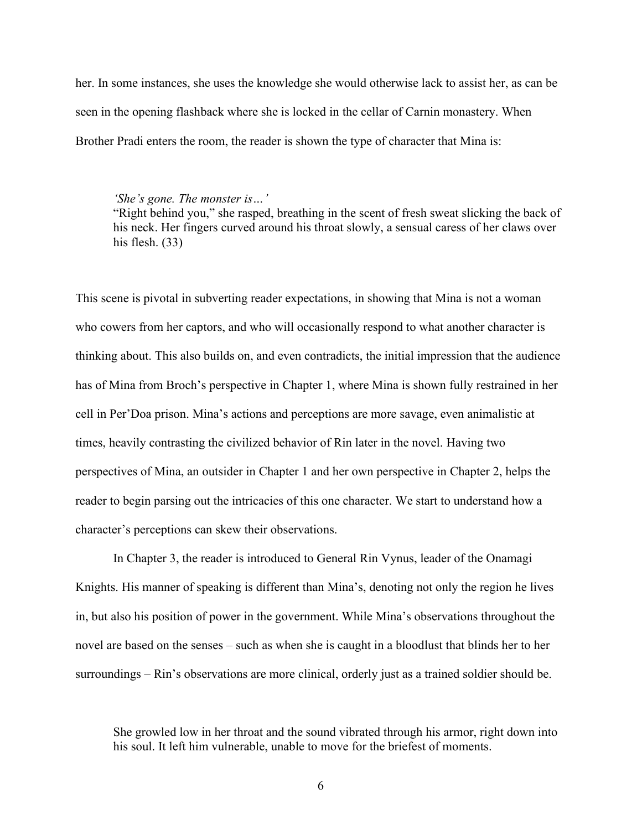her. In some instances, she uses the knowledge she would otherwise lack to assist her, as can be seen in the opening flashback where she is locked in the cellar of Carnin monastery. When Brother Pradi enters the room, the reader is shown the type of character that Mina is:

*'She's gone. The monster is…'*

"Right behind you," she rasped, breathing in the scent of fresh sweat slicking the back of his neck. Her fingers curved around his throat slowly, a sensual caress of her claws over his flesh. (33)

This scene is pivotal in subverting reader expectations, in showing that Mina is not a woman who cowers from her captors, and who will occasionally respond to what another character is thinking about. This also builds on, and even contradicts, the initial impression that the audience has of Mina from Broch's perspective in Chapter 1, where Mina is shown fully restrained in her cell in Per'Doa prison. Mina's actions and perceptions are more savage, even animalistic at times, heavily contrasting the civilized behavior of Rin later in the novel. Having two perspectives of Mina, an outsider in Chapter 1 and her own perspective in Chapter 2, helps the reader to begin parsing out the intricacies of this one character. We start to understand how a character's perceptions can skew their observations.

In Chapter 3, the reader is introduced to General Rin Vynus, leader of the Onamagi Knights. His manner of speaking is different than Mina's, denoting not only the region he lives in, but also his position of power in the government. While Mina's observations throughout the novel are based on the senses – such as when she is caught in a bloodlust that blinds her to her surroundings – Rin's observations are more clinical, orderly just as a trained soldier should be.

She growled low in her throat and the sound vibrated through his armor, right down into his soul. It left him vulnerable, unable to move for the briefest of moments.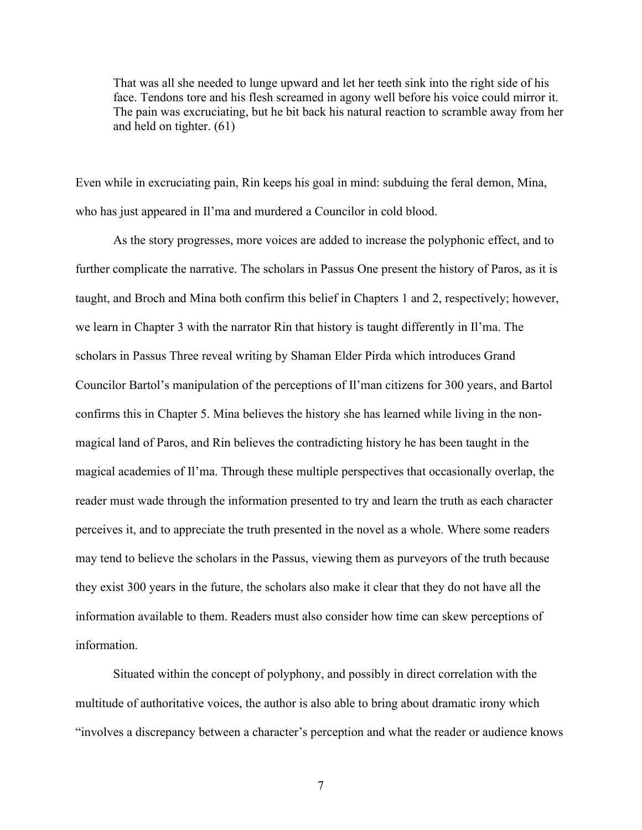That was all she needed to lunge upward and let her teeth sink into the right side of his face. Tendons tore and his flesh screamed in agony well before his voice could mirror it. The pain was excruciating, but he bit back his natural reaction to scramble away from her and held on tighter. (61)

Even while in excruciating pain, Rin keeps his goal in mind: subduing the feral demon, Mina, who has just appeared in Il'ma and murdered a Councilor in cold blood.

As the story progresses, more voices are added to increase the polyphonic effect, and to further complicate the narrative. The scholars in Passus One present the history of Paros, as it is taught, and Broch and Mina both confirm this belief in Chapters 1 and 2, respectively; however, we learn in Chapter 3 with the narrator Rin that history is taught differently in Il'ma. The scholars in Passus Three reveal writing by Shaman Elder Pirda which introduces Grand Councilor Bartol's manipulation of the perceptions of Il'man citizens for 300 years, and Bartol confirms this in Chapter 5. Mina believes the history she has learned while living in the nonmagical land of Paros, and Rin believes the contradicting history he has been taught in the magical academies of Il'ma. Through these multiple perspectives that occasionally overlap, the reader must wade through the information presented to try and learn the truth as each character perceives it, and to appreciate the truth presented in the novel as a whole. Where some readers may tend to believe the scholars in the Passus, viewing them as purveyors of the truth because they exist 300 years in the future, the scholars also make it clear that they do not have all the information available to them. Readers must also consider how time can skew perceptions of information.

Situated within the concept of polyphony, and possibly in direct correlation with the multitude of authoritative voices, the author is also able to bring about dramatic irony which "involves a discrepancy between a character's perception and what the reader or audience knows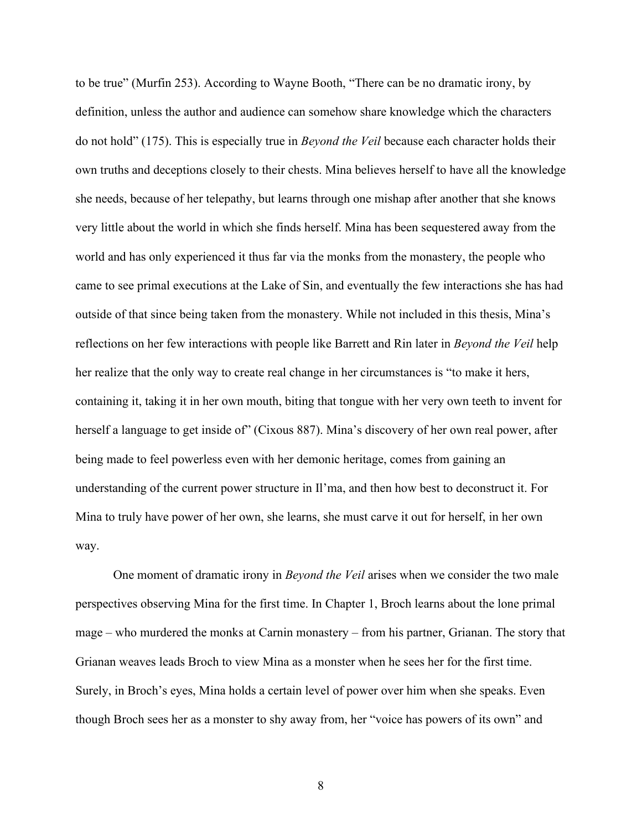to be true" (Murfin 253). According to Wayne Booth, "There can be no dramatic irony, by definition, unless the author and audience can somehow share knowledge which the characters do not hold" (175). This is especially true in *Beyond the Veil* because each character holds their own truths and deceptions closely to their chests. Mina believes herself to have all the knowledge she needs, because of her telepathy, but learns through one mishap after another that she knows very little about the world in which she finds herself. Mina has been sequestered away from the world and has only experienced it thus far via the monks from the monastery, the people who came to see primal executions at the Lake of Sin, and eventually the few interactions she has had outside of that since being taken from the monastery. While not included in this thesis, Mina's reflections on her few interactions with people like Barrett and Rin later in *Beyond the Veil* help her realize that the only way to create real change in her circumstances is "to make it hers, containing it, taking it in her own mouth, biting that tongue with her very own teeth to invent for herself a language to get inside of" (Cixous 887). Mina's discovery of her own real power, after being made to feel powerless even with her demonic heritage, comes from gaining an understanding of the current power structure in Il'ma, and then how best to deconstruct it. For Mina to truly have power of her own, she learns, she must carve it out for herself, in her own way.

One moment of dramatic irony in *Beyond the Veil* arises when we consider the two male perspectives observing Mina for the first time. In Chapter 1, Broch learns about the lone primal mage – who murdered the monks at Carnin monastery – from his partner, Grianan. The story that Grianan weaves leads Broch to view Mina as a monster when he sees her for the first time. Surely, in Broch's eyes, Mina holds a certain level of power over him when she speaks. Even though Broch sees her as a monster to shy away from, her "voice has powers of its own" and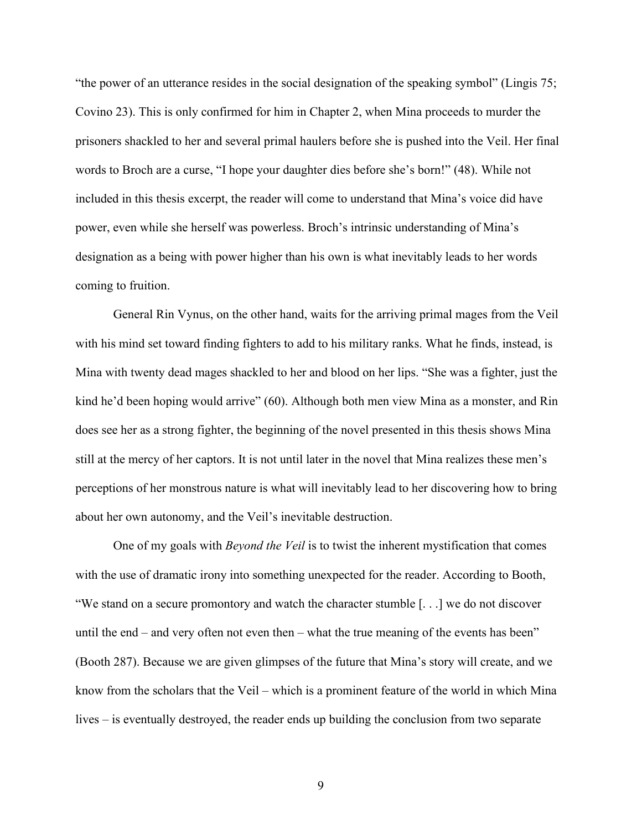"the power of an utterance resides in the social designation of the speaking symbol" (Lingis 75; Covino 23). This is only confirmed for him in Chapter 2, when Mina proceeds to murder the prisoners shackled to her and several primal haulers before she is pushed into the Veil. Her final words to Broch are a curse, "I hope your daughter dies before she's born!" (48). While not included in this thesis excerpt, the reader will come to understand that Mina's voice did have power, even while she herself was powerless. Broch's intrinsic understanding of Mina's designation as a being with power higher than his own is what inevitably leads to her words coming to fruition.

General Rin Vynus, on the other hand, waits for the arriving primal mages from the Veil with his mind set toward finding fighters to add to his military ranks. What he finds, instead, is Mina with twenty dead mages shackled to her and blood on her lips. "She was a fighter, just the kind he'd been hoping would arrive" (60). Although both men view Mina as a monster, and Rin does see her as a strong fighter, the beginning of the novel presented in this thesis shows Mina still at the mercy of her captors. It is not until later in the novel that Mina realizes these men's perceptions of her monstrous nature is what will inevitably lead to her discovering how to bring about her own autonomy, and the Veil's inevitable destruction.

One of my goals with *Beyond the Veil* is to twist the inherent mystification that comes with the use of dramatic irony into something unexpected for the reader. According to Booth, "We stand on a secure promontory and watch the character stumble [. . .] we do not discover until the end – and very often not even then – what the true meaning of the events has been" (Booth 287). Because we are given glimpses of the future that Mina's story will create, and we know from the scholars that the Veil – which is a prominent feature of the world in which Mina lives – is eventually destroyed, the reader ends up building the conclusion from two separate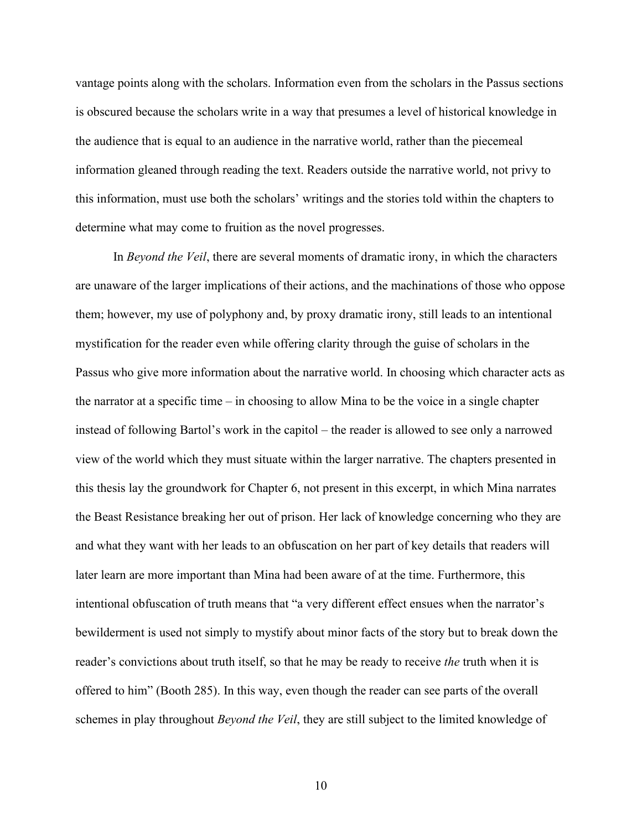vantage points along with the scholars. Information even from the scholars in the Passus sections is obscured because the scholars write in a way that presumes a level of historical knowledge in the audience that is equal to an audience in the narrative world, rather than the piecemeal information gleaned through reading the text. Readers outside the narrative world, not privy to this information, must use both the scholars' writings and the stories told within the chapters to determine what may come to fruition as the novel progresses.

In *Beyond the Veil*, there are several moments of dramatic irony, in which the characters are unaware of the larger implications of their actions, and the machinations of those who oppose them; however, my use of polyphony and, by proxy dramatic irony, still leads to an intentional mystification for the reader even while offering clarity through the guise of scholars in the Passus who give more information about the narrative world. In choosing which character acts as the narrator at a specific time – in choosing to allow Mina to be the voice in a single chapter instead of following Bartol's work in the capitol – the reader is allowed to see only a narrowed view of the world which they must situate within the larger narrative. The chapters presented in this thesis lay the groundwork for Chapter 6, not present in this excerpt, in which Mina narrates the Beast Resistance breaking her out of prison. Her lack of knowledge concerning who they are and what they want with her leads to an obfuscation on her part of key details that readers will later learn are more important than Mina had been aware of at the time. Furthermore, this intentional obfuscation of truth means that "a very different effect ensues when the narrator's bewilderment is used not simply to mystify about minor facts of the story but to break down the reader's convictions about truth itself, so that he may be ready to receive *the* truth when it is offered to him" (Booth 285). In this way, even though the reader can see parts of the overall schemes in play throughout *Beyond the Veil*, they are still subject to the limited knowledge of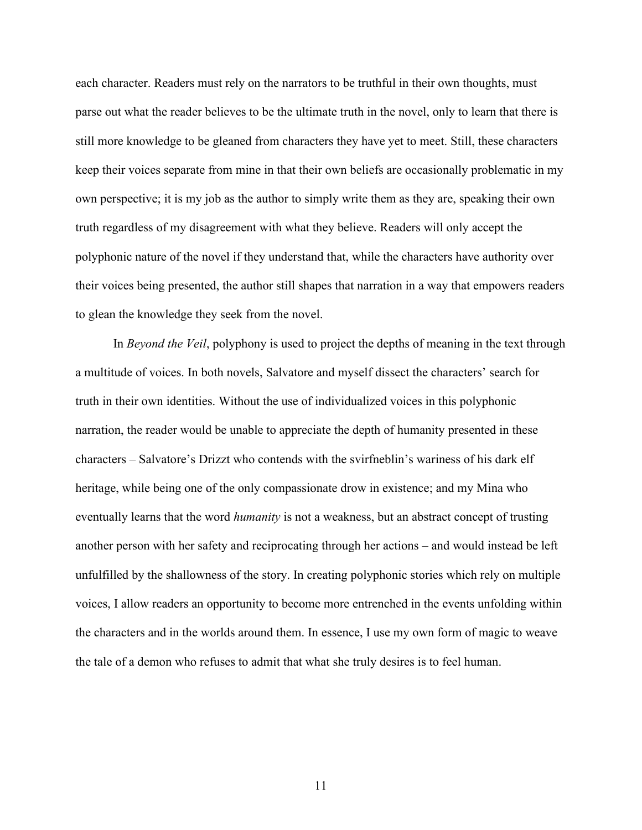each character. Readers must rely on the narrators to be truthful in their own thoughts, must parse out what the reader believes to be the ultimate truth in the novel, only to learn that there is still more knowledge to be gleaned from characters they have yet to meet. Still, these characters keep their voices separate from mine in that their own beliefs are occasionally problematic in my own perspective; it is my job as the author to simply write them as they are, speaking their own truth regardless of my disagreement with what they believe. Readers will only accept the polyphonic nature of the novel if they understand that, while the characters have authority over their voices being presented, the author still shapes that narration in a way that empowers readers to glean the knowledge they seek from the novel.

In *Beyond the Veil*, polyphony is used to project the depths of meaning in the text through a multitude of voices. In both novels, Salvatore and myself dissect the characters' search for truth in their own identities. Without the use of individualized voices in this polyphonic narration, the reader would be unable to appreciate the depth of humanity presented in these characters – Salvatore's Drizzt who contends with the svirfneblin's wariness of his dark elf heritage, while being one of the only compassionate drow in existence; and my Mina who eventually learns that the word *humanity* is not a weakness, but an abstract concept of trusting another person with her safety and reciprocating through her actions – and would instead be left unfulfilled by the shallowness of the story. In creating polyphonic stories which rely on multiple voices, I allow readers an opportunity to become more entrenched in the events unfolding within the characters and in the worlds around them. In essence, I use my own form of magic to weave the tale of a demon who refuses to admit that what she truly desires is to feel human.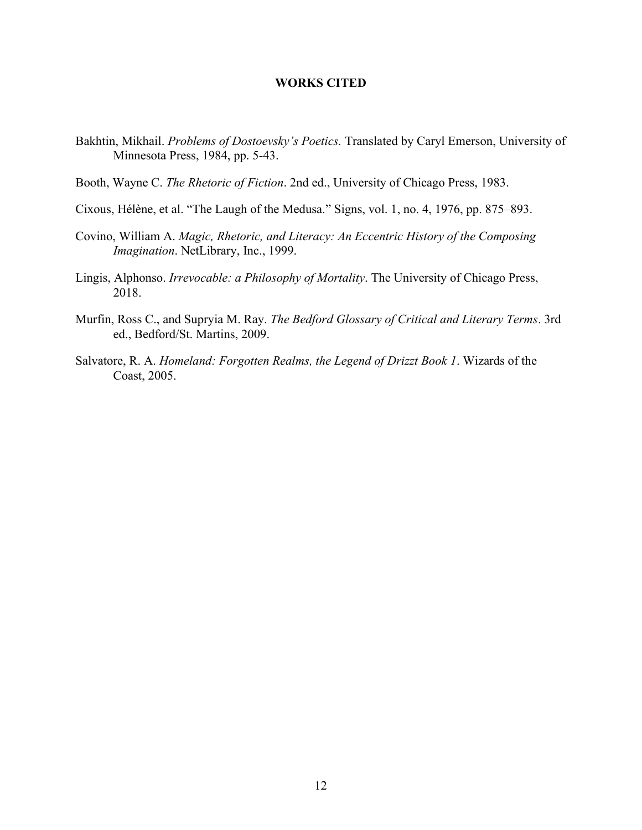### **WORKS CITED**

- <span id="page-18-0"></span>Bakhtin, Mikhail. *Problems of Dostoevsky's Poetics.* Translated by Caryl Emerson, University of Minnesota Press, 1984, pp. 5-43.
- Booth, Wayne C. *The Rhetoric of Fiction*. 2nd ed., University of Chicago Press, 1983.
- Cixous, Hélène, et al. "The Laugh of the Medusa." Signs, vol. 1, no. 4, 1976, pp. 875–893.
- Covino, William A. *Magic, Rhetoric, and Literacy: An Eccentric History of the Composing Imagination*. NetLibrary, Inc., 1999.
- Lingis, Alphonso. *Irrevocable: a Philosophy of Mortality*. The University of Chicago Press, 2018.
- Murfin, Ross C., and Supryia M. Ray. *The Bedford Glossary of Critical and Literary Terms*. 3rd ed., Bedford/St. Martins, 2009.
- Salvatore, R. A. *Homeland: Forgotten Realms, the Legend of Drizzt Book 1*. Wizards of the Coast, 2005.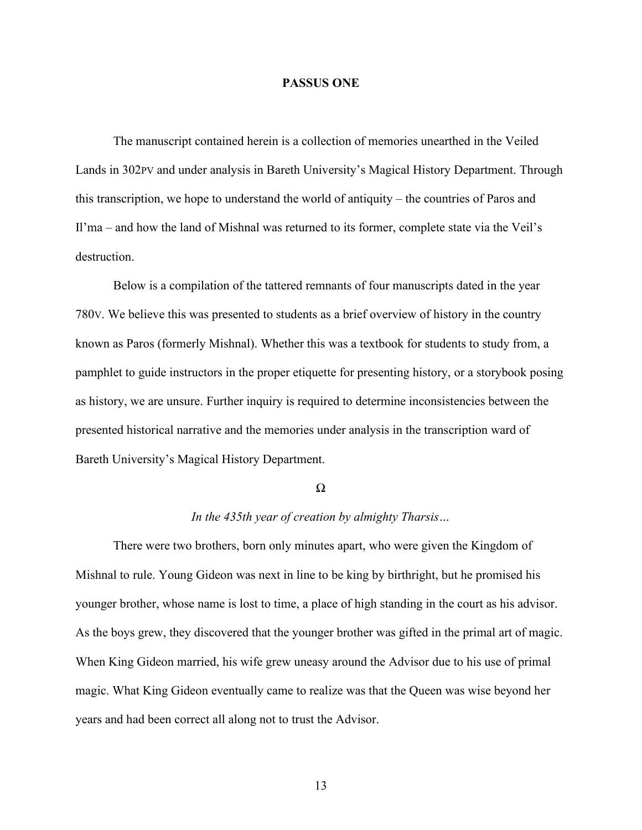#### **PASSUS ONE**

<span id="page-19-0"></span>The manuscript contained herein is a collection of memories unearthed in the Veiled Lands in 302PV and under analysis in Bareth University's Magical History Department. Through this transcription, we hope to understand the world of antiquity – the countries of Paros and Il'ma – and how the land of Mishnal was returned to its former, complete state via the Veil's destruction.

Below is a compilation of the tattered remnants of four manuscripts dated in the year 780V. We believe this was presented to students as a brief overview of history in the country known as Paros (formerly Mishnal). Whether this was a textbook for students to study from, a pamphlet to guide instructors in the proper etiquette for presenting history, or a storybook posing as history, we are unsure. Further inquiry is required to determine inconsistencies between the presented historical narrative and the memories under analysis in the transcription ward of Bareth University's Magical History Department.

#### Ω

#### *In the 435th year of creation by almighty Tharsis…*

There were two brothers, born only minutes apart, who were given the Kingdom of Mishnal to rule. Young Gideon was next in line to be king by birthright, but he promised his younger brother, whose name is lost to time, a place of high standing in the court as his advisor. As the boys grew, they discovered that the younger brother was gifted in the primal art of magic. When King Gideon married, his wife grew uneasy around the Advisor due to his use of primal magic. What King Gideon eventually came to realize was that the Queen was wise beyond her years and had been correct all along not to trust the Advisor.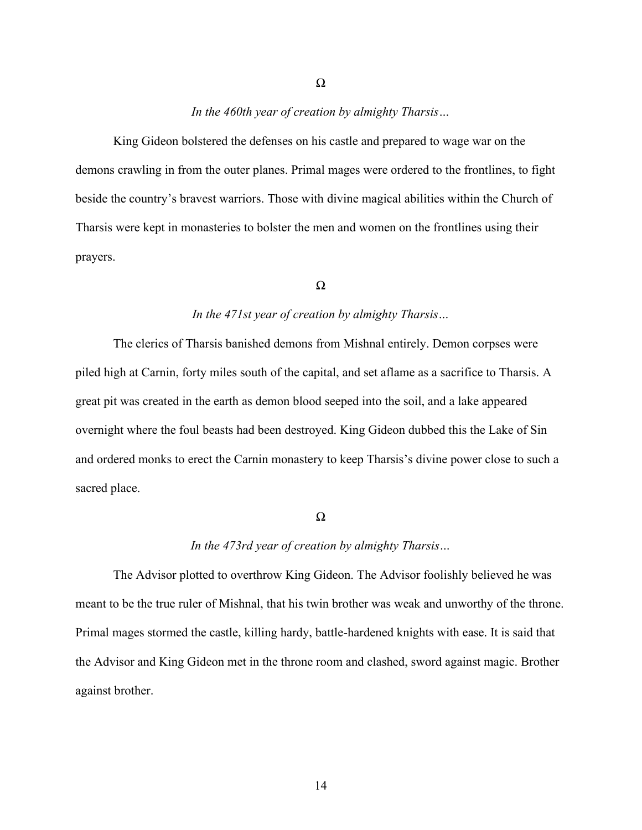#### *In the 460th year of creation by almighty Tharsis…*

Ω

King Gideon bolstered the defenses on his castle and prepared to wage war on the demons crawling in from the outer planes. Primal mages were ordered to the frontlines, to fight beside the country's bravest warriors. Those with divine magical abilities within the Church of Tharsis were kept in monasteries to bolster the men and women on the frontlines using their prayers.

#### Ω

### *In the 471st year of creation by almighty Tharsis…*

The clerics of Tharsis banished demons from Mishnal entirely. Demon corpses were piled high at Carnin, forty miles south of the capital, and set aflame as a sacrifice to Tharsis. A great pit was created in the earth as demon blood seeped into the soil, and a lake appeared overnight where the foul beasts had been destroyed. King Gideon dubbed this the Lake of Sin and ordered monks to erect the Carnin monastery to keep Tharsis's divine power close to such a sacred place.

#### Ω

#### *In the 473rd year of creation by almighty Tharsis…*

The Advisor plotted to overthrow King Gideon. The Advisor foolishly believed he was meant to be the true ruler of Mishnal, that his twin brother was weak and unworthy of the throne. Primal mages stormed the castle, killing hardy, battle-hardened knights with ease. It is said that the Advisor and King Gideon met in the throne room and clashed, sword against magic. Brother against brother.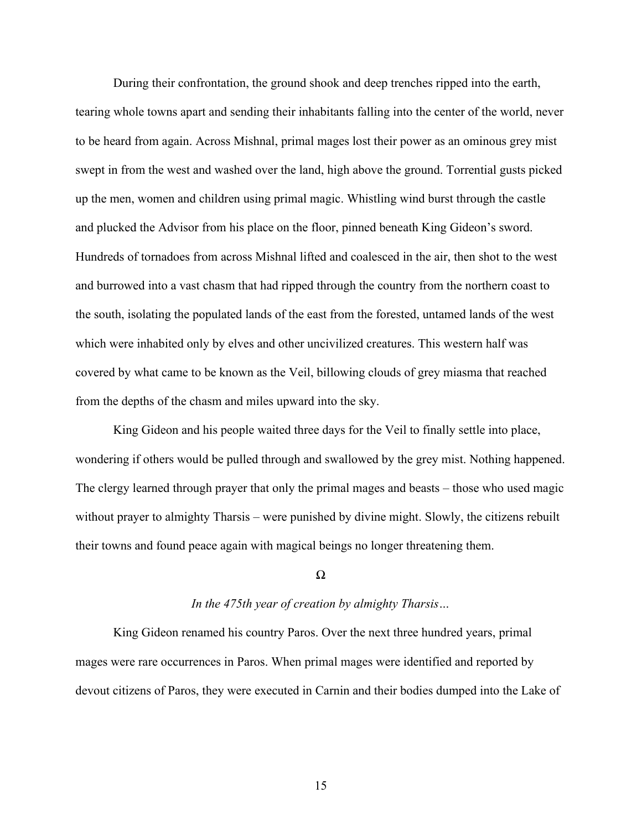During their confrontation, the ground shook and deep trenches ripped into the earth, tearing whole towns apart and sending their inhabitants falling into the center of the world, never to be heard from again. Across Mishnal, primal mages lost their power as an ominous grey mist swept in from the west and washed over the land, high above the ground. Torrential gusts picked up the men, women and children using primal magic. Whistling wind burst through the castle and plucked the Advisor from his place on the floor, pinned beneath King Gideon's sword. Hundreds of tornadoes from across Mishnal lifted and coalesced in the air, then shot to the west and burrowed into a vast chasm that had ripped through the country from the northern coast to the south, isolating the populated lands of the east from the forested, untamed lands of the west which were inhabited only by elves and other uncivilized creatures. This western half was covered by what came to be known as the Veil, billowing clouds of grey miasma that reached from the depths of the chasm and miles upward into the sky.

King Gideon and his people waited three days for the Veil to finally settle into place, wondering if others would be pulled through and swallowed by the grey mist. Nothing happened. The clergy learned through prayer that only the primal mages and beasts – those who used magic without prayer to almighty Tharsis – were punished by divine might. Slowly, the citizens rebuilt their towns and found peace again with magical beings no longer threatening them.

#### Ω

#### *In the 475th year of creation by almighty Tharsis…*

King Gideon renamed his country Paros. Over the next three hundred years, primal mages were rare occurrences in Paros. When primal mages were identified and reported by devout citizens of Paros, they were executed in Carnin and their bodies dumped into the Lake of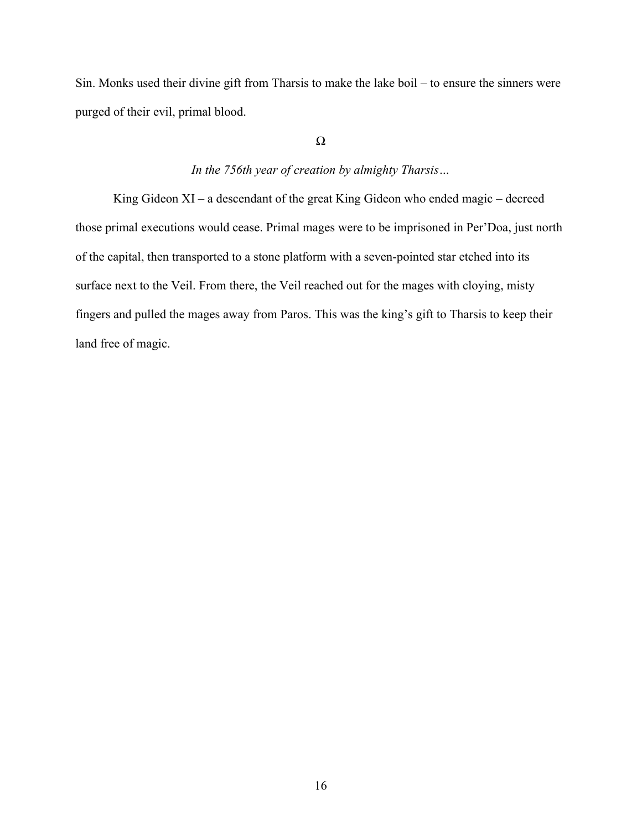Sin. Monks used their divine gift from Tharsis to make the lake boil – to ensure the sinners were purged of their evil, primal blood.

## Ω

## *In the 756th year of creation by almighty Tharsis…*

King Gideon XI – a descendant of the great King Gideon who ended magic – decreed those primal executions would cease. Primal mages were to be imprisoned in Per'Doa, just north of the capital, then transported to a stone platform with a seven-pointed star etched into its surface next to the Veil. From there, the Veil reached out for the mages with cloying, misty fingers and pulled the mages away from Paros. This was the king's gift to Tharsis to keep their land free of magic.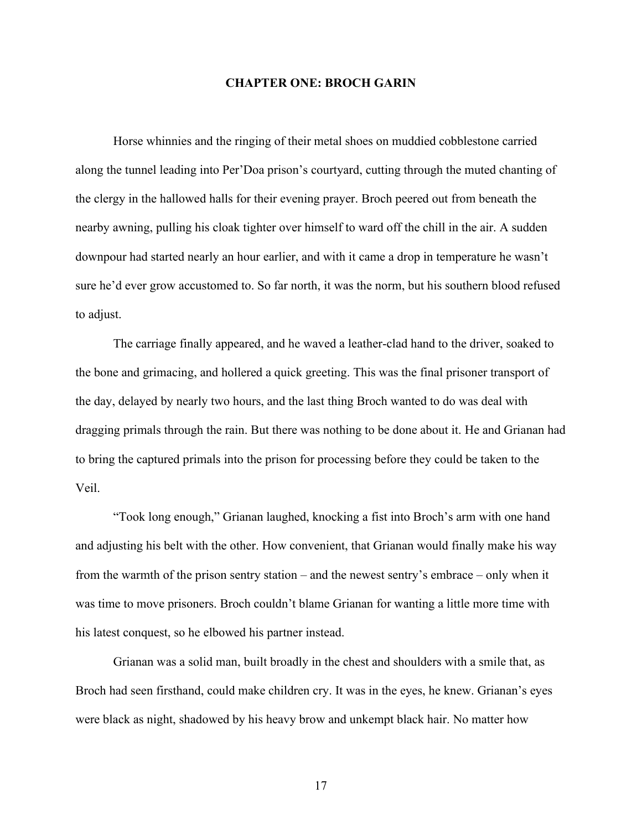#### **CHAPTER ONE: BROCH GARIN**

<span id="page-23-0"></span>Horse whinnies and the ringing of their metal shoes on muddied cobblestone carried along the tunnel leading into Per'Doa prison's courtyard, cutting through the muted chanting of the clergy in the hallowed halls for their evening prayer. Broch peered out from beneath the nearby awning, pulling his cloak tighter over himself to ward off the chill in the air. A sudden downpour had started nearly an hour earlier, and with it came a drop in temperature he wasn't sure he'd ever grow accustomed to. So far north, it was the norm, but his southern blood refused to adjust.

The carriage finally appeared, and he waved a leather-clad hand to the driver, soaked to the bone and grimacing, and hollered a quick greeting. This was the final prisoner transport of the day, delayed by nearly two hours, and the last thing Broch wanted to do was deal with dragging primals through the rain. But there was nothing to be done about it. He and Grianan had to bring the captured primals into the prison for processing before they could be taken to the Veil.

"Took long enough," Grianan laughed, knocking a fist into Broch's arm with one hand and adjusting his belt with the other. How convenient, that Grianan would finally make his way from the warmth of the prison sentry station – and the newest sentry's embrace – only when it was time to move prisoners. Broch couldn't blame Grianan for wanting a little more time with his latest conquest, so he elbowed his partner instead.

Grianan was a solid man, built broadly in the chest and shoulders with a smile that, as Broch had seen firsthand, could make children cry. It was in the eyes, he knew. Grianan's eyes were black as night, shadowed by his heavy brow and unkempt black hair. No matter how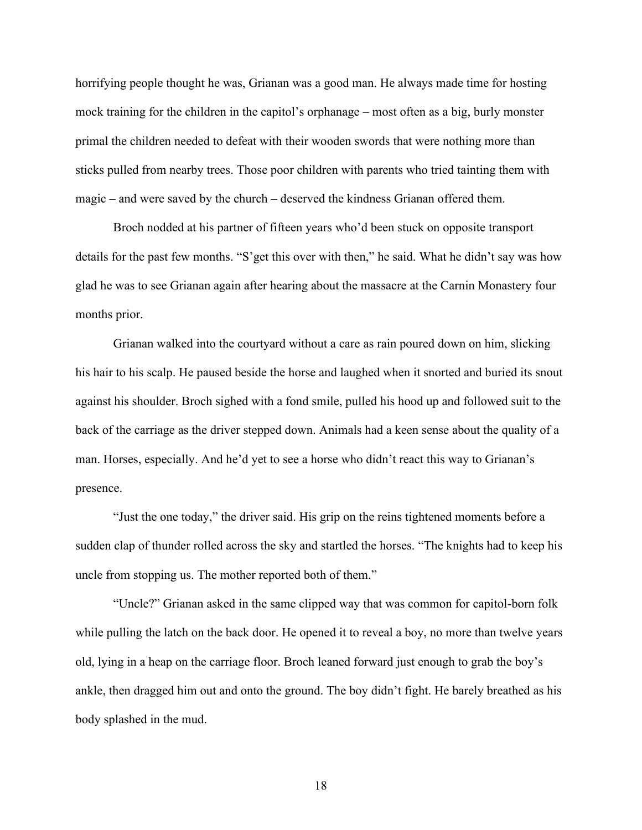horrifying people thought he was, Grianan was a good man. He always made time for hosting mock training for the children in the capitol's orphanage – most often as a big, burly monster primal the children needed to defeat with their wooden swords that were nothing more than sticks pulled from nearby trees. Those poor children with parents who tried tainting them with magic – and were saved by the church – deserved the kindness Grianan offered them.

Broch nodded at his partner of fifteen years who'd been stuck on opposite transport details for the past few months. "S'get this over with then," he said. What he didn't say was how glad he was to see Grianan again after hearing about the massacre at the Carnin Monastery four months prior.

Grianan walked into the courtyard without a care as rain poured down on him, slicking his hair to his scalp. He paused beside the horse and laughed when it snorted and buried its snout against his shoulder. Broch sighed with a fond smile, pulled his hood up and followed suit to the back of the carriage as the driver stepped down. Animals had a keen sense about the quality of a man. Horses, especially. And he'd yet to see a horse who didn't react this way to Grianan's presence.

"Just the one today," the driver said. His grip on the reins tightened moments before a sudden clap of thunder rolled across the sky and startled the horses. "The knights had to keep his uncle from stopping us. The mother reported both of them."

"Uncle?" Grianan asked in the same clipped way that was common for capitol-born folk while pulling the latch on the back door. He opened it to reveal a boy, no more than twelve years old, lying in a heap on the carriage floor. Broch leaned forward just enough to grab the boy's ankle, then dragged him out and onto the ground. The boy didn't fight. He barely breathed as his body splashed in the mud.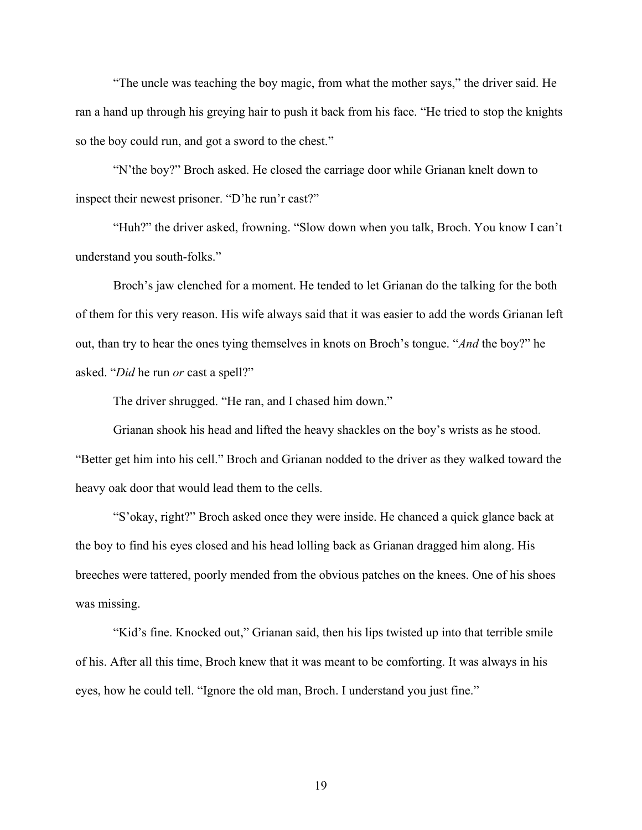"The uncle was teaching the boy magic, from what the mother says," the driver said. He ran a hand up through his greying hair to push it back from his face. "He tried to stop the knights so the boy could run, and got a sword to the chest."

"N'the boy?" Broch asked. He closed the carriage door while Grianan knelt down to inspect their newest prisoner. "D'he run'r cast?"

"Huh?" the driver asked, frowning. "Slow down when you talk, Broch. You know I can't understand you south-folks."

Broch's jaw clenched for a moment. He tended to let Grianan do the talking for the both of them for this very reason. His wife always said that it was easier to add the words Grianan left out, than try to hear the ones tying themselves in knots on Broch's tongue. "*And* the boy?" he asked. "*Did* he run *or* cast a spell?"

The driver shrugged. "He ran, and I chased him down."

Grianan shook his head and lifted the heavy shackles on the boy's wrists as he stood. "Better get him into his cell." Broch and Grianan nodded to the driver as they walked toward the heavy oak door that would lead them to the cells.

"S'okay, right?" Broch asked once they were inside. He chanced a quick glance back at the boy to find his eyes closed and his head lolling back as Grianan dragged him along. His breeches were tattered, poorly mended from the obvious patches on the knees. One of his shoes was missing.

"Kid's fine. Knocked out," Grianan said, then his lips twisted up into that terrible smile of his. After all this time, Broch knew that it was meant to be comforting. It was always in his eyes, how he could tell. "Ignore the old man, Broch. I understand you just fine."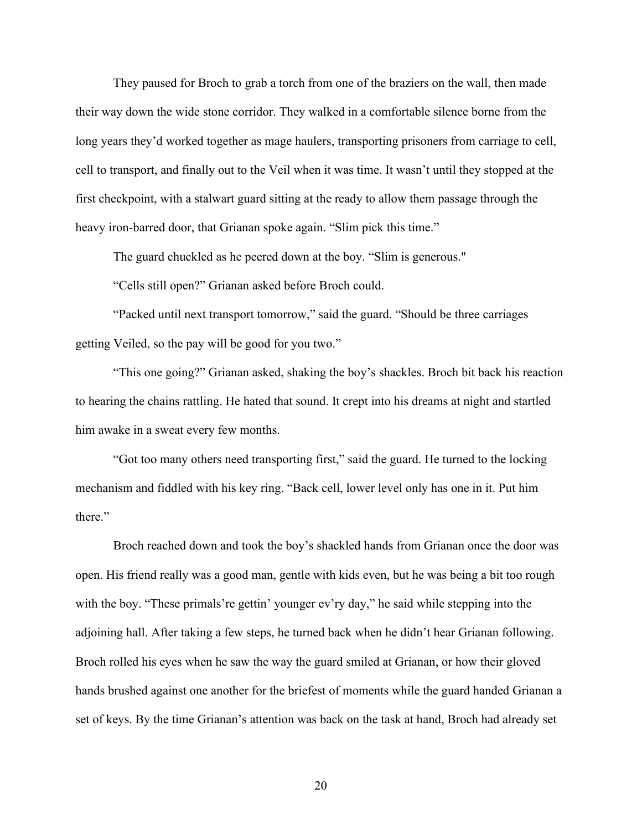They paused for Broch to grab a torch from one of the braziers on the wall, then made their way down the wide stone corridor. They walked in a comfortable silence borne from the long years they'd worked together as mage haulers, transporting prisoners from carriage to cell, cell to transport, and finally out to the Veil when it was time. It wasn't until they stopped at the first checkpoint, with a stalwart guard sitting at the ready to allow them passage through the heavy iron-barred door, that Grianan spoke again. "Slim pick this time."

The guard chuckled as he peered down at the boy. "Slim is generous."

"Cells still open?" Grianan asked before Broch could.

"Packed until next transport tomorrow," said the guard. "Should be three carriages getting Veiled, so the pay will be good for you two."

"This one going?" Grianan asked, shaking the boy's shackles. Broch bit back his reaction to hearing the chains rattling. He hated that sound. It crept into his dreams at night and startled him awake in a sweat every few months.

"Got too many others need transporting first," said the guard. He turned to the locking mechanism and fiddled with his key ring. "Back cell, lower level only has one in it. Put him there."

Broch reached down and took the boy's shackled hands from Grianan once the door was open. His friend really was a good man, gentle with kids even, but he was being a bit too rough with the boy. "These primals're gettin' younger ev'ry day," he said while stepping into the adjoining hall. After taking a few steps, he turned back when he didn't hear Grianan following. Broch rolled his eyes when he saw the way the guard smiled at Grianan, or how their gloved hands brushed against one another for the briefest of moments while the guard handed Grianan a set of keys. By the time Grianan's attention was back on the task at hand, Broch had already set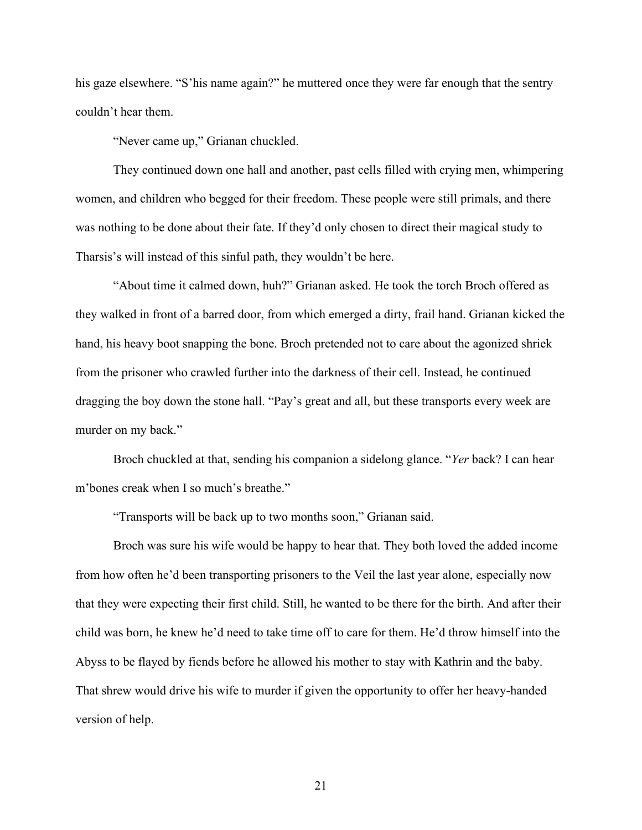his gaze elsewhere. "S'his name again?" he muttered once they were far enough that the sentry couldn't hear them.

"Never came up," Grianan chuckled.

They continued down one hall and another, past cells filled with crying men, whimpering women, and children who begged for their freedom. These people were still primals, and there was nothing to be done about their fate. If they'd only chosen to direct their magical study to Tharsis's will instead of this sinful path, they wouldn't be here.

"About time it calmed down, huh?" Grianan asked. He took the torch Broch offered as they walked in front of a barred door, from which emerged a dirty, frail hand. Grianan kicked the hand, his heavy boot snapping the bone. Broch pretended not to care about the agonized shriek from the prisoner who crawled further into the darkness of their cell. Instead, he continued dragging the boy down the stone hall. "Pay's great and all, but these transports every week are murder on my back."

Broch chuckled at that, sending his companion a sidelong glance. "*Yer* back? I can hear m'bones creak when I so much's breathe."

"Transports will be back up to two months soon," Grianan said.

Broch was sure his wife would be happy to hear that. They both loved the added income from how often he'd been transporting prisoners to the Veil the last year alone, especially now that they were expecting their first child. Still, he wanted to be there for the birth. And after their child was born, he knew he'd need to take time off to care for them. He'd throw himself into the Abyss to be flayed by fiends before he allowed his mother to stay with Kathrin and the baby. That shrew would drive his wife to murder if given the opportunity to offer her heavy-handed version of help.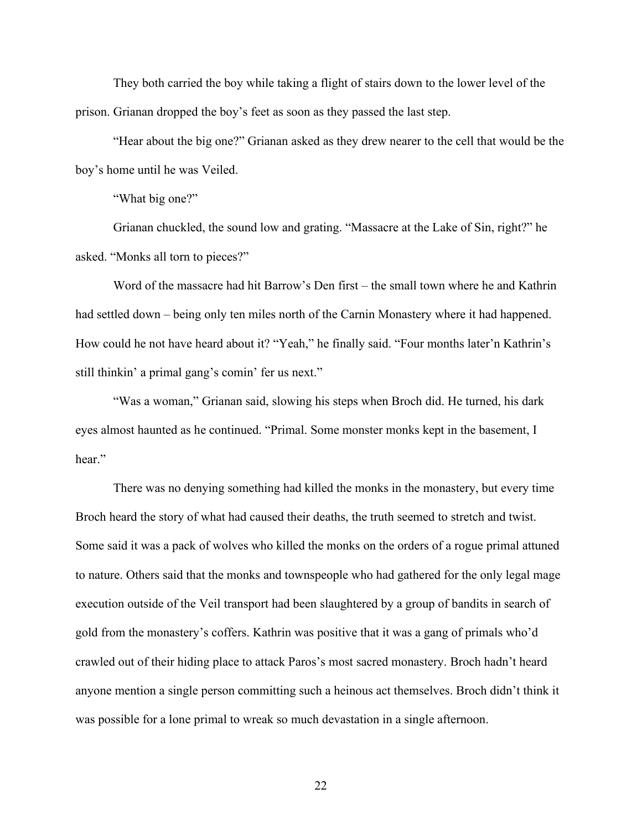They both carried the boy while taking a flight of stairs down to the lower level of the prison. Grianan dropped the boy's feet as soon as they passed the last step.

"Hear about the big one?" Grianan asked as they drew nearer to the cell that would be the boy's home until he was Veiled.

"What big one?"

Grianan chuckled, the sound low and grating. "Massacre at the Lake of Sin, right?" he asked. "Monks all torn to pieces?"

Word of the massacre had hit Barrow's Den first – the small town where he and Kathrin had settled down – being only ten miles north of the Carnin Monastery where it had happened. How could he not have heard about it? "Yeah," he finally said. "Four months later'n Kathrin's still thinkin' a primal gang's comin' fer us next."

"Was a woman," Grianan said, slowing his steps when Broch did. He turned, his dark eyes almost haunted as he continued. "Primal. Some monster monks kept in the basement, I hear."

There was no denying something had killed the monks in the monastery, but every time Broch heard the story of what had caused their deaths, the truth seemed to stretch and twist. Some said it was a pack of wolves who killed the monks on the orders of a rogue primal attuned to nature. Others said that the monks and townspeople who had gathered for the only legal mage execution outside of the Veil transport had been slaughtered by a group of bandits in search of gold from the monastery's coffers. Kathrin was positive that it was a gang of primals who'd crawled out of their hiding place to attack Paros's most sacred monastery. Broch hadn't heard anyone mention a single person committing such a heinous act themselves. Broch didn't think it was possible for a lone primal to wreak so much devastation in a single afternoon.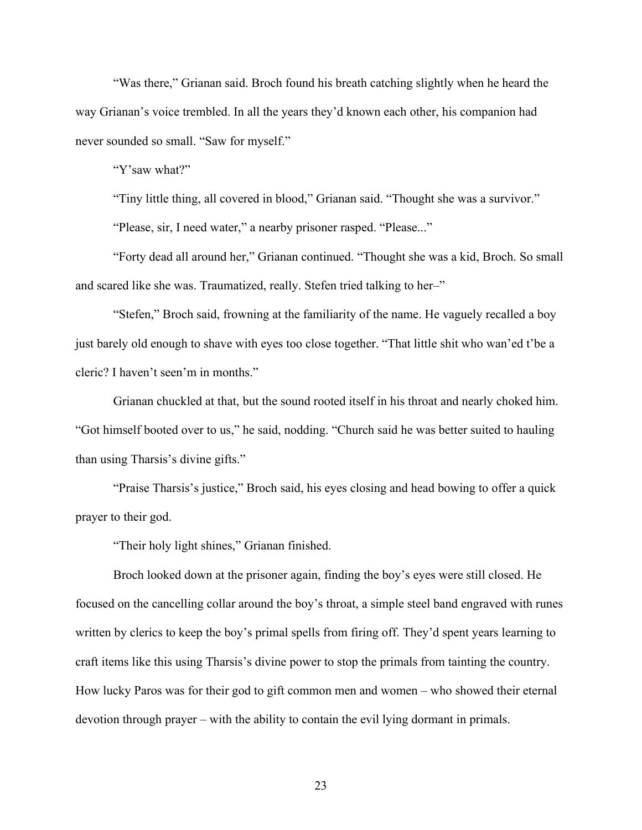"Was there," Grianan said. Broch found his breath catching slightly when he heard the way Grianan's voice trembled. In all the years they'd known each other, his companion had never sounded so small. "Saw for myself."

"Y'saw what?"

"Tiny little thing, all covered in blood," Grianan said. "Thought she was a survivor."

"Please, sir, I need water," a nearby prisoner rasped. "Please..."

"Forty dead all around her," Grianan continued. "Thought she was a kid, Broch. So small and scared like she was. Traumatized, really. Stefen tried talking to her–"

"Stefen," Broch said, frowning at the familiarity of the name. He vaguely recalled a boy just barely old enough to shave with eyes too close together. "That little shit who wan'ed t'be a cleric? I haven't seen'm in months."

Grianan chuckled at that, but the sound rooted itself in his throat and nearly choked him. "Got himself booted over to us," he said, nodding. "Church said he was better suited to hauling than using Tharsis's divine gifts."

"Praise Tharsis's justice," Broch said, his eyes closing and head bowing to offer a quick prayer to their god.

"Their holy light shines," Grianan finished.

Broch looked down at the prisoner again, finding the boy's eyes were still closed. He focused on the cancelling collar around the boy's throat, a simple steel band engraved with runes written by clerics to keep the boy's primal spells from firing off. They'd spent years learning to craft items like this using Tharsis's divine power to stop the primals from tainting the country. How lucky Paros was for their god to gift common men and women – who showed their eternal devotion through prayer – with the ability to contain the evil lying dormant in primals.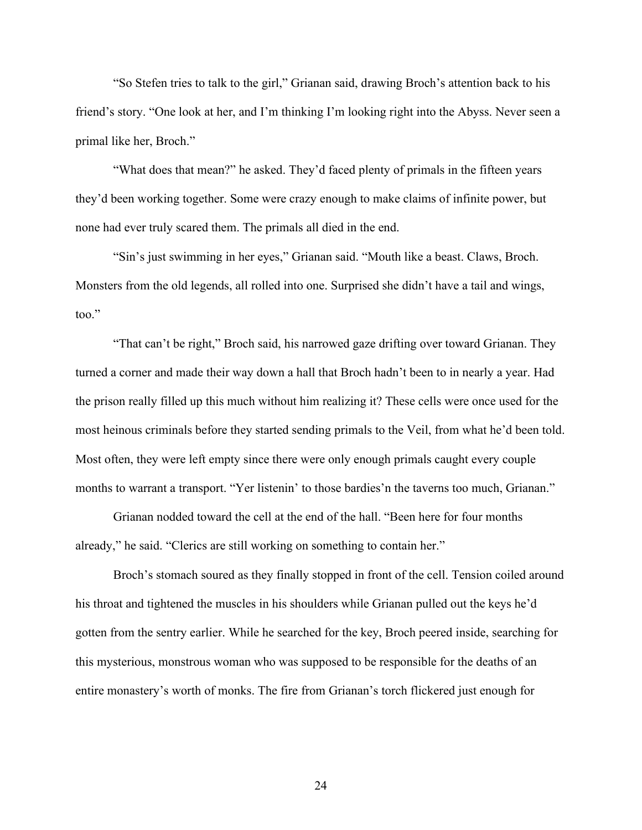"So Stefen tries to talk to the girl," Grianan said, drawing Broch's attention back to his friend's story. "One look at her, and I'm thinking I'm looking right into the Abyss. Never seen a primal like her, Broch."

"What does that mean?" he asked. They'd faced plenty of primals in the fifteen years they'd been working together. Some were crazy enough to make claims of infinite power, but none had ever truly scared them. The primals all died in the end.

"Sin's just swimming in her eyes," Grianan said. "Mouth like a beast. Claws, Broch. Monsters from the old legends, all rolled into one. Surprised she didn't have a tail and wings, too."

"That can't be right," Broch said, his narrowed gaze drifting over toward Grianan. They turned a corner and made their way down a hall that Broch hadn't been to in nearly a year. Had the prison really filled up this much without him realizing it? These cells were once used for the most heinous criminals before they started sending primals to the Veil, from what he'd been told. Most often, they were left empty since there were only enough primals caught every couple months to warrant a transport. "Yer listenin' to those bardies'n the taverns too much, Grianan."

Grianan nodded toward the cell at the end of the hall. "Been here for four months already," he said. "Clerics are still working on something to contain her."

Broch's stomach soured as they finally stopped in front of the cell. Tension coiled around his throat and tightened the muscles in his shoulders while Grianan pulled out the keys he'd gotten from the sentry earlier. While he searched for the key, Broch peered inside, searching for this mysterious, monstrous woman who was supposed to be responsible for the deaths of an entire monastery's worth of monks. The fire from Grianan's torch flickered just enough for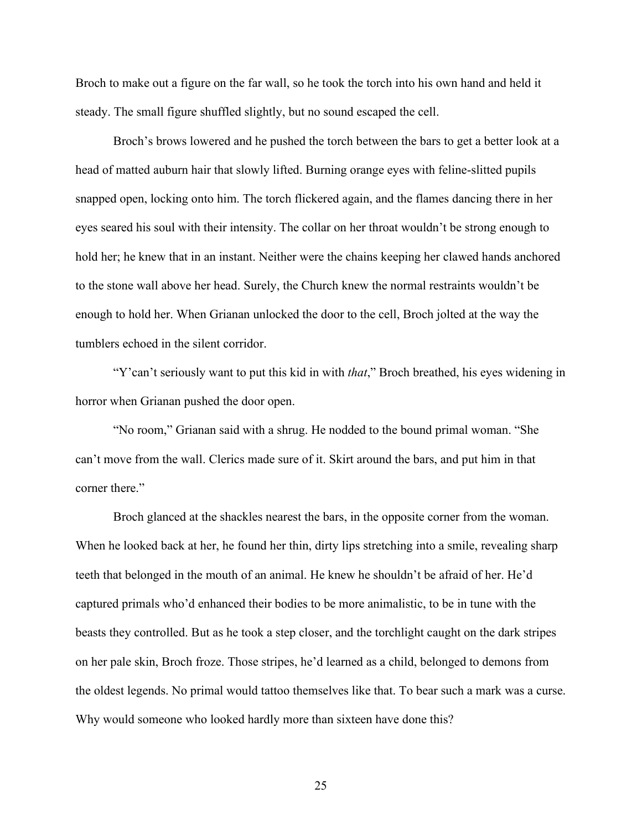Broch to make out a figure on the far wall, so he took the torch into his own hand and held it steady. The small figure shuffled slightly, but no sound escaped the cell.

Broch's brows lowered and he pushed the torch between the bars to get a better look at a head of matted auburn hair that slowly lifted. Burning orange eyes with feline-slitted pupils snapped open, locking onto him. The torch flickered again, and the flames dancing there in her eyes seared his soul with their intensity. The collar on her throat wouldn't be strong enough to hold her; he knew that in an instant. Neither were the chains keeping her clawed hands anchored to the stone wall above her head. Surely, the Church knew the normal restraints wouldn't be enough to hold her. When Grianan unlocked the door to the cell, Broch jolted at the way the tumblers echoed in the silent corridor.

"Y'can't seriously want to put this kid in with *that*," Broch breathed, his eyes widening in horror when Grianan pushed the door open.

"No room," Grianan said with a shrug. He nodded to the bound primal woman. "She can't move from the wall. Clerics made sure of it. Skirt around the bars, and put him in that corner there."

Broch glanced at the shackles nearest the bars, in the opposite corner from the woman. When he looked back at her, he found her thin, dirty lips stretching into a smile, revealing sharp teeth that belonged in the mouth of an animal. He knew he shouldn't be afraid of her. He'd captured primals who'd enhanced their bodies to be more animalistic, to be in tune with the beasts they controlled. But as he took a step closer, and the torchlight caught on the dark stripes on her pale skin, Broch froze. Those stripes, he'd learned as a child, belonged to demons from the oldest legends. No primal would tattoo themselves like that. To bear such a mark was a curse. Why would someone who looked hardly more than sixteen have done this?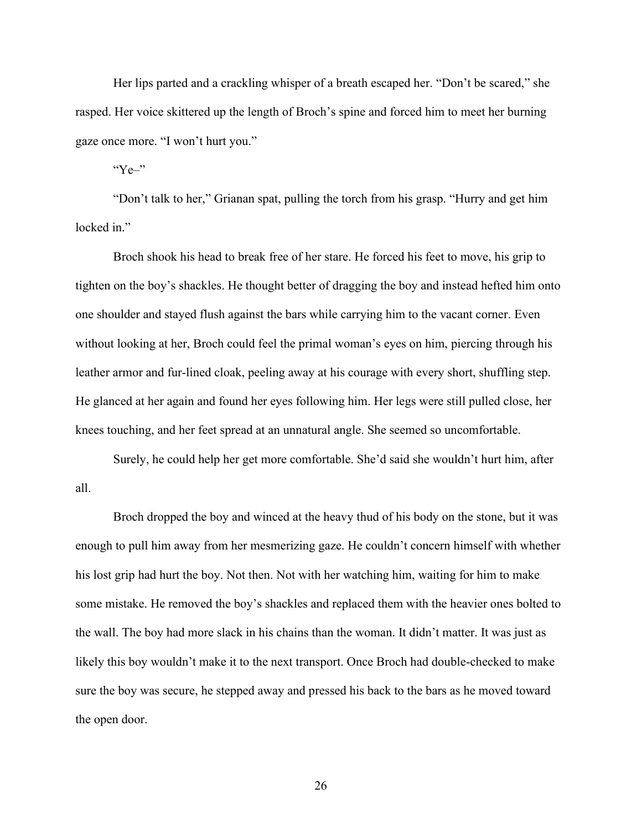Her lips parted and a crackling whisper of a breath escaped her. "Don't be scared," she rasped. Her voice skittered up the length of Broch's spine and forced him to meet her burning gaze once more. "I won't hurt you."

" $Ye$ <sup>"</sup>

"Don't talk to her," Grianan spat, pulling the torch from his grasp. "Hurry and get him locked in."

Broch shook his head to break free of her stare. He forced his feet to move, his grip to tighten on the boy's shackles. He thought better of dragging the boy and instead hefted him onto one shoulder and stayed flush against the bars while carrying him to the vacant corner. Even without looking at her, Broch could feel the primal woman's eyes on him, piercing through his leather armor and fur-lined cloak, peeling away at his courage with every short, shuffling step. He glanced at her again and found her eyes following him. Her legs were still pulled close, her knees touching, and her feet spread at an unnatural angle. She seemed so uncomfortable.

Surely, he could help her get more comfortable. She'd said she wouldn't hurt him, after all.

Broch dropped the boy and winced at the heavy thud of his body on the stone, but it was enough to pull him away from her mesmerizing gaze. He couldn't concern himself with whether his lost grip had hurt the boy. Not then. Not with her watching him, waiting for him to make some mistake. He removed the boy's shackles and replaced them with the heavier ones bolted to the wall. The boy had more slack in his chains than the woman. It didn't matter. It was just as likely this boy wouldn't make it to the next transport. Once Broch had double-checked to make sure the boy was secure, he stepped away and pressed his back to the bars as he moved toward the open door.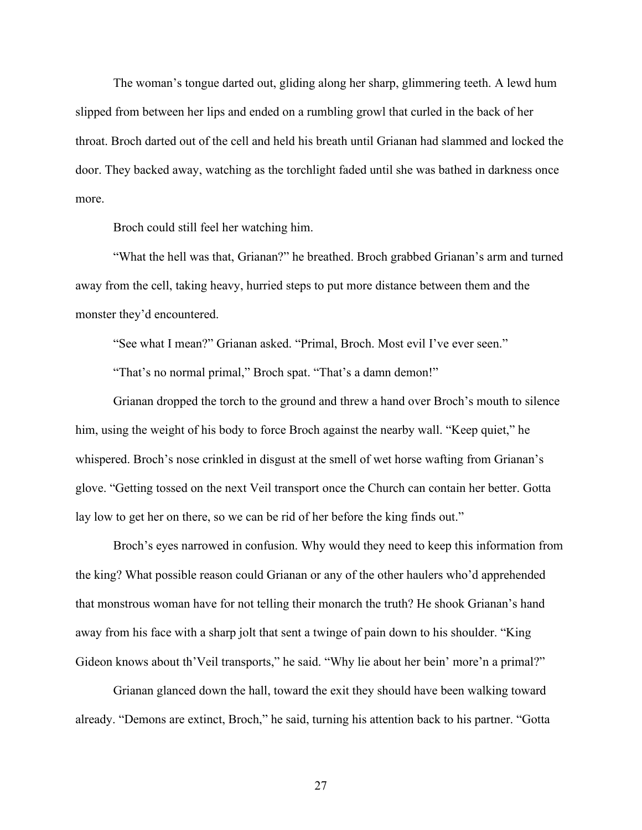The woman's tongue darted out, gliding along her sharp, glimmering teeth. A lewd hum slipped from between her lips and ended on a rumbling growl that curled in the back of her throat. Broch darted out of the cell and held his breath until Grianan had slammed and locked the door. They backed away, watching as the torchlight faded until she was bathed in darkness once more.

Broch could still feel her watching him.

"What the hell was that, Grianan?" he breathed. Broch grabbed Grianan's arm and turned away from the cell, taking heavy, hurried steps to put more distance between them and the monster they'd encountered.

"See what I mean?" Grianan asked. "Primal, Broch. Most evil I've ever seen."

"That's no normal primal," Broch spat. "That's a damn demon!"

Grianan dropped the torch to the ground and threw a hand over Broch's mouth to silence him, using the weight of his body to force Broch against the nearby wall. "Keep quiet," he whispered. Broch's nose crinkled in disgust at the smell of wet horse wafting from Grianan's glove. "Getting tossed on the next Veil transport once the Church can contain her better. Gotta lay low to get her on there, so we can be rid of her before the king finds out."

Broch's eyes narrowed in confusion. Why would they need to keep this information from the king? What possible reason could Grianan or any of the other haulers who'd apprehended that monstrous woman have for not telling their monarch the truth? He shook Grianan's hand away from his face with a sharp jolt that sent a twinge of pain down to his shoulder. "King Gideon knows about th'Veil transports," he said. "Why lie about her bein' more'n a primal?"

Grianan glanced down the hall, toward the exit they should have been walking toward already. "Demons are extinct, Broch," he said, turning his attention back to his partner. "Gotta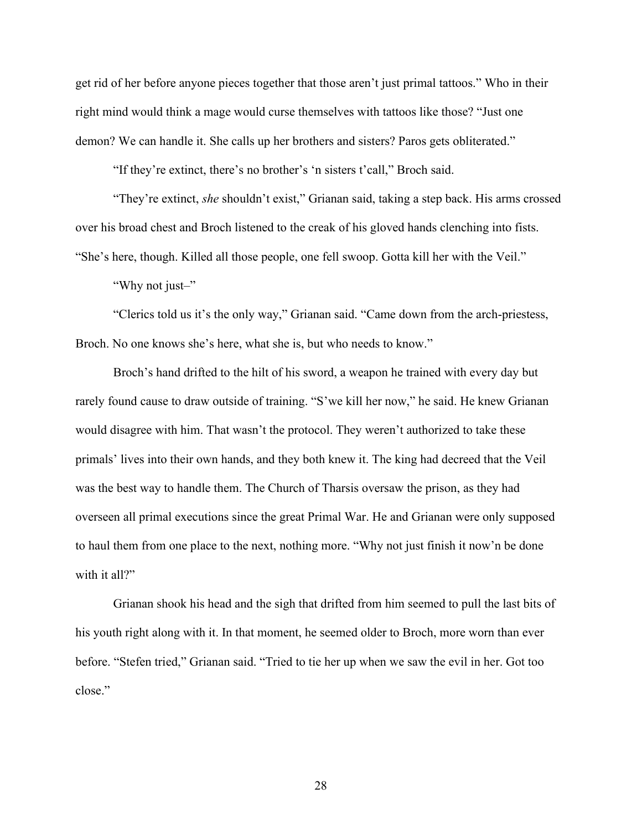get rid of her before anyone pieces together that those aren't just primal tattoos." Who in their right mind would think a mage would curse themselves with tattoos like those? "Just one demon? We can handle it. She calls up her brothers and sisters? Paros gets obliterated."

"If they're extinct, there's no brother's 'n sisters t'call," Broch said.

"They're extinct, *she* shouldn't exist," Grianan said, taking a step back. His arms crossed over his broad chest and Broch listened to the creak of his gloved hands clenching into fists. "She's here, though. Killed all those people, one fell swoop. Gotta kill her with the Veil."

"Why not just-"

"Clerics told us it's the only way," Grianan said. "Came down from the arch-priestess, Broch. No one knows she's here, what she is, but who needs to know."

Broch's hand drifted to the hilt of his sword, a weapon he trained with every day but rarely found cause to draw outside of training. "S'we kill her now," he said. He knew Grianan would disagree with him. That wasn't the protocol. They weren't authorized to take these primals' lives into their own hands, and they both knew it. The king had decreed that the Veil was the best way to handle them. The Church of Tharsis oversaw the prison, as they had overseen all primal executions since the great Primal War. He and Grianan were only supposed to haul them from one place to the next, nothing more. "Why not just finish it now'n be done with it all?"

Grianan shook his head and the sigh that drifted from him seemed to pull the last bits of his youth right along with it. In that moment, he seemed older to Broch, more worn than ever before. "Stefen tried," Grianan said. "Tried to tie her up when we saw the evil in her. Got too close."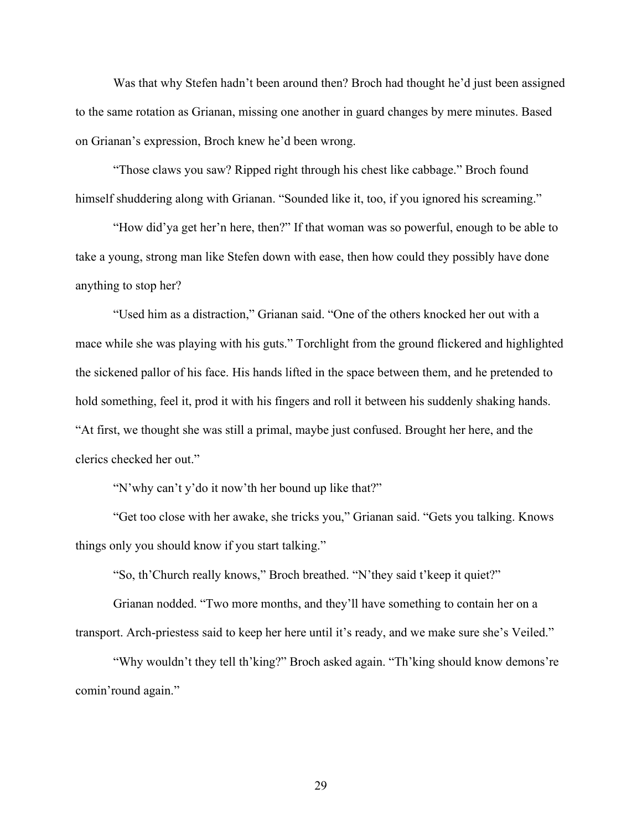Was that why Stefen hadn't been around then? Broch had thought he'd just been assigned to the same rotation as Grianan, missing one another in guard changes by mere minutes. Based on Grianan's expression, Broch knew he'd been wrong.

"Those claws you saw? Ripped right through his chest like cabbage." Broch found himself shuddering along with Grianan. "Sounded like it, too, if you ignored his screaming."

"How did'ya get her'n here, then?" If that woman was so powerful, enough to be able to take a young, strong man like Stefen down with ease, then how could they possibly have done anything to stop her?

"Used him as a distraction," Grianan said. "One of the others knocked her out with a mace while she was playing with his guts." Torchlight from the ground flickered and highlighted the sickened pallor of his face. His hands lifted in the space between them, and he pretended to hold something, feel it, prod it with his fingers and roll it between his suddenly shaking hands. "At first, we thought she was still a primal, maybe just confused. Brought her here, and the clerics checked her out."

"N'why can't y'do it now'th her bound up like that?"

"Get too close with her awake, she tricks you," Grianan said. "Gets you talking. Knows things only you should know if you start talking."

"So, th'Church really knows," Broch breathed. "N'they said t'keep it quiet?"

Grianan nodded. "Two more months, and they'll have something to contain her on a transport. Arch-priestess said to keep her here until it's ready, and we make sure she's Veiled."

"Why wouldn't they tell th'king?" Broch asked again. "Th'king should know demons're comin'round again."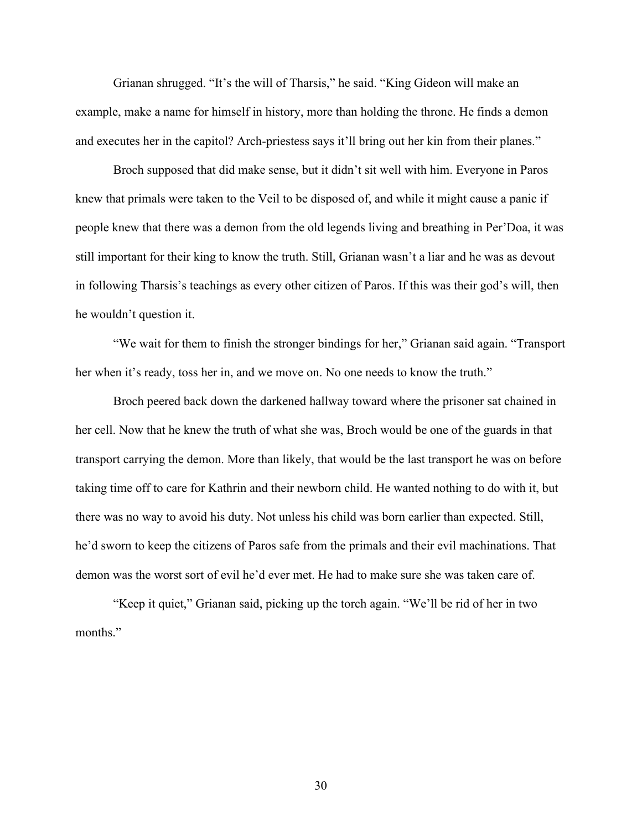Grianan shrugged. "It's the will of Tharsis," he said. "King Gideon will make an example, make a name for himself in history, more than holding the throne. He finds a demon and executes her in the capitol? Arch-priestess says it'll bring out her kin from their planes."

Broch supposed that did make sense, but it didn't sit well with him. Everyone in Paros knew that primals were taken to the Veil to be disposed of, and while it might cause a panic if people knew that there was a demon from the old legends living and breathing in Per'Doa, it was still important for their king to know the truth. Still, Grianan wasn't a liar and he was as devout in following Tharsis's teachings as every other citizen of Paros. If this was their god's will, then he wouldn't question it.

"We wait for them to finish the stronger bindings for her," Grianan said again. "Transport her when it's ready, toss her in, and we move on. No one needs to know the truth."

Broch peered back down the darkened hallway toward where the prisoner sat chained in her cell. Now that he knew the truth of what she was, Broch would be one of the guards in that transport carrying the demon. More than likely, that would be the last transport he was on before taking time off to care for Kathrin and their newborn child. He wanted nothing to do with it, but there was no way to avoid his duty. Not unless his child was born earlier than expected. Still, he'd sworn to keep the citizens of Paros safe from the primals and their evil machinations. That demon was the worst sort of evil he'd ever met. He had to make sure she was taken care of.

"Keep it quiet," Grianan said, picking up the torch again. "We'll be rid of her in two months."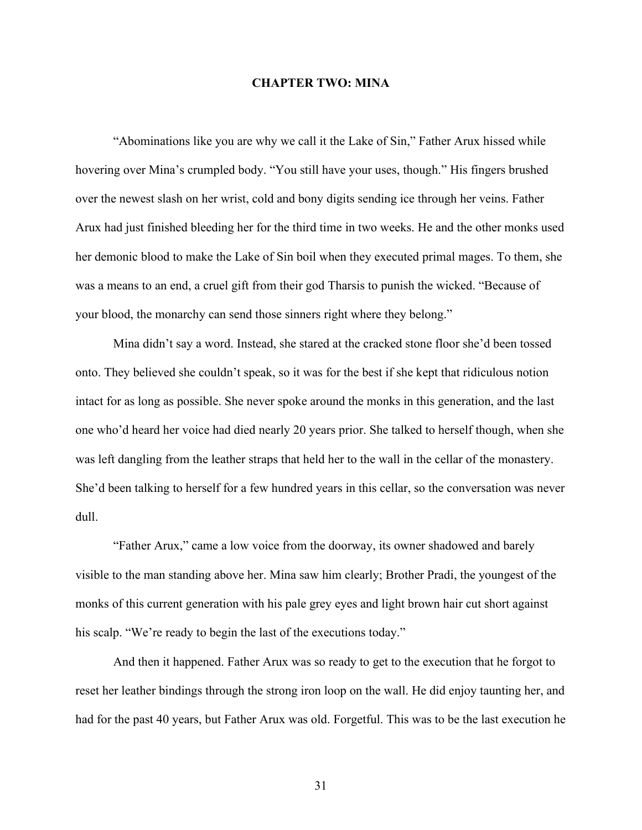## **CHAPTER TWO: MINA**

"Abominations like you are why we call it the Lake of Sin," Father Arux hissed while hovering over Mina's crumpled body. "You still have your uses, though." His fingers brushed over the newest slash on her wrist, cold and bony digits sending ice through her veins. Father Arux had just finished bleeding her for the third time in two weeks. He and the other monks used her demonic blood to make the Lake of Sin boil when they executed primal mages. To them, she was a means to an end, a cruel gift from their god Tharsis to punish the wicked. "Because of your blood, the monarchy can send those sinners right where they belong."

Mina didn't say a word. Instead, she stared at the cracked stone floor she'd been tossed onto. They believed she couldn't speak, so it was for the best if she kept that ridiculous notion intact for as long as possible. She never spoke around the monks in this generation, and the last one who'd heard her voice had died nearly 20 years prior. She talked to herself though, when she was left dangling from the leather straps that held her to the wall in the cellar of the monastery. She'd been talking to herself for a few hundred years in this cellar, so the conversation was never dull.

"Father Arux," came a low voice from the doorway, its owner shadowed and barely visible to the man standing above her. Mina saw him clearly; Brother Pradi, the youngest of the monks of this current generation with his pale grey eyes and light brown hair cut short against his scalp. "We're ready to begin the last of the executions today."

And then it happened. Father Arux was so ready to get to the execution that he forgot to reset her leather bindings through the strong iron loop on the wall. He did enjoy taunting her, and had for the past 40 years, but Father Arux was old. Forgetful. This was to be the last execution he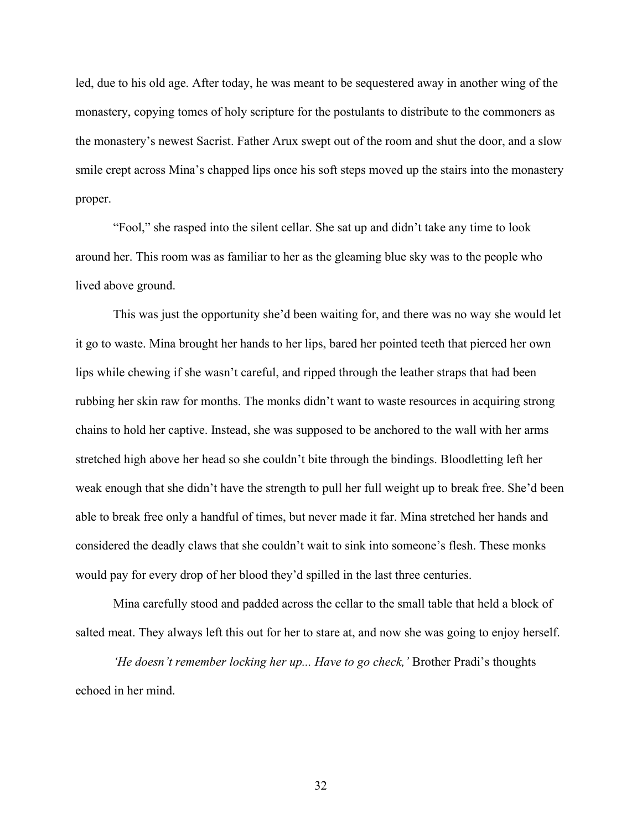led, due to his old age. After today, he was meant to be sequestered away in another wing of the monastery, copying tomes of holy scripture for the postulants to distribute to the commoners as the monastery's newest Sacrist. Father Arux swept out of the room and shut the door, and a slow smile crept across Mina's chapped lips once his soft steps moved up the stairs into the monastery proper.

"Fool," she rasped into the silent cellar. She sat up and didn't take any time to look around her. This room was as familiar to her as the gleaming blue sky was to the people who lived above ground.

This was just the opportunity she'd been waiting for, and there was no way she would let it go to waste. Mina brought her hands to her lips, bared her pointed teeth that pierced her own lips while chewing if she wasn't careful, and ripped through the leather straps that had been rubbing her skin raw for months. The monks didn't want to waste resources in acquiring strong chains to hold her captive. Instead, she was supposed to be anchored to the wall with her arms stretched high above her head so she couldn't bite through the bindings. Bloodletting left her weak enough that she didn't have the strength to pull her full weight up to break free. She'd been able to break free only a handful of times, but never made it far. Mina stretched her hands and considered the deadly claws that she couldn't wait to sink into someone's flesh. These monks would pay for every drop of her blood they'd spilled in the last three centuries.

Mina carefully stood and padded across the cellar to the small table that held a block of salted meat. They always left this out for her to stare at, and now she was going to enjoy herself.

*'He doesn't remember locking her up... Have to go check,'* Brother Pradi's thoughts echoed in her mind.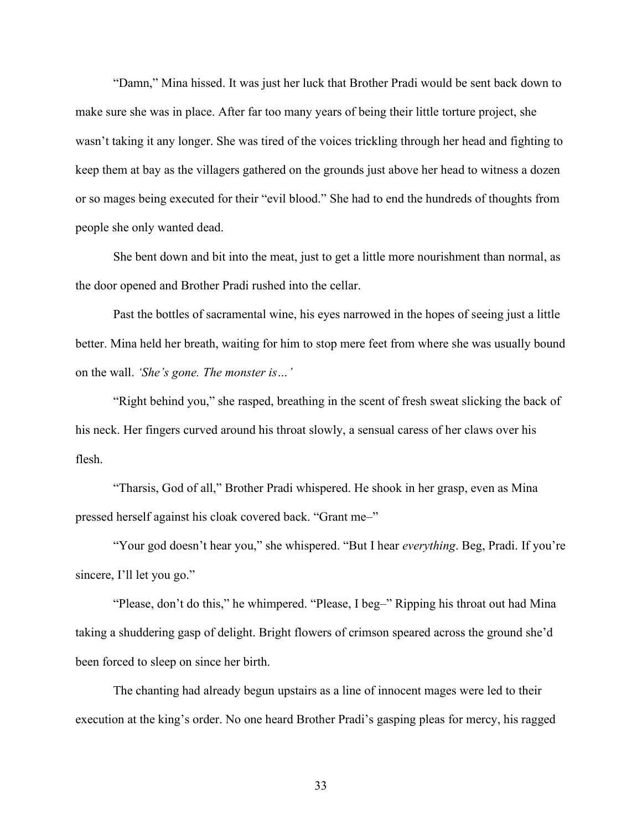"Damn," Mina hissed. It was just her luck that Brother Pradi would be sent back down to make sure she was in place. After far too many years of being their little torture project, she wasn't taking it any longer. She was tired of the voices trickling through her head and fighting to keep them at bay as the villagers gathered on the grounds just above her head to witness a dozen or so mages being executed for their "evil blood." She had to end the hundreds of thoughts from people she only wanted dead.

She bent down and bit into the meat, just to get a little more nourishment than normal, as the door opened and Brother Pradi rushed into the cellar.

Past the bottles of sacramental wine, his eyes narrowed in the hopes of seeing just a little better. Mina held her breath, waiting for him to stop mere feet from where she was usually bound on the wall. *'She's gone. The monster is…'*

"Right behind you," she rasped, breathing in the scent of fresh sweat slicking the back of his neck. Her fingers curved around his throat slowly, a sensual caress of her claws over his flesh.

"Tharsis, God of all," Brother Pradi whispered. He shook in her grasp, even as Mina pressed herself against his cloak covered back. "Grant me–"

"Your god doesn't hear you," she whispered. "But I hear *everything*. Beg, Pradi. If you're sincere, I'll let you go."

"Please, don't do this," he whimpered. "Please, I beg–" Ripping his throat out had Mina taking a shuddering gasp of delight. Bright flowers of crimson speared across the ground she'd been forced to sleep on since her birth.

The chanting had already begun upstairs as a line of innocent mages were led to their execution at the king's order. No one heard Brother Pradi's gasping pleas for mercy, his ragged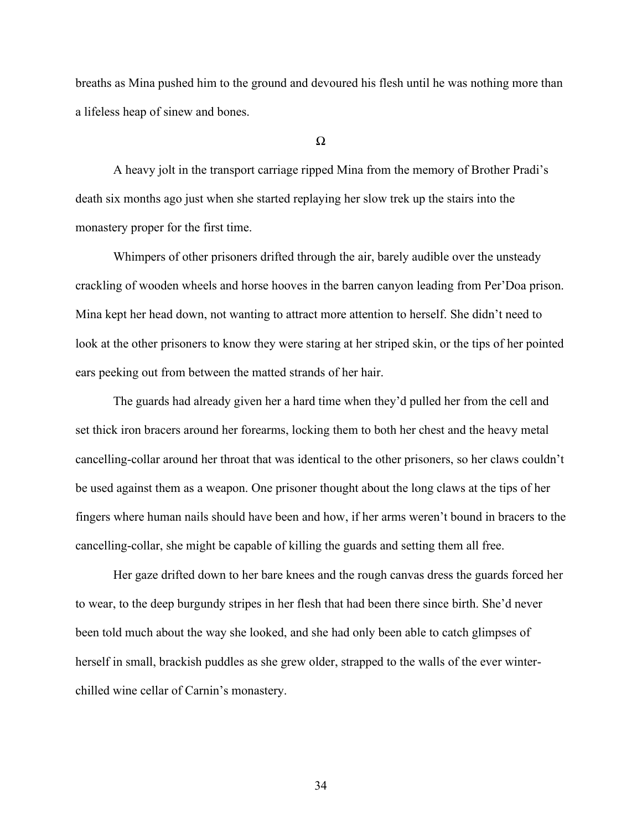breaths as Mina pushed him to the ground and devoured his flesh until he was nothing more than a lifeless heap of sinew and bones.

Ω

A heavy jolt in the transport carriage ripped Mina from the memory of Brother Pradi's death six months ago just when she started replaying her slow trek up the stairs into the monastery proper for the first time.

Whimpers of other prisoners drifted through the air, barely audible over the unsteady crackling of wooden wheels and horse hooves in the barren canyon leading from Per'Doa prison. Mina kept her head down, not wanting to attract more attention to herself. She didn't need to look at the other prisoners to know they were staring at her striped skin, or the tips of her pointed ears peeking out from between the matted strands of her hair.

The guards had already given her a hard time when they'd pulled her from the cell and set thick iron bracers around her forearms, locking them to both her chest and the heavy metal cancelling-collar around her throat that was identical to the other prisoners, so her claws couldn't be used against them as a weapon. One prisoner thought about the long claws at the tips of her fingers where human nails should have been and how, if her arms weren't bound in bracers to the cancelling-collar, she might be capable of killing the guards and setting them all free.

Her gaze drifted down to her bare knees and the rough canvas dress the guards forced her to wear, to the deep burgundy stripes in her flesh that had been there since birth. She'd never been told much about the way she looked, and she had only been able to catch glimpses of herself in small, brackish puddles as she grew older, strapped to the walls of the ever winterchilled wine cellar of Carnin's monastery.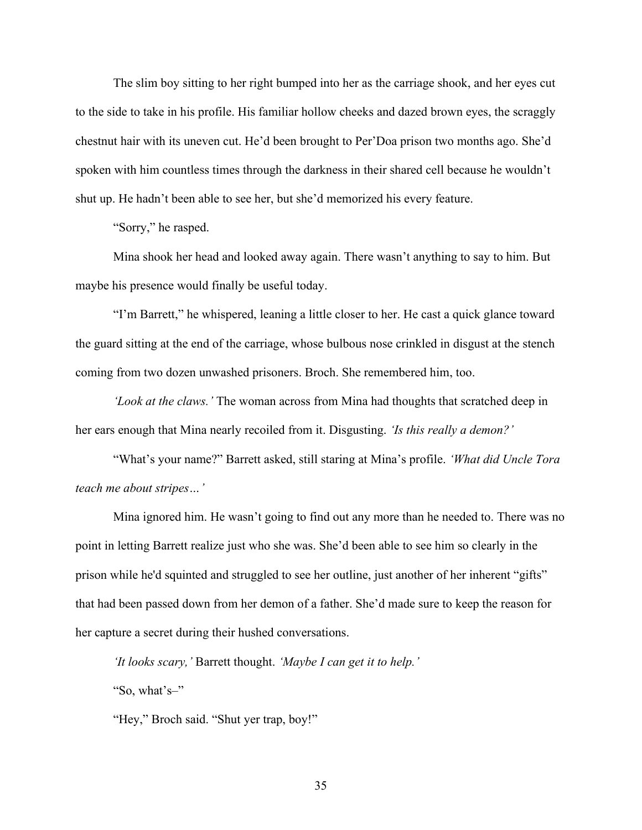The slim boy sitting to her right bumped into her as the carriage shook, and her eyes cut to the side to take in his profile. His familiar hollow cheeks and dazed brown eyes, the scraggly chestnut hair with its uneven cut. He'd been brought to Per'Doa prison two months ago. She'd spoken with him countless times through the darkness in their shared cell because he wouldn't shut up. He hadn't been able to see her, but she'd memorized his every feature.

"Sorry," he rasped.

Mina shook her head and looked away again. There wasn't anything to say to him. But maybe his presence would finally be useful today.

"I'm Barrett," he whispered, leaning a little closer to her. He cast a quick glance toward the guard sitting at the end of the carriage, whose bulbous nose crinkled in disgust at the stench coming from two dozen unwashed prisoners. Broch. She remembered him, too.

*'Look at the claws.'* The woman across from Mina had thoughts that scratched deep in her ears enough that Mina nearly recoiled from it. Disgusting. *'Is this really a demon?'*

"What's your name?" Barrett asked, still staring at Mina's profile. *'What did Uncle Tora teach me about stripes…'*

Mina ignored him. He wasn't going to find out any more than he needed to. There was no point in letting Barrett realize just who she was. She'd been able to see him so clearly in the prison while he'd squinted and struggled to see her outline, just another of her inherent "gifts" that had been passed down from her demon of a father. She'd made sure to keep the reason for her capture a secret during their hushed conversations.

*'It looks scary,'* Barrett thought. *'Maybe I can get it to help.'*

"So, what's–"

"Hey," Broch said. "Shut yer trap, boy!"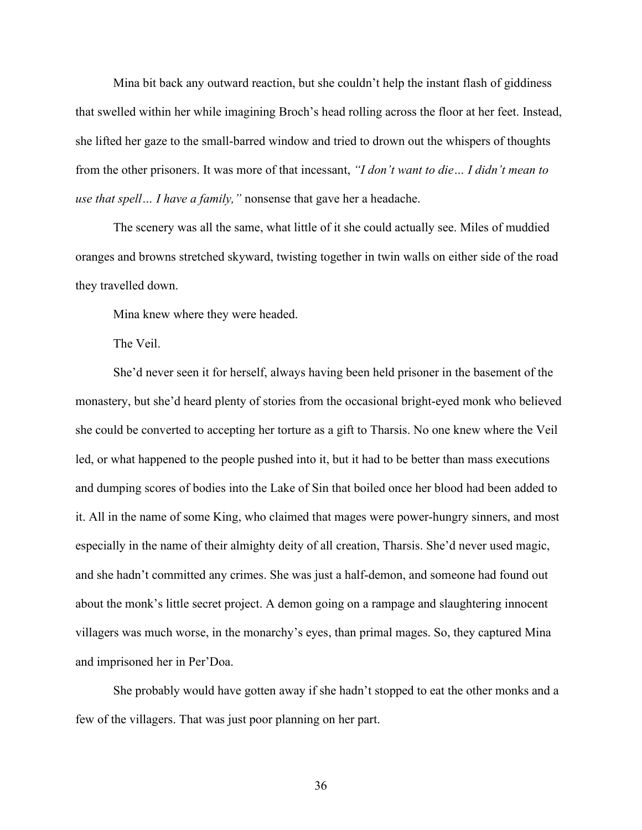Mina bit back any outward reaction, but she couldn't help the instant flash of giddiness that swelled within her while imagining Broch's head rolling across the floor at her feet. Instead, she lifted her gaze to the small-barred window and tried to drown out the whispers of thoughts from the other prisoners. It was more of that incessant, *"I don't want to die… I didn't mean to use that spell… I have a family,"* nonsense that gave her a headache.

The scenery was all the same, what little of it she could actually see. Miles of muddied oranges and browns stretched skyward, twisting together in twin walls on either side of the road they travelled down.

Mina knew where they were headed.

The Veil.

She'd never seen it for herself, always having been held prisoner in the basement of the monastery, but she'd heard plenty of stories from the occasional bright-eyed monk who believed she could be converted to accepting her torture as a gift to Tharsis. No one knew where the Veil led, or what happened to the people pushed into it, but it had to be better than mass executions and dumping scores of bodies into the Lake of Sin that boiled once her blood had been added to it. All in the name of some King, who claimed that mages were power-hungry sinners, and most especially in the name of their almighty deity of all creation, Tharsis. She'd never used magic, and she hadn't committed any crimes. She was just a half-demon, and someone had found out about the monk's little secret project. A demon going on a rampage and slaughtering innocent villagers was much worse, in the monarchy's eyes, than primal mages. So, they captured Mina and imprisoned her in Per'Doa.

She probably would have gotten away if she hadn't stopped to eat the other monks and a few of the villagers. That was just poor planning on her part.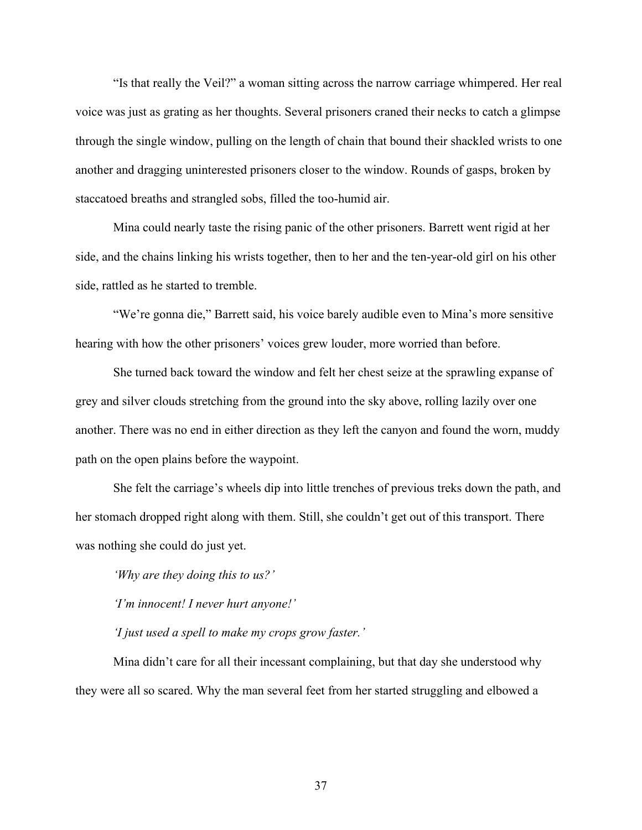"Is that really the Veil?" a woman sitting across the narrow carriage whimpered. Her real voice was just as grating as her thoughts. Several prisoners craned their necks to catch a glimpse through the single window, pulling on the length of chain that bound their shackled wrists to one another and dragging uninterested prisoners closer to the window. Rounds of gasps, broken by staccatoed breaths and strangled sobs, filled the too-humid air.

Mina could nearly taste the rising panic of the other prisoners. Barrett went rigid at her side, and the chains linking his wrists together, then to her and the ten-year-old girl on his other side, rattled as he started to tremble.

"We're gonna die," Barrett said, his voice barely audible even to Mina's more sensitive hearing with how the other prisoners' voices grew louder, more worried than before.

She turned back toward the window and felt her chest seize at the sprawling expanse of grey and silver clouds stretching from the ground into the sky above, rolling lazily over one another. There was no end in either direction as they left the canyon and found the worn, muddy path on the open plains before the waypoint.

She felt the carriage's wheels dip into little trenches of previous treks down the path, and her stomach dropped right along with them. Still, she couldn't get out of this transport. There was nothing she could do just yet.

*'Why are they doing this to us?'*

*'I'm innocent! I never hurt anyone!'*

*'I just used a spell to make my crops grow faster.'*

Mina didn't care for all their incessant complaining, but that day she understood why they were all so scared. Why the man several feet from her started struggling and elbowed a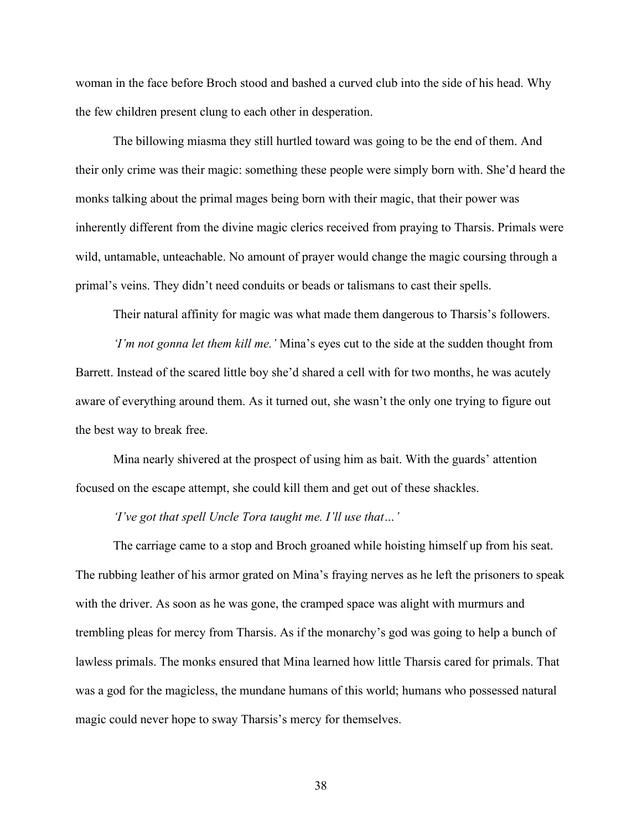woman in the face before Broch stood and bashed a curved club into the side of his head. Why the few children present clung to each other in desperation.

The billowing miasma they still hurtled toward was going to be the end of them. And their only crime was their magic: something these people were simply born with. She'd heard the monks talking about the primal mages being born with their magic, that their power was inherently different from the divine magic clerics received from praying to Tharsis. Primals were wild, untamable, unteachable. No amount of prayer would change the magic coursing through a primal's veins. They didn't need conduits or beads or talismans to cast their spells.

Their natural affinity for magic was what made them dangerous to Tharsis's followers.

*'I'm not gonna let them kill me.'* Mina's eyes cut to the side at the sudden thought from Barrett. Instead of the scared little boy she'd shared a cell with for two months, he was acutely aware of everything around them. As it turned out, she wasn't the only one trying to figure out the best way to break free.

Mina nearly shivered at the prospect of using him as bait. With the guards' attention focused on the escape attempt, she could kill them and get out of these shackles.

*'I've got that spell Uncle Tora taught me. I'll use that…'*

The carriage came to a stop and Broch groaned while hoisting himself up from his seat. The rubbing leather of his armor grated on Mina's fraying nerves as he left the prisoners to speak with the driver. As soon as he was gone, the cramped space was alight with murmurs and trembling pleas for mercy from Tharsis. As if the monarchy's god was going to help a bunch of lawless primals. The monks ensured that Mina learned how little Tharsis cared for primals. That was a god for the magicless, the mundane humans of this world; humans who possessed natural magic could never hope to sway Tharsis's mercy for themselves.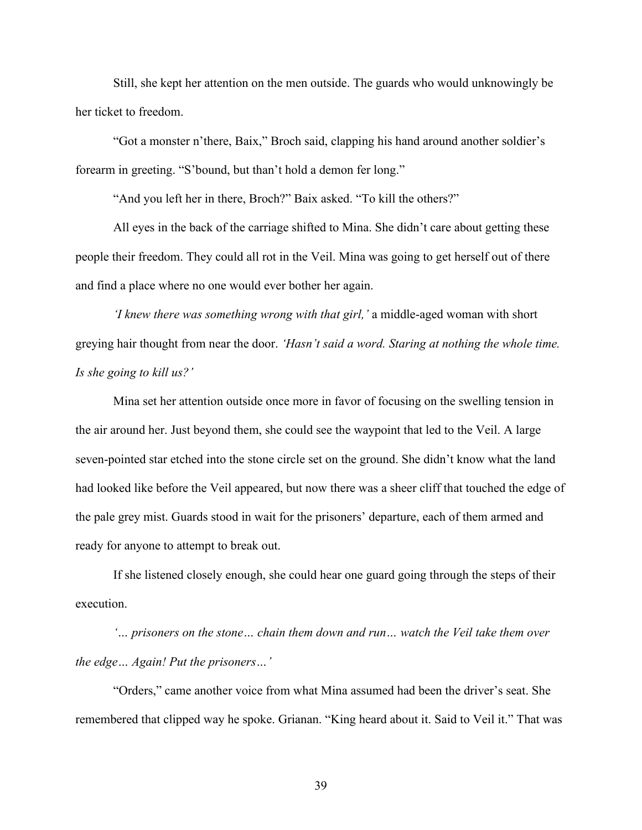Still, she kept her attention on the men outside. The guards who would unknowingly be her ticket to freedom.

"Got a monster n'there, Baix," Broch said, clapping his hand around another soldier's forearm in greeting. "S'bound, but than't hold a demon fer long."

"And you left her in there, Broch?" Baix asked. "To kill the others?"

All eyes in the back of the carriage shifted to Mina. She didn't care about getting these people their freedom. They could all rot in the Veil. Mina was going to get herself out of there and find a place where no one would ever bother her again.

*'I knew there was something wrong with that girl,'* a middle-aged woman with short greying hair thought from near the door. *'Hasn't said a word. Staring at nothing the whole time. Is she going to kill us?'*

Mina set her attention outside once more in favor of focusing on the swelling tension in the air around her. Just beyond them, she could see the waypoint that led to the Veil. A large seven-pointed star etched into the stone circle set on the ground. She didn't know what the land had looked like before the Veil appeared, but now there was a sheer cliff that touched the edge of the pale grey mist. Guards stood in wait for the prisoners' departure, each of them armed and ready for anyone to attempt to break out.

If she listened closely enough, she could hear one guard going through the steps of their execution.

*'… prisoners on the stone… chain them down and run… watch the Veil take them over the edge… Again! Put the prisoners…'*

"Orders," came another voice from what Mina assumed had been the driver's seat. She remembered that clipped way he spoke. Grianan. "King heard about it. Said to Veil it." That was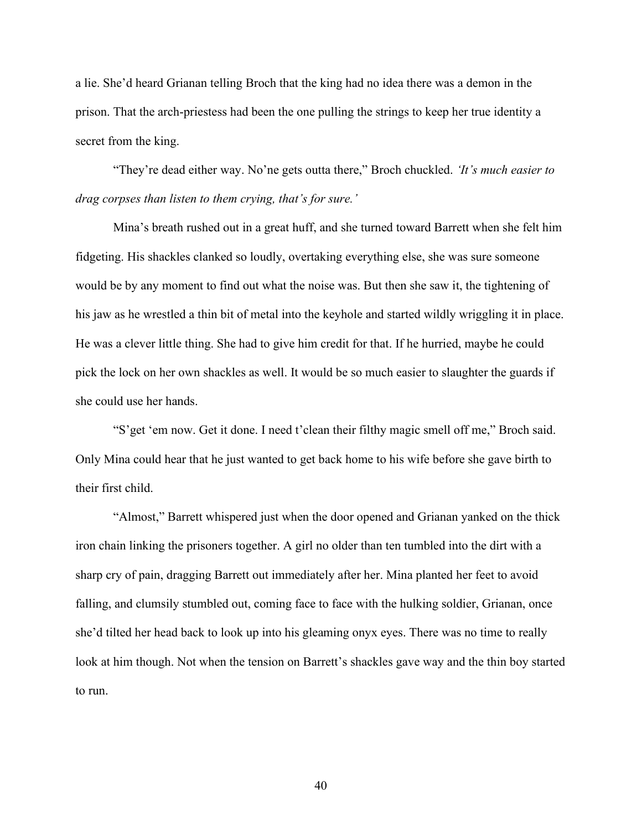a lie. She'd heard Grianan telling Broch that the king had no idea there was a demon in the prison. That the arch-priestess had been the one pulling the strings to keep her true identity a secret from the king.

"They're dead either way. No'ne gets outta there," Broch chuckled. *'It's much easier to drag corpses than listen to them crying, that's for sure.'*

Mina's breath rushed out in a great huff, and she turned toward Barrett when she felt him fidgeting. His shackles clanked so loudly, overtaking everything else, she was sure someone would be by any moment to find out what the noise was. But then she saw it, the tightening of his jaw as he wrestled a thin bit of metal into the keyhole and started wildly wriggling it in place. He was a clever little thing. She had to give him credit for that. If he hurried, maybe he could pick the lock on her own shackles as well. It would be so much easier to slaughter the guards if she could use her hands.

"S'get 'em now. Get it done. I need t'clean their filthy magic smell off me," Broch said. Only Mina could hear that he just wanted to get back home to his wife before she gave birth to their first child.

"Almost," Barrett whispered just when the door opened and Grianan yanked on the thick iron chain linking the prisoners together. A girl no older than ten tumbled into the dirt with a sharp cry of pain, dragging Barrett out immediately after her. Mina planted her feet to avoid falling, and clumsily stumbled out, coming face to face with the hulking soldier, Grianan, once she'd tilted her head back to look up into his gleaming onyx eyes. There was no time to really look at him though. Not when the tension on Barrett's shackles gave way and the thin boy started to run.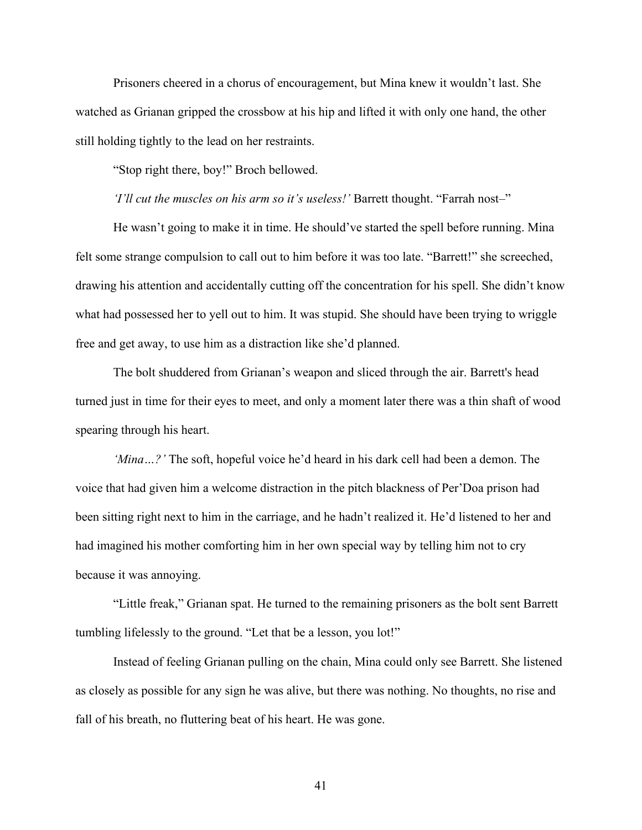Prisoners cheered in a chorus of encouragement, but Mina knew it wouldn't last. She watched as Grianan gripped the crossbow at his hip and lifted it with only one hand, the other still holding tightly to the lead on her restraints.

"Stop right there, boy!" Broch bellowed.

*'I'll cut the muscles on his arm so it's useless!'* Barrett thought. "Farrah nost–"

He wasn't going to make it in time. He should've started the spell before running. Mina felt some strange compulsion to call out to him before it was too late. "Barrett!" she screeched, drawing his attention and accidentally cutting off the concentration for his spell. She didn't know what had possessed her to yell out to him. It was stupid. She should have been trying to wriggle free and get away, to use him as a distraction like she'd planned.

The bolt shuddered from Grianan's weapon and sliced through the air. Barrett's head turned just in time for their eyes to meet, and only a moment later there was a thin shaft of wood spearing through his heart.

*'Mina…?'* The soft, hopeful voice he'd heard in his dark cell had been a demon. The voice that had given him a welcome distraction in the pitch blackness of Per'Doa prison had been sitting right next to him in the carriage, and he hadn't realized it. He'd listened to her and had imagined his mother comforting him in her own special way by telling him not to cry because it was annoying.

"Little freak," Grianan spat. He turned to the remaining prisoners as the bolt sent Barrett tumbling lifelessly to the ground. "Let that be a lesson, you lot!"

Instead of feeling Grianan pulling on the chain, Mina could only see Barrett. She listened as closely as possible for any sign he was alive, but there was nothing. No thoughts, no rise and fall of his breath, no fluttering beat of his heart. He was gone.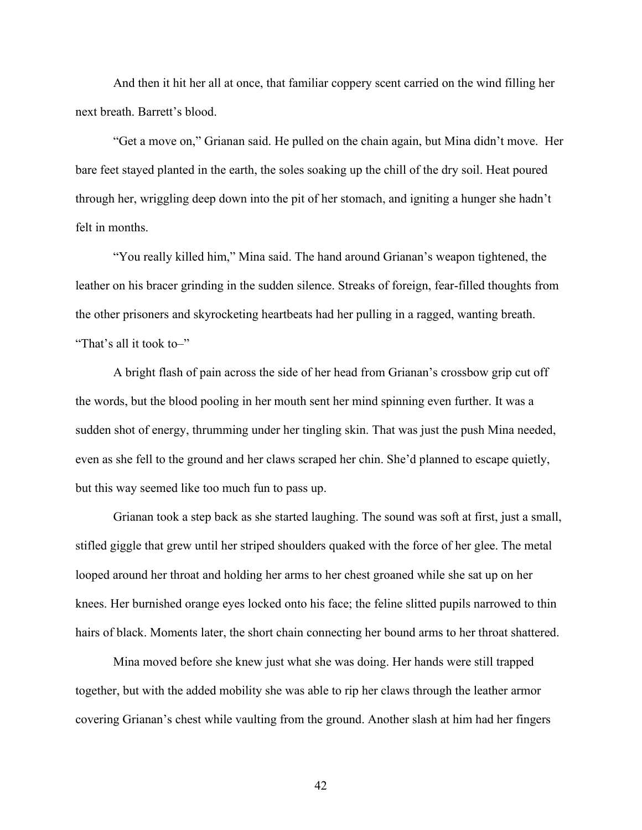And then it hit her all at once, that familiar coppery scent carried on the wind filling her next breath. Barrett's blood.

"Get a move on," Grianan said. He pulled on the chain again, but Mina didn't move. Her bare feet stayed planted in the earth, the soles soaking up the chill of the dry soil. Heat poured through her, wriggling deep down into the pit of her stomach, and igniting a hunger she hadn't felt in months.

"You really killed him," Mina said. The hand around Grianan's weapon tightened, the leather on his bracer grinding in the sudden silence. Streaks of foreign, fear-filled thoughts from the other prisoners and skyrocketing heartbeats had her pulling in a ragged, wanting breath. "That's all it took to–"

A bright flash of pain across the side of her head from Grianan's crossbow grip cut off the words, but the blood pooling in her mouth sent her mind spinning even further. It was a sudden shot of energy, thrumming under her tingling skin. That was just the push Mina needed, even as she fell to the ground and her claws scraped her chin. She'd planned to escape quietly, but this way seemed like too much fun to pass up.

Grianan took a step back as she started laughing. The sound was soft at first, just a small, stifled giggle that grew until her striped shoulders quaked with the force of her glee. The metal looped around her throat and holding her arms to her chest groaned while she sat up on her knees. Her burnished orange eyes locked onto his face; the feline slitted pupils narrowed to thin hairs of black. Moments later, the short chain connecting her bound arms to her throat shattered.

Mina moved before she knew just what she was doing. Her hands were still trapped together, but with the added mobility she was able to rip her claws through the leather armor covering Grianan's chest while vaulting from the ground. Another slash at him had her fingers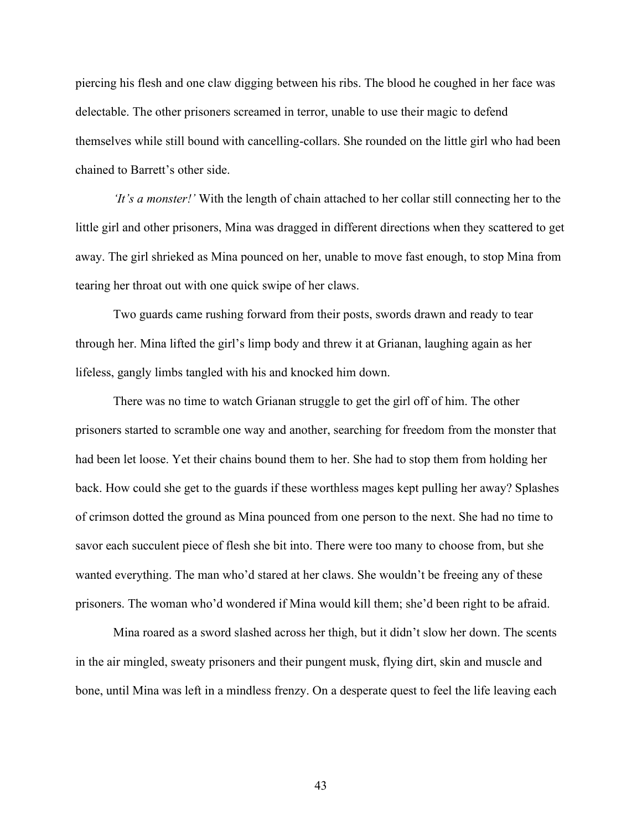piercing his flesh and one claw digging between his ribs. The blood he coughed in her face was delectable. The other prisoners screamed in terror, unable to use their magic to defend themselves while still bound with cancelling-collars. She rounded on the little girl who had been chained to Barrett's other side.

*'It's a monster!'* With the length of chain attached to her collar still connecting her to the little girl and other prisoners, Mina was dragged in different directions when they scattered to get away. The girl shrieked as Mina pounced on her, unable to move fast enough, to stop Mina from tearing her throat out with one quick swipe of her claws.

Two guards came rushing forward from their posts, swords drawn and ready to tear through her. Mina lifted the girl's limp body and threw it at Grianan, laughing again as her lifeless, gangly limbs tangled with his and knocked him down.

There was no time to watch Grianan struggle to get the girl off of him. The other prisoners started to scramble one way and another, searching for freedom from the monster that had been let loose. Yet their chains bound them to her. She had to stop them from holding her back. How could she get to the guards if these worthless mages kept pulling her away? Splashes of crimson dotted the ground as Mina pounced from one person to the next. She had no time to savor each succulent piece of flesh she bit into. There were too many to choose from, but she wanted everything. The man who'd stared at her claws. She wouldn't be freeing any of these prisoners. The woman who'd wondered if Mina would kill them; she'd been right to be afraid.

Mina roared as a sword slashed across her thigh, but it didn't slow her down. The scents in the air mingled, sweaty prisoners and their pungent musk, flying dirt, skin and muscle and bone, until Mina was left in a mindless frenzy. On a desperate quest to feel the life leaving each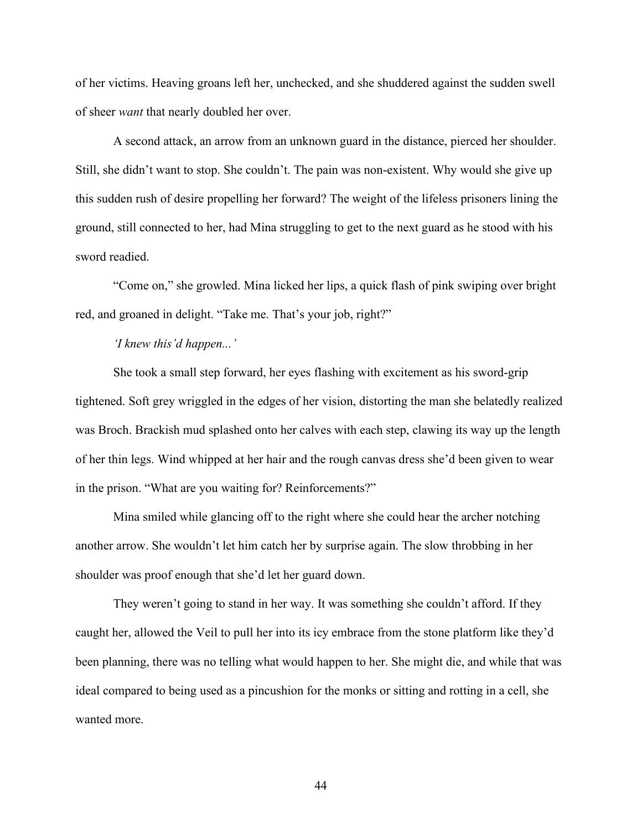of her victims. Heaving groans left her, unchecked, and she shuddered against the sudden swell of sheer *want* that nearly doubled her over.

A second attack, an arrow from an unknown guard in the distance, pierced her shoulder. Still, she didn't want to stop. She couldn't. The pain was non-existent. Why would she give up this sudden rush of desire propelling her forward? The weight of the lifeless prisoners lining the ground, still connected to her, had Mina struggling to get to the next guard as he stood with his sword readied.

"Come on," she growled. Mina licked her lips, a quick flash of pink swiping over bright red, and groaned in delight. "Take me. That's your job, right?"

## *'I knew this'd happen...'*

She took a small step forward, her eyes flashing with excitement as his sword-grip tightened. Soft grey wriggled in the edges of her vision, distorting the man she belatedly realized was Broch. Brackish mud splashed onto her calves with each step, clawing its way up the length of her thin legs. Wind whipped at her hair and the rough canvas dress she'd been given to wear in the prison. "What are you waiting for? Reinforcements?"

Mina smiled while glancing off to the right where she could hear the archer notching another arrow. She wouldn't let him catch her by surprise again. The slow throbbing in her shoulder was proof enough that she'd let her guard down.

They weren't going to stand in her way. It was something she couldn't afford. If they caught her, allowed the Veil to pull her into its icy embrace from the stone platform like they'd been planning, there was no telling what would happen to her. She might die, and while that was ideal compared to being used as a pincushion for the monks or sitting and rotting in a cell, she wanted more.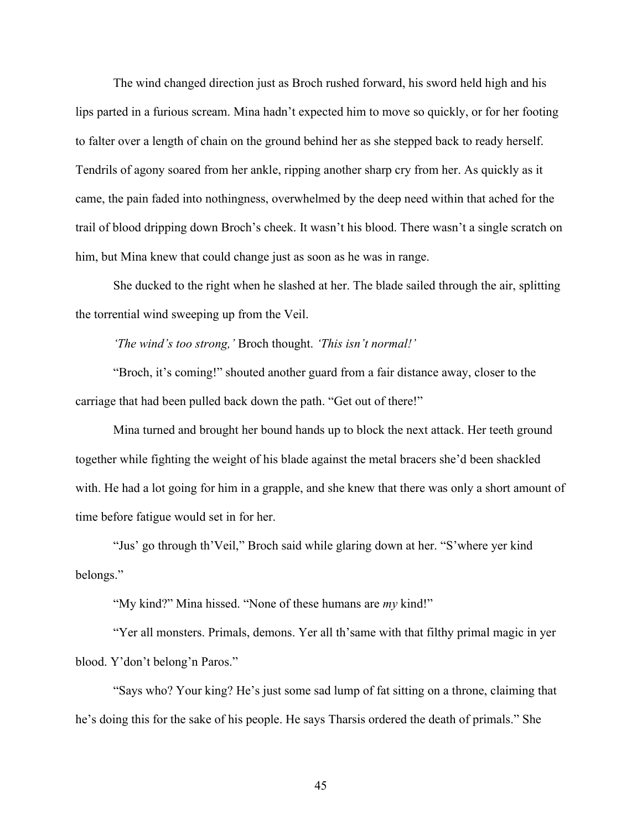The wind changed direction just as Broch rushed forward, his sword held high and his lips parted in a furious scream. Mina hadn't expected him to move so quickly, or for her footing to falter over a length of chain on the ground behind her as she stepped back to ready herself. Tendrils of agony soared from her ankle, ripping another sharp cry from her. As quickly as it came, the pain faded into nothingness, overwhelmed by the deep need within that ached for the trail of blood dripping down Broch's cheek. It wasn't his blood. There wasn't a single scratch on him, but Mina knew that could change just as soon as he was in range.

She ducked to the right when he slashed at her. The blade sailed through the air, splitting the torrential wind sweeping up from the Veil.

*'The wind's too strong,'* Broch thought. *'This isn't normal!'*

"Broch, it's coming!" shouted another guard from a fair distance away, closer to the carriage that had been pulled back down the path. "Get out of there!"

Mina turned and brought her bound hands up to block the next attack. Her teeth ground together while fighting the weight of his blade against the metal bracers she'd been shackled with. He had a lot going for him in a grapple, and she knew that there was only a short amount of time before fatigue would set in for her.

"Jus' go through th'Veil," Broch said while glaring down at her. "S'where yer kind belongs."

"My kind?" Mina hissed. "None of these humans are *my* kind!"

"Yer all monsters. Primals, demons. Yer all th'same with that filthy primal magic in yer blood. Y'don't belong'n Paros."

"Says who? Your king? He's just some sad lump of fat sitting on a throne, claiming that he's doing this for the sake of his people. He says Tharsis ordered the death of primals." She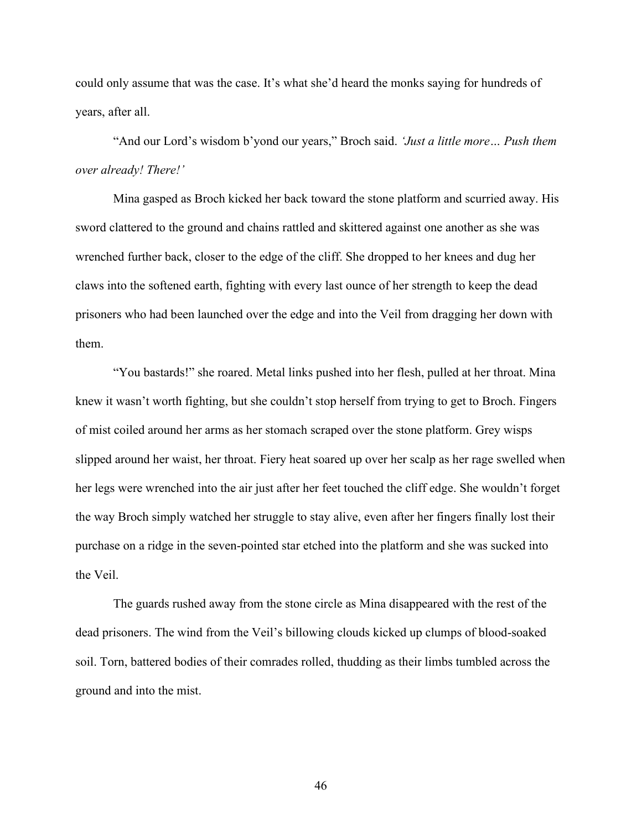could only assume that was the case. It's what she'd heard the monks saying for hundreds of years, after all.

"And our Lord's wisdom b'yond our years," Broch said. *'Just a little more… Push them over already! There!'*

Mina gasped as Broch kicked her back toward the stone platform and scurried away. His sword clattered to the ground and chains rattled and skittered against one another as she was wrenched further back, closer to the edge of the cliff. She dropped to her knees and dug her claws into the softened earth, fighting with every last ounce of her strength to keep the dead prisoners who had been launched over the edge and into the Veil from dragging her down with them.

"You bastards!" she roared. Metal links pushed into her flesh, pulled at her throat. Mina knew it wasn't worth fighting, but she couldn't stop herself from trying to get to Broch. Fingers of mist coiled around her arms as her stomach scraped over the stone platform. Grey wisps slipped around her waist, her throat. Fiery heat soared up over her scalp as her rage swelled when her legs were wrenched into the air just after her feet touched the cliff edge. She wouldn't forget the way Broch simply watched her struggle to stay alive, even after her fingers finally lost their purchase on a ridge in the seven-pointed star etched into the platform and she was sucked into the Veil.

The guards rushed away from the stone circle as Mina disappeared with the rest of the dead prisoners. The wind from the Veil's billowing clouds kicked up clumps of blood-soaked soil. Torn, battered bodies of their comrades rolled, thudding as their limbs tumbled across the ground and into the mist.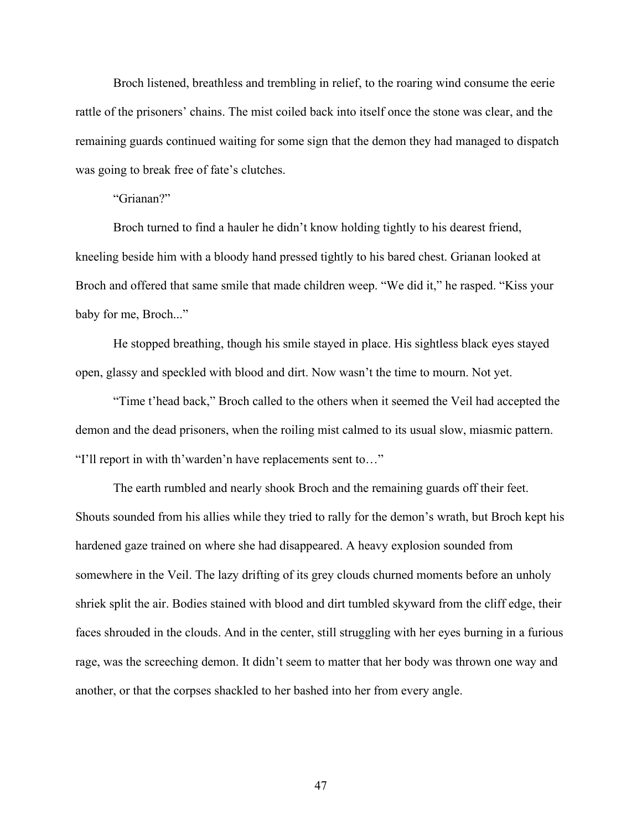Broch listened, breathless and trembling in relief, to the roaring wind consume the eerie rattle of the prisoners' chains. The mist coiled back into itself once the stone was clear, and the remaining guards continued waiting for some sign that the demon they had managed to dispatch was going to break free of fate's clutches.

"Grianan?"

Broch turned to find a hauler he didn't know holding tightly to his dearest friend, kneeling beside him with a bloody hand pressed tightly to his bared chest. Grianan looked at Broch and offered that same smile that made children weep. "We did it," he rasped. "Kiss your baby for me, Broch..."

He stopped breathing, though his smile stayed in place. His sightless black eyes stayed open, glassy and speckled with blood and dirt. Now wasn't the time to mourn. Not yet.

"Time t'head back," Broch called to the others when it seemed the Veil had accepted the demon and the dead prisoners, when the roiling mist calmed to its usual slow, miasmic pattern. "I'll report in with th'warden'n have replacements sent to…"

The earth rumbled and nearly shook Broch and the remaining guards off their feet. Shouts sounded from his allies while they tried to rally for the demon's wrath, but Broch kept his hardened gaze trained on where she had disappeared. A heavy explosion sounded from somewhere in the Veil. The lazy drifting of its grey clouds churned moments before an unholy shriek split the air. Bodies stained with blood and dirt tumbled skyward from the cliff edge, their faces shrouded in the clouds. And in the center, still struggling with her eyes burning in a furious rage, was the screeching demon. It didn't seem to matter that her body was thrown one way and another, or that the corpses shackled to her bashed into her from every angle.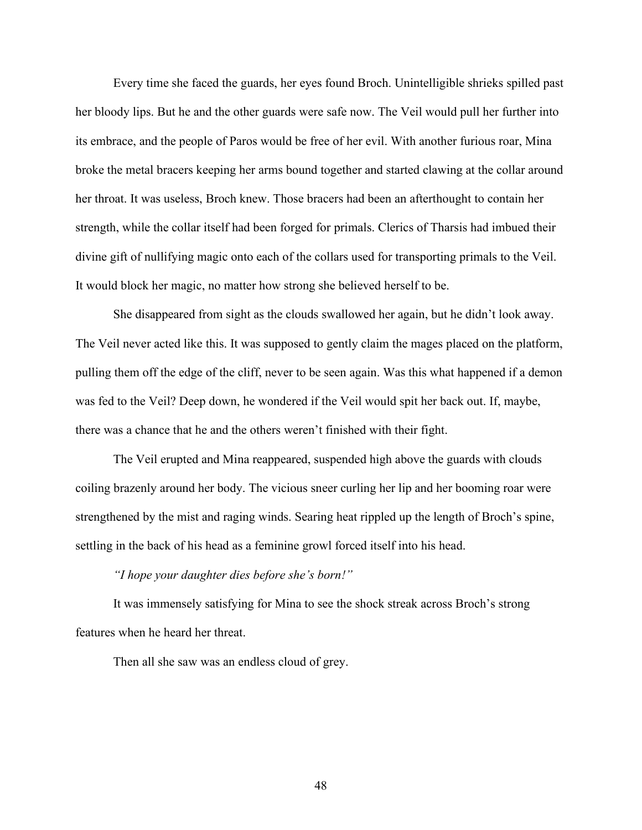Every time she faced the guards, her eyes found Broch. Unintelligible shrieks spilled past her bloody lips. But he and the other guards were safe now. The Veil would pull her further into its embrace, and the people of Paros would be free of her evil. With another furious roar, Mina broke the metal bracers keeping her arms bound together and started clawing at the collar around her throat. It was useless, Broch knew. Those bracers had been an afterthought to contain her strength, while the collar itself had been forged for primals. Clerics of Tharsis had imbued their divine gift of nullifying magic onto each of the collars used for transporting primals to the Veil. It would block her magic, no matter how strong she believed herself to be.

She disappeared from sight as the clouds swallowed her again, but he didn't look away. The Veil never acted like this. It was supposed to gently claim the mages placed on the platform, pulling them off the edge of the cliff, never to be seen again. Was this what happened if a demon was fed to the Veil? Deep down, he wondered if the Veil would spit her back out. If, maybe, there was a chance that he and the others weren't finished with their fight.

The Veil erupted and Mina reappeared, suspended high above the guards with clouds coiling brazenly around her body. The vicious sneer curling her lip and her booming roar were strengthened by the mist and raging winds. Searing heat rippled up the length of Broch's spine, settling in the back of his head as a feminine growl forced itself into his head.

*"I hope your daughter dies before she's born!"* 

It was immensely satisfying for Mina to see the shock streak across Broch's strong features when he heard her threat.

Then all she saw was an endless cloud of grey.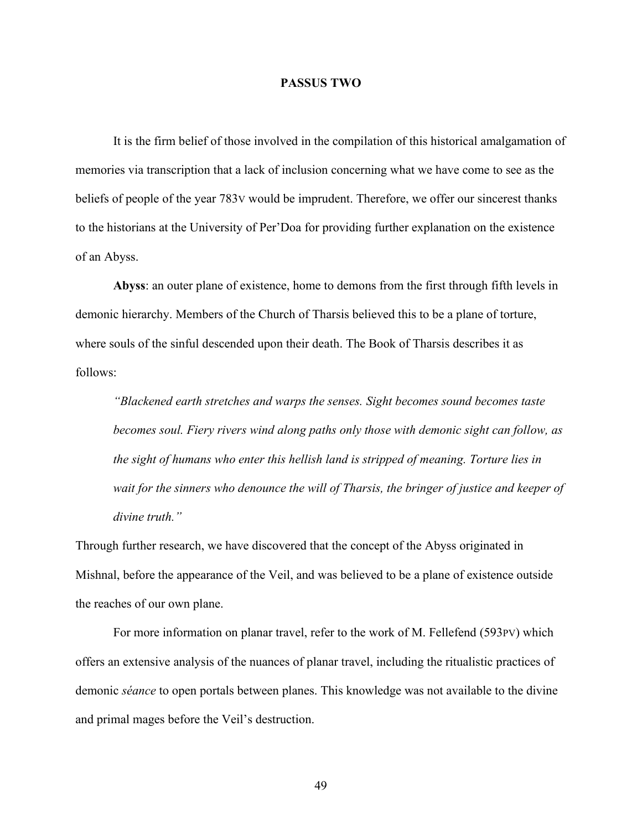## **PASSUS TWO**

It is the firm belief of those involved in the compilation of this historical amalgamation of memories via transcription that a lack of inclusion concerning what we have come to see as the beliefs of people of the year 783V would be imprudent. Therefore, we offer our sincerest thanks to the historians at the University of Per'Doa for providing further explanation on the existence of an Abyss.

**Abyss**: an outer plane of existence, home to demons from the first through fifth levels in demonic hierarchy. Members of the Church of Tharsis believed this to be a plane of torture, where souls of the sinful descended upon their death. The Book of Tharsis describes it as follows:

*"Blackened earth stretches and warps the senses. Sight becomes sound becomes taste becomes soul. Fiery rivers wind along paths only those with demonic sight can follow, as the sight of humans who enter this hellish land is stripped of meaning. Torture lies in wait for the sinners who denounce the will of Tharsis, the bringer of justice and keeper of divine truth."*

Through further research, we have discovered that the concept of the Abyss originated in Mishnal, before the appearance of the Veil, and was believed to be a plane of existence outside the reaches of our own plane.

For more information on planar travel, refer to the work of M. Fellefend (593PV) which offers an extensive analysis of the nuances of planar travel, including the ritualistic practices of demonic *séance* to open portals between planes. This knowledge was not available to the divine and primal mages before the Veil's destruction.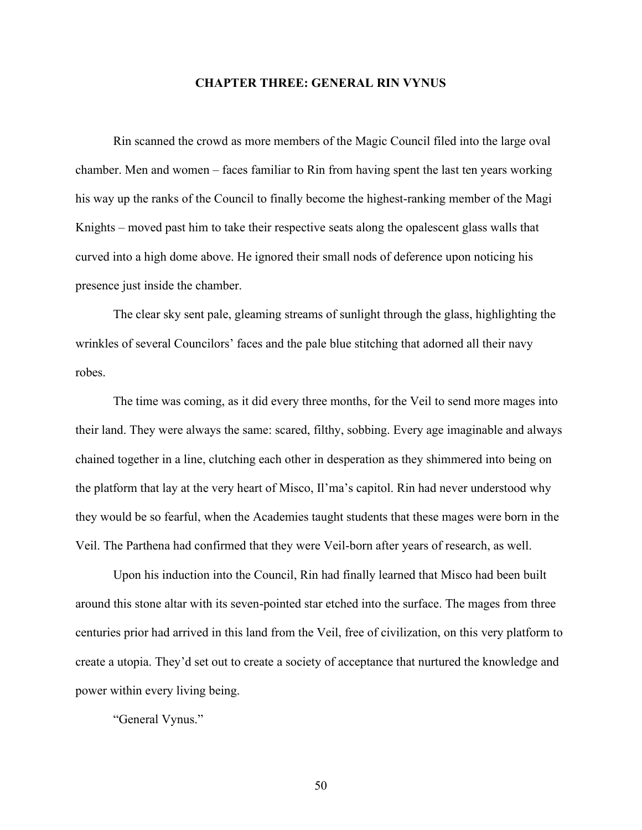## **CHAPTER THREE: GENERAL RIN VYNUS**

Rin scanned the crowd as more members of the Magic Council filed into the large oval chamber. Men and women – faces familiar to Rin from having spent the last ten years working his way up the ranks of the Council to finally become the highest-ranking member of the Magi Knights – moved past him to take their respective seats along the opalescent glass walls that curved into a high dome above. He ignored their small nods of deference upon noticing his presence just inside the chamber.

The clear sky sent pale, gleaming streams of sunlight through the glass, highlighting the wrinkles of several Councilors' faces and the pale blue stitching that adorned all their navy robes.

The time was coming, as it did every three months, for the Veil to send more mages into their land. They were always the same: scared, filthy, sobbing. Every age imaginable and always chained together in a line, clutching each other in desperation as they shimmered into being on the platform that lay at the very heart of Misco, Il'ma's capitol. Rin had never understood why they would be so fearful, when the Academies taught students that these mages were born in the Veil. The Parthena had confirmed that they were Veil-born after years of research, as well.

Upon his induction into the Council, Rin had finally learned that Misco had been built around this stone altar with its seven-pointed star etched into the surface. The mages from three centuries prior had arrived in this land from the Veil, free of civilization, on this very platform to create a utopia. They'd set out to create a society of acceptance that nurtured the knowledge and power within every living being.

"General Vynus."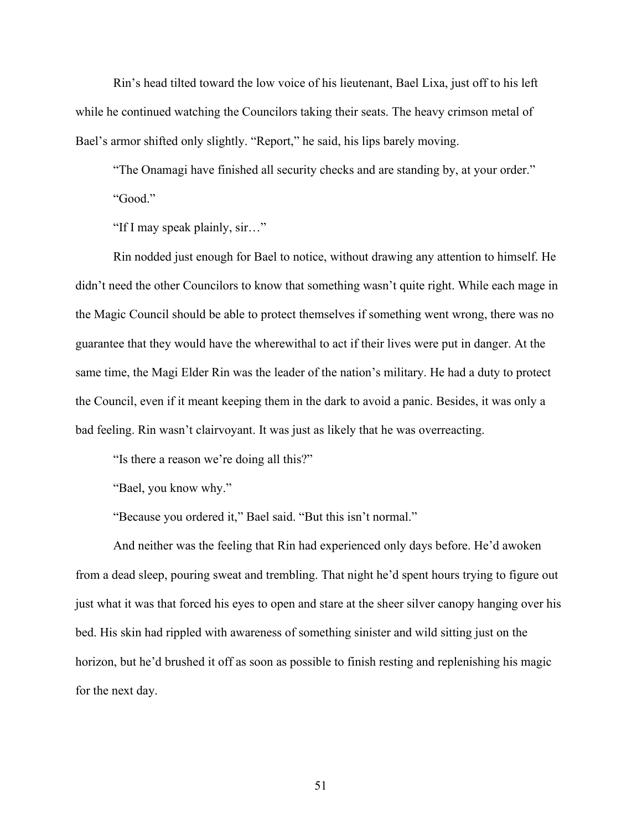Rin's head tilted toward the low voice of his lieutenant, Bael Lixa, just off to his left while he continued watching the Councilors taking their seats. The heavy crimson metal of Bael's armor shifted only slightly. "Report," he said, his lips barely moving.

"The Onamagi have finished all security checks and are standing by, at your order." "Good."

"If I may speak plainly, sir…"

Rin nodded just enough for Bael to notice, without drawing any attention to himself. He didn't need the other Councilors to know that something wasn't quite right. While each mage in the Magic Council should be able to protect themselves if something went wrong, there was no guarantee that they would have the wherewithal to act if their lives were put in danger. At the same time, the Magi Elder Rin was the leader of the nation's military. He had a duty to protect the Council, even if it meant keeping them in the dark to avoid a panic. Besides, it was only a bad feeling. Rin wasn't clairvoyant. It was just as likely that he was overreacting.

"Is there a reason we're doing all this?"

"Bael, you know why."

"Because you ordered it," Bael said. "But this isn't normal."

And neither was the feeling that Rin had experienced only days before. He'd awoken from a dead sleep, pouring sweat and trembling. That night he'd spent hours trying to figure out just what it was that forced his eyes to open and stare at the sheer silver canopy hanging over his bed. His skin had rippled with awareness of something sinister and wild sitting just on the horizon, but he'd brushed it off as soon as possible to finish resting and replenishing his magic for the next day.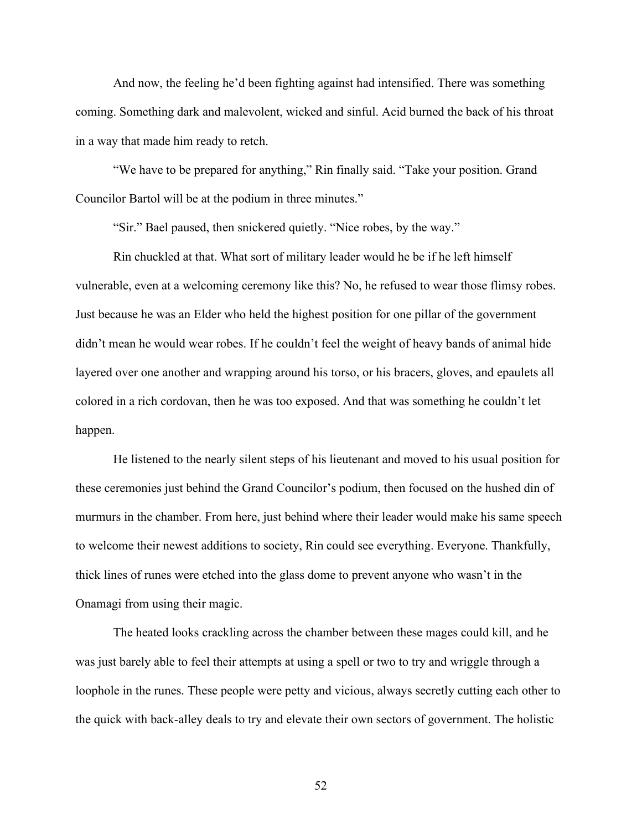And now, the feeling he'd been fighting against had intensified. There was something coming. Something dark and malevolent, wicked and sinful. Acid burned the back of his throat in a way that made him ready to retch.

"We have to be prepared for anything," Rin finally said. "Take your position. Grand Councilor Bartol will be at the podium in three minutes."

"Sir." Bael paused, then snickered quietly. "Nice robes, by the way."

Rin chuckled at that. What sort of military leader would he be if he left himself vulnerable, even at a welcoming ceremony like this? No, he refused to wear those flimsy robes. Just because he was an Elder who held the highest position for one pillar of the government didn't mean he would wear robes. If he couldn't feel the weight of heavy bands of animal hide layered over one another and wrapping around his torso, or his bracers, gloves, and epaulets all colored in a rich cordovan, then he was too exposed. And that was something he couldn't let happen.

He listened to the nearly silent steps of his lieutenant and moved to his usual position for these ceremonies just behind the Grand Councilor's podium, then focused on the hushed din of murmurs in the chamber. From here, just behind where their leader would make his same speech to welcome their newest additions to society, Rin could see everything. Everyone. Thankfully, thick lines of runes were etched into the glass dome to prevent anyone who wasn't in the Onamagi from using their magic.

The heated looks crackling across the chamber between these mages could kill, and he was just barely able to feel their attempts at using a spell or two to try and wriggle through a loophole in the runes. These people were petty and vicious, always secretly cutting each other to the quick with back-alley deals to try and elevate their own sectors of government. The holistic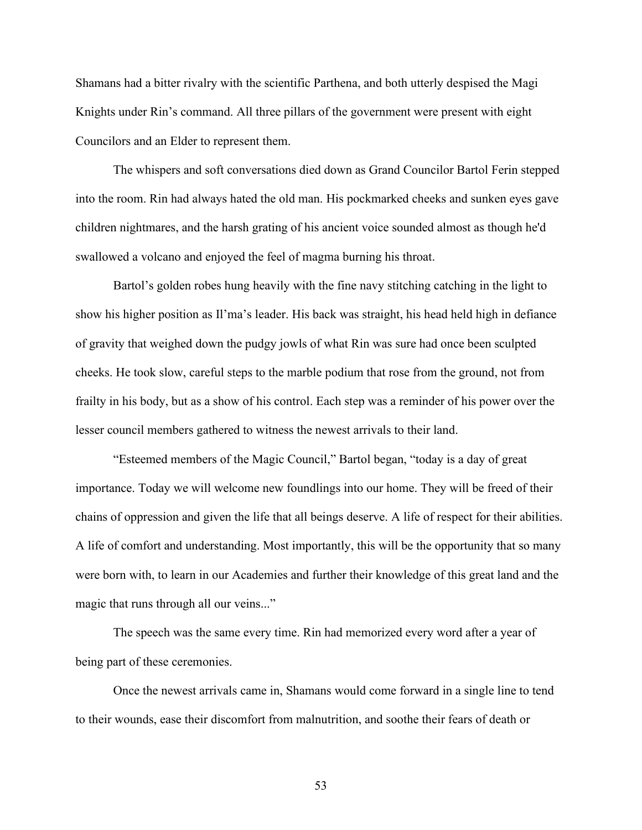Shamans had a bitter rivalry with the scientific Parthena, and both utterly despised the Magi Knights under Rin's command. All three pillars of the government were present with eight Councilors and an Elder to represent them.

The whispers and soft conversations died down as Grand Councilor Bartol Ferin stepped into the room. Rin had always hated the old man. His pockmarked cheeks and sunken eyes gave children nightmares, and the harsh grating of his ancient voice sounded almost as though he'd swallowed a volcano and enjoyed the feel of magma burning his throat.

Bartol's golden robes hung heavily with the fine navy stitching catching in the light to show his higher position as Il'ma's leader. His back was straight, his head held high in defiance of gravity that weighed down the pudgy jowls of what Rin was sure had once been sculpted cheeks. He took slow, careful steps to the marble podium that rose from the ground, not from frailty in his body, but as a show of his control. Each step was a reminder of his power over the lesser council members gathered to witness the newest arrivals to their land.

"Esteemed members of the Magic Council," Bartol began, "today is a day of great importance. Today we will welcome new foundlings into our home. They will be freed of their chains of oppression and given the life that all beings deserve. A life of respect for their abilities. A life of comfort and understanding. Most importantly, this will be the opportunity that so many were born with, to learn in our Academies and further their knowledge of this great land and the magic that runs through all our veins..."

The speech was the same every time. Rin had memorized every word after a year of being part of these ceremonies.

Once the newest arrivals came in, Shamans would come forward in a single line to tend to their wounds, ease their discomfort from malnutrition, and soothe their fears of death or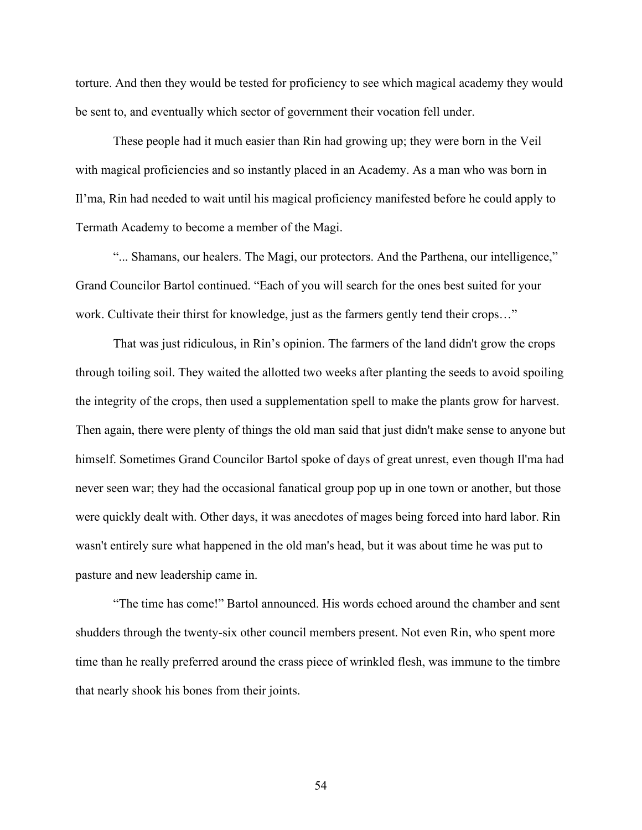torture. And then they would be tested for proficiency to see which magical academy they would be sent to, and eventually which sector of government their vocation fell under.

These people had it much easier than Rin had growing up; they were born in the Veil with magical proficiencies and so instantly placed in an Academy. As a man who was born in Il'ma, Rin had needed to wait until his magical proficiency manifested before he could apply to Termath Academy to become a member of the Magi.

"... Shamans, our healers. The Magi, our protectors. And the Parthena, our intelligence," Grand Councilor Bartol continued. "Each of you will search for the ones best suited for your work. Cultivate their thirst for knowledge, just as the farmers gently tend their crops…"

That was just ridiculous, in Rin's opinion. The farmers of the land didn't grow the crops through toiling soil. They waited the allotted two weeks after planting the seeds to avoid spoiling the integrity of the crops, then used a supplementation spell to make the plants grow for harvest. Then again, there were plenty of things the old man said that just didn't make sense to anyone but himself. Sometimes Grand Councilor Bartol spoke of days of great unrest, even though Il'ma had never seen war; they had the occasional fanatical group pop up in one town or another, but those were quickly dealt with. Other days, it was anecdotes of mages being forced into hard labor. Rin wasn't entirely sure what happened in the old man's head, but it was about time he was put to pasture and new leadership came in.

"The time has come!" Bartol announced. His words echoed around the chamber and sent shudders through the twenty-six other council members present. Not even Rin, who spent more time than he really preferred around the crass piece of wrinkled flesh, was immune to the timbre that nearly shook his bones from their joints.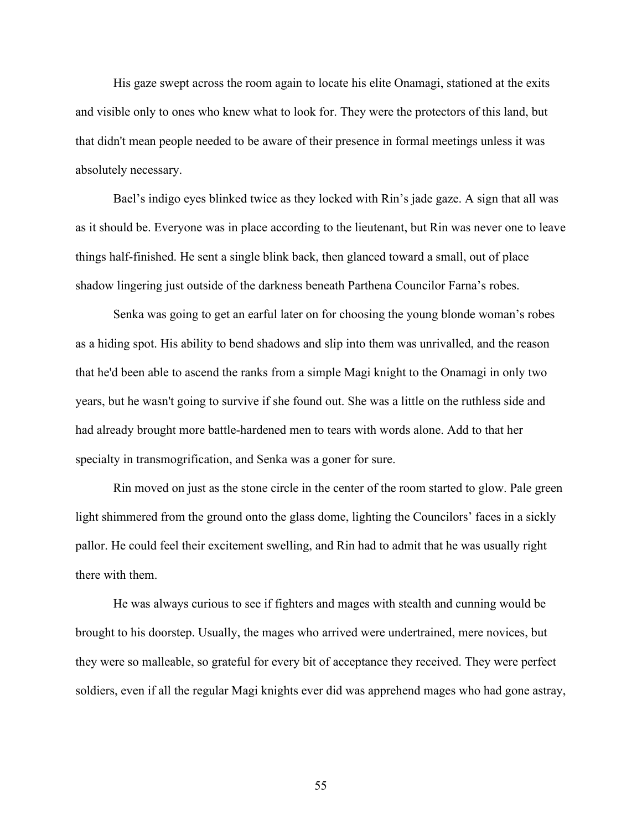His gaze swept across the room again to locate his elite Onamagi, stationed at the exits and visible only to ones who knew what to look for. They were the protectors of this land, but that didn't mean people needed to be aware of their presence in formal meetings unless it was absolutely necessary.

Bael's indigo eyes blinked twice as they locked with Rin's jade gaze. A sign that all was as it should be. Everyone was in place according to the lieutenant, but Rin was never one to leave things half-finished. He sent a single blink back, then glanced toward a small, out of place shadow lingering just outside of the darkness beneath Parthena Councilor Farna's robes.

Senka was going to get an earful later on for choosing the young blonde woman's robes as a hiding spot. His ability to bend shadows and slip into them was unrivalled, and the reason that he'd been able to ascend the ranks from a simple Magi knight to the Onamagi in only two years, but he wasn't going to survive if she found out. She was a little on the ruthless side and had already brought more battle-hardened men to tears with words alone. Add to that her specialty in transmogrification, and Senka was a goner for sure.

Rin moved on just as the stone circle in the center of the room started to glow. Pale green light shimmered from the ground onto the glass dome, lighting the Councilors' faces in a sickly pallor. He could feel their excitement swelling, and Rin had to admit that he was usually right there with them.

He was always curious to see if fighters and mages with stealth and cunning would be brought to his doorstep. Usually, the mages who arrived were undertrained, mere novices, but they were so malleable, so grateful for every bit of acceptance they received. They were perfect soldiers, even if all the regular Magi knights ever did was apprehend mages who had gone astray,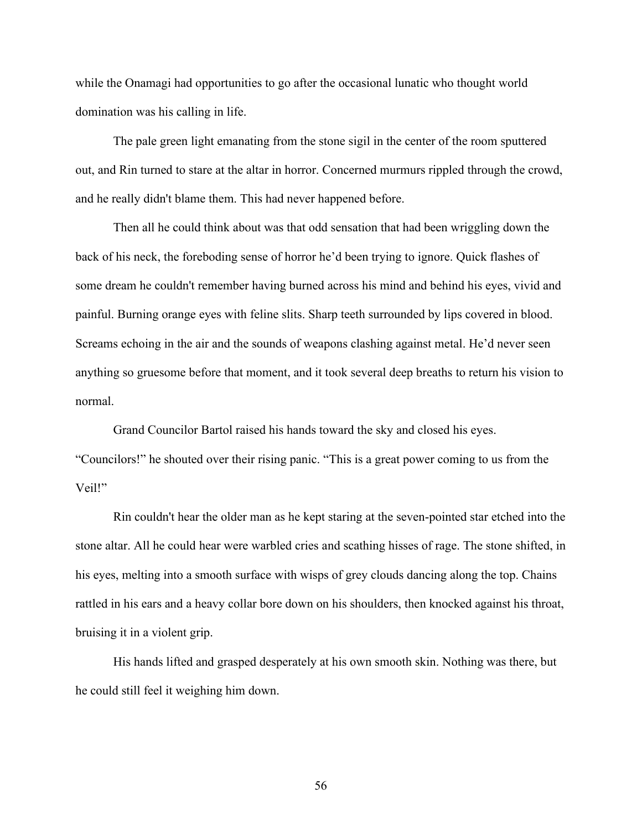while the Onamagi had opportunities to go after the occasional lunatic who thought world domination was his calling in life.

The pale green light emanating from the stone sigil in the center of the room sputtered out, and Rin turned to stare at the altar in horror. Concerned murmurs rippled through the crowd, and he really didn't blame them. This had never happened before.

Then all he could think about was that odd sensation that had been wriggling down the back of his neck, the foreboding sense of horror he'd been trying to ignore. Quick flashes of some dream he couldn't remember having burned across his mind and behind his eyes, vivid and painful. Burning orange eyes with feline slits. Sharp teeth surrounded by lips covered in blood. Screams echoing in the air and the sounds of weapons clashing against metal. He'd never seen anything so gruesome before that moment, and it took several deep breaths to return his vision to normal.

Grand Councilor Bartol raised his hands toward the sky and closed his eyes. "Councilors!" he shouted over their rising panic. "This is a great power coming to us from the Veil!"

Rin couldn't hear the older man as he kept staring at the seven-pointed star etched into the stone altar. All he could hear were warbled cries and scathing hisses of rage. The stone shifted, in his eyes, melting into a smooth surface with wisps of grey clouds dancing along the top. Chains rattled in his ears and a heavy collar bore down on his shoulders, then knocked against his throat, bruising it in a violent grip.

His hands lifted and grasped desperately at his own smooth skin. Nothing was there, but he could still feel it weighing him down.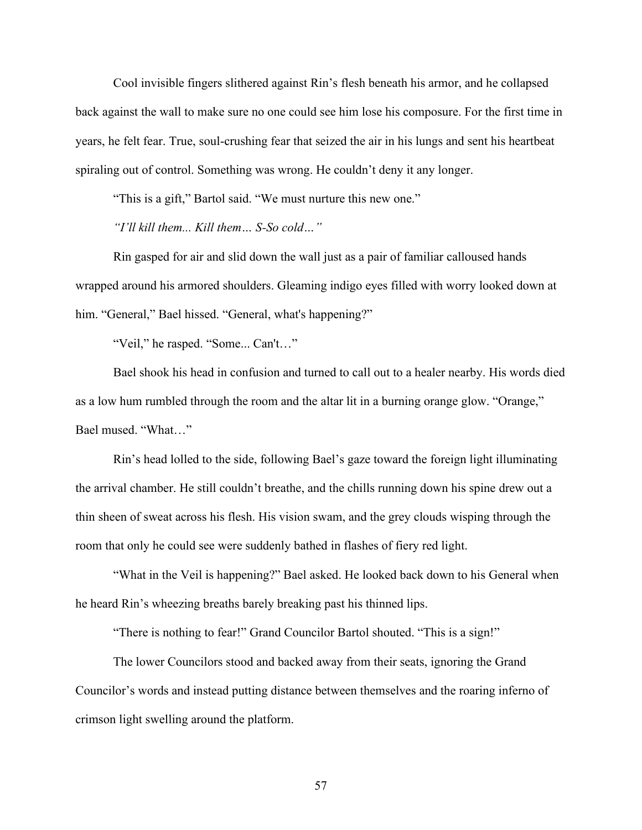Cool invisible fingers slithered against Rin's flesh beneath his armor, and he collapsed back against the wall to make sure no one could see him lose his composure. For the first time in years, he felt fear. True, soul-crushing fear that seized the air in his lungs and sent his heartbeat spiraling out of control. Something was wrong. He couldn't deny it any longer.

"This is a gift," Bartol said. "We must nurture this new one."

*"I'll kill them... Kill them… S-So cold…"*

Rin gasped for air and slid down the wall just as a pair of familiar calloused hands wrapped around his armored shoulders. Gleaming indigo eyes filled with worry looked down at him. "General," Bael hissed. "General, what's happening?"

"Veil," he rasped. "Some... Can't…"

Bael shook his head in confusion and turned to call out to a healer nearby. His words died as a low hum rumbled through the room and the altar lit in a burning orange glow. "Orange," Bael mused. "What…"

Rin's head lolled to the side, following Bael's gaze toward the foreign light illuminating the arrival chamber. He still couldn't breathe, and the chills running down his spine drew out a thin sheen of sweat across his flesh. His vision swam, and the grey clouds wisping through the room that only he could see were suddenly bathed in flashes of fiery red light.

"What in the Veil is happening?" Bael asked. He looked back down to his General when he heard Rin's wheezing breaths barely breaking past his thinned lips.

"There is nothing to fear!" Grand Councilor Bartol shouted. "This is a sign!"

The lower Councilors stood and backed away from their seats, ignoring the Grand Councilor's words and instead putting distance between themselves and the roaring inferno of crimson light swelling around the platform.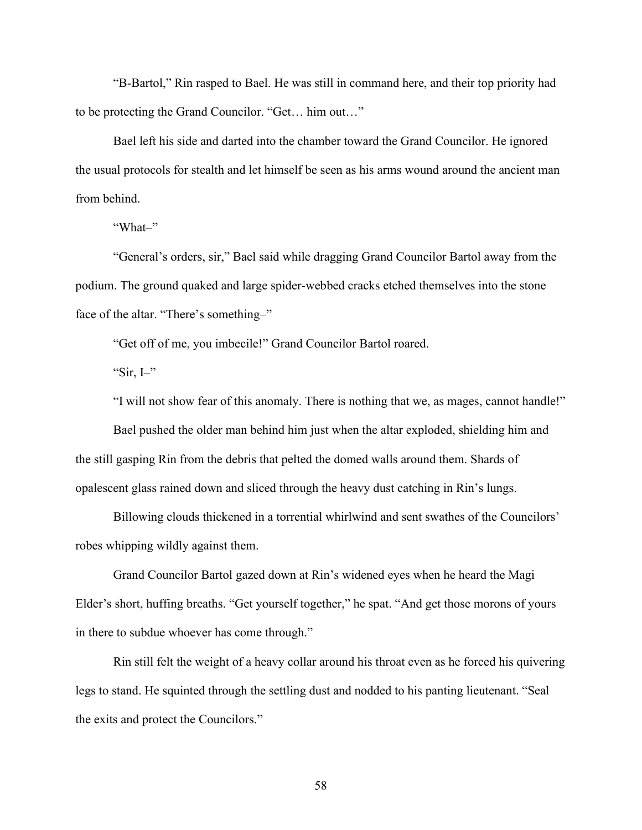"B-Bartol," Rin rasped to Bael. He was still in command here, and their top priority had to be protecting the Grand Councilor. "Get… him out…"

Bael left his side and darted into the chamber toward the Grand Councilor. He ignored the usual protocols for stealth and let himself be seen as his arms wound around the ancient man from behind.

"What–"

"General's orders, sir," Bael said while dragging Grand Councilor Bartol away from the podium. The ground quaked and large spider-webbed cracks etched themselves into the stone face of the altar. "There's something–"

"Get off of me, you imbecile!" Grand Councilor Bartol roared.

"Sir,  $I$ <sup>-"</sup>

"I will not show fear of this anomaly. There is nothing that we, as mages, cannot handle!"

Bael pushed the older man behind him just when the altar exploded, shielding him and the still gasping Rin from the debris that pelted the domed walls around them. Shards of opalescent glass rained down and sliced through the heavy dust catching in Rin's lungs.

Billowing clouds thickened in a torrential whirlwind and sent swathes of the Councilors' robes whipping wildly against them.

Grand Councilor Bartol gazed down at Rin's widened eyes when he heard the Magi Elder's short, huffing breaths. "Get yourself together," he spat. "And get those morons of yours in there to subdue whoever has come through."

Rin still felt the weight of a heavy collar around his throat even as he forced his quivering legs to stand. He squinted through the settling dust and nodded to his panting lieutenant. "Seal the exits and protect the Councilors."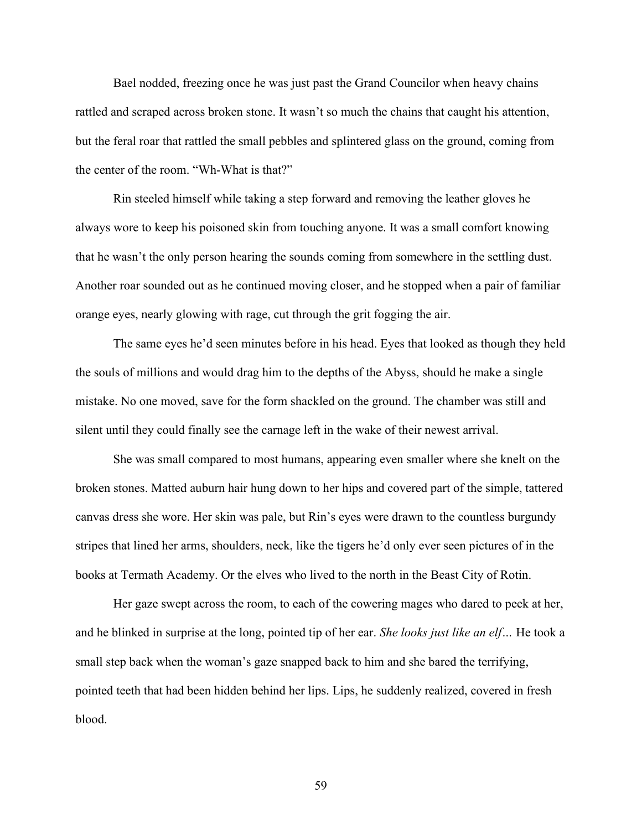Bael nodded, freezing once he was just past the Grand Councilor when heavy chains rattled and scraped across broken stone. It wasn't so much the chains that caught his attention, but the feral roar that rattled the small pebbles and splintered glass on the ground, coming from the center of the room. "Wh-What is that?"

Rin steeled himself while taking a step forward and removing the leather gloves he always wore to keep his poisoned skin from touching anyone. It was a small comfort knowing that he wasn't the only person hearing the sounds coming from somewhere in the settling dust. Another roar sounded out as he continued moving closer, and he stopped when a pair of familiar orange eyes, nearly glowing with rage, cut through the grit fogging the air.

The same eyes he'd seen minutes before in his head. Eyes that looked as though they held the souls of millions and would drag him to the depths of the Abyss, should he make a single mistake. No one moved, save for the form shackled on the ground. The chamber was still and silent until they could finally see the carnage left in the wake of their newest arrival.

She was small compared to most humans, appearing even smaller where she knelt on the broken stones. Matted auburn hair hung down to her hips and covered part of the simple, tattered canvas dress she wore. Her skin was pale, but Rin's eyes were drawn to the countless burgundy stripes that lined her arms, shoulders, neck, like the tigers he'd only ever seen pictures of in the books at Termath Academy. Or the elves who lived to the north in the Beast City of Rotin.

Her gaze swept across the room, to each of the cowering mages who dared to peek at her, and he blinked in surprise at the long, pointed tip of her ear. *She looks just like an elf…* He took a small step back when the woman's gaze snapped back to him and she bared the terrifying, pointed teeth that had been hidden behind her lips. Lips, he suddenly realized, covered in fresh blood.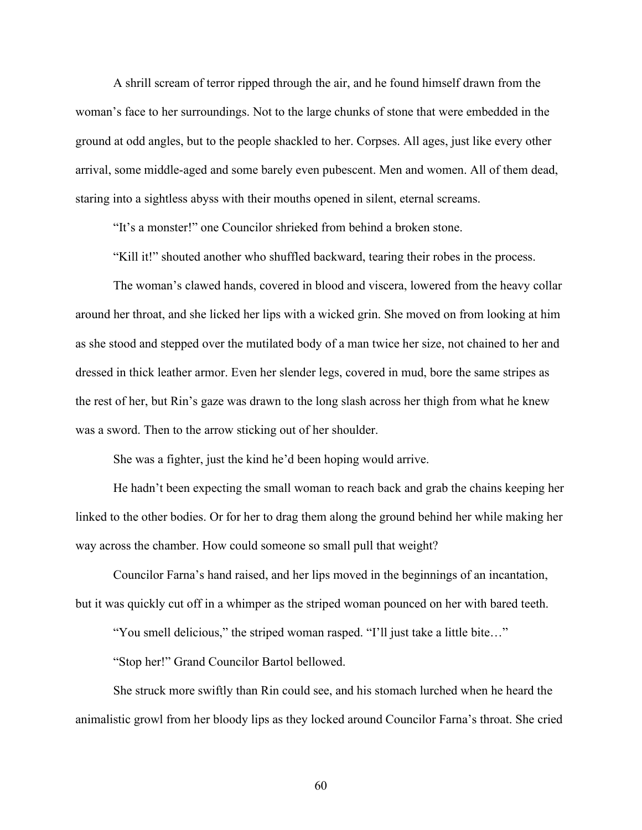A shrill scream of terror ripped through the air, and he found himself drawn from the woman's face to her surroundings. Not to the large chunks of stone that were embedded in the ground at odd angles, but to the people shackled to her. Corpses. All ages, just like every other arrival, some middle-aged and some barely even pubescent. Men and women. All of them dead, staring into a sightless abyss with their mouths opened in silent, eternal screams.

"It's a monster!" one Councilor shrieked from behind a broken stone.

"Kill it!" shouted another who shuffled backward, tearing their robes in the process.

The woman's clawed hands, covered in blood and viscera, lowered from the heavy collar around her throat, and she licked her lips with a wicked grin. She moved on from looking at him as she stood and stepped over the mutilated body of a man twice her size, not chained to her and dressed in thick leather armor. Even her slender legs, covered in mud, bore the same stripes as the rest of her, but Rin's gaze was drawn to the long slash across her thigh from what he knew was a sword. Then to the arrow sticking out of her shoulder.

She was a fighter, just the kind he'd been hoping would arrive.

He hadn't been expecting the small woman to reach back and grab the chains keeping her linked to the other bodies. Or for her to drag them along the ground behind her while making her way across the chamber. How could someone so small pull that weight?

Councilor Farna's hand raised, and her lips moved in the beginnings of an incantation, but it was quickly cut off in a whimper as the striped woman pounced on her with bared teeth.

"You smell delicious," the striped woman rasped. "I'll just take a little bite…"

"Stop her!" Grand Councilor Bartol bellowed.

She struck more swiftly than Rin could see, and his stomach lurched when he heard the animalistic growl from her bloody lips as they locked around Councilor Farna's throat. She cried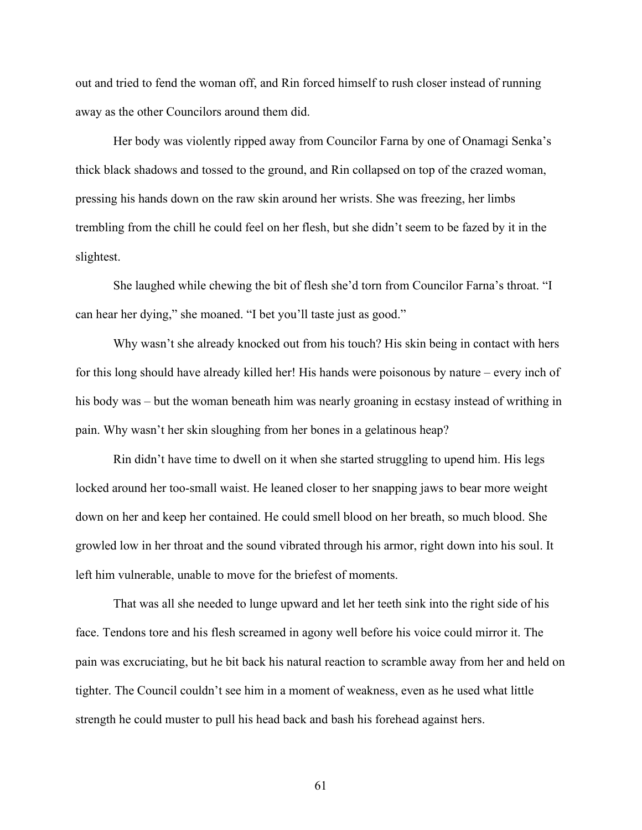out and tried to fend the woman off, and Rin forced himself to rush closer instead of running away as the other Councilors around them did.

Her body was violently ripped away from Councilor Farna by one of Onamagi Senka's thick black shadows and tossed to the ground, and Rin collapsed on top of the crazed woman, pressing his hands down on the raw skin around her wrists. She was freezing, her limbs trembling from the chill he could feel on her flesh, but she didn't seem to be fazed by it in the slightest.

She laughed while chewing the bit of flesh she'd torn from Councilor Farna's throat. "I can hear her dying," she moaned. "I bet you'll taste just as good."

Why wasn't she already knocked out from his touch? His skin being in contact with hers for this long should have already killed her! His hands were poisonous by nature – every inch of his body was – but the woman beneath him was nearly groaning in ecstasy instead of writhing in pain. Why wasn't her skin sloughing from her bones in a gelatinous heap?

Rin didn't have time to dwell on it when she started struggling to upend him. His legs locked around her too-small waist. He leaned closer to her snapping jaws to bear more weight down on her and keep her contained. He could smell blood on her breath, so much blood. She growled low in her throat and the sound vibrated through his armor, right down into his soul. It left him vulnerable, unable to move for the briefest of moments.

That was all she needed to lunge upward and let her teeth sink into the right side of his face. Tendons tore and his flesh screamed in agony well before his voice could mirror it. The pain was excruciating, but he bit back his natural reaction to scramble away from her and held on tighter. The Council couldn't see him in a moment of weakness, even as he used what little strength he could muster to pull his head back and bash his forehead against hers.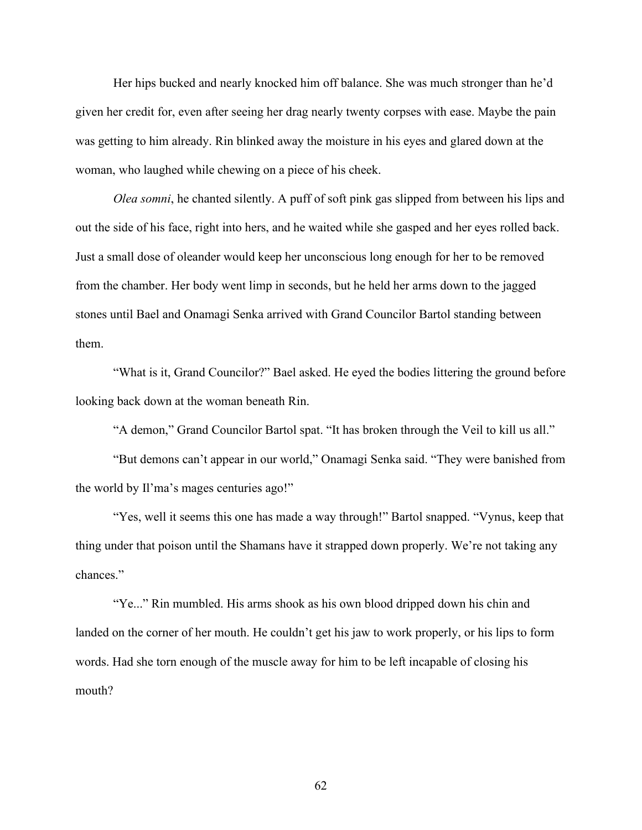Her hips bucked and nearly knocked him off balance. She was much stronger than he'd given her credit for, even after seeing her drag nearly twenty corpses with ease. Maybe the pain was getting to him already. Rin blinked away the moisture in his eyes and glared down at the woman, who laughed while chewing on a piece of his cheek.

*Olea somni*, he chanted silently. A puff of soft pink gas slipped from between his lips and out the side of his face, right into hers, and he waited while she gasped and her eyes rolled back. Just a small dose of oleander would keep her unconscious long enough for her to be removed from the chamber. Her body went limp in seconds, but he held her arms down to the jagged stones until Bael and Onamagi Senka arrived with Grand Councilor Bartol standing between them.

"What is it, Grand Councilor?" Bael asked. He eyed the bodies littering the ground before looking back down at the woman beneath Rin.

"A demon," Grand Councilor Bartol spat. "It has broken through the Veil to kill us all."

"But demons can't appear in our world," Onamagi Senka said. "They were banished from the world by Il'ma's mages centuries ago!"

"Yes, well it seems this one has made a way through!" Bartol snapped. "Vynus, keep that thing under that poison until the Shamans have it strapped down properly. We're not taking any chances."

"Ye..." Rin mumbled. His arms shook as his own blood dripped down his chin and landed on the corner of her mouth. He couldn't get his jaw to work properly, or his lips to form words. Had she torn enough of the muscle away for him to be left incapable of closing his mouth?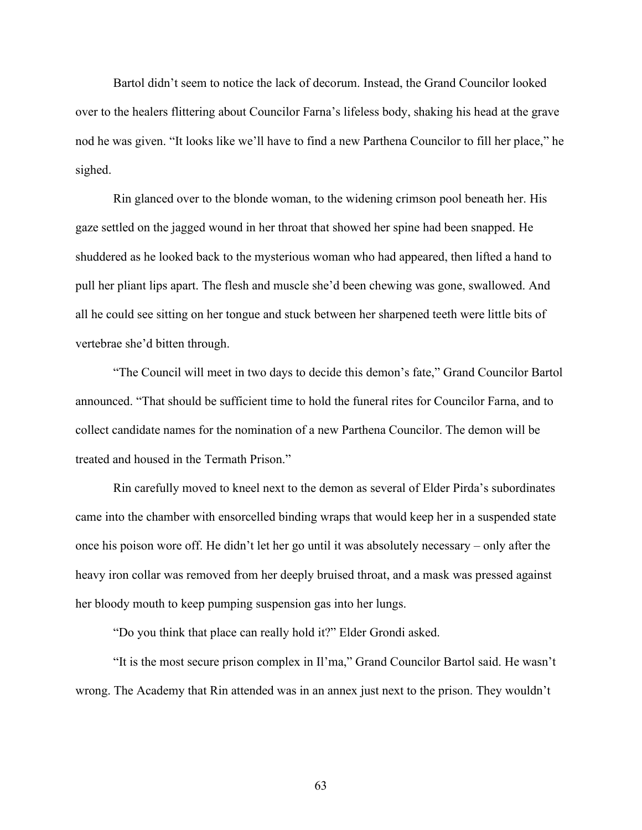Bartol didn't seem to notice the lack of decorum. Instead, the Grand Councilor looked over to the healers flittering about Councilor Farna's lifeless body, shaking his head at the grave nod he was given. "It looks like we'll have to find a new Parthena Councilor to fill her place," he sighed.

Rin glanced over to the blonde woman, to the widening crimson pool beneath her. His gaze settled on the jagged wound in her throat that showed her spine had been snapped. He shuddered as he looked back to the mysterious woman who had appeared, then lifted a hand to pull her pliant lips apart. The flesh and muscle she'd been chewing was gone, swallowed. And all he could see sitting on her tongue and stuck between her sharpened teeth were little bits of vertebrae she'd bitten through.

"The Council will meet in two days to decide this demon's fate," Grand Councilor Bartol announced. "That should be sufficient time to hold the funeral rites for Councilor Farna, and to collect candidate names for the nomination of a new Parthena Councilor. The demon will be treated and housed in the Termath Prison."

Rin carefully moved to kneel next to the demon as several of Elder Pirda's subordinates came into the chamber with ensorcelled binding wraps that would keep her in a suspended state once his poison wore off. He didn't let her go until it was absolutely necessary – only after the heavy iron collar was removed from her deeply bruised throat, and a mask was pressed against her bloody mouth to keep pumping suspension gas into her lungs.

"Do you think that place can really hold it?" Elder Grondi asked.

"It is the most secure prison complex in Il'ma," Grand Councilor Bartol said. He wasn't wrong. The Academy that Rin attended was in an annex just next to the prison. They wouldn't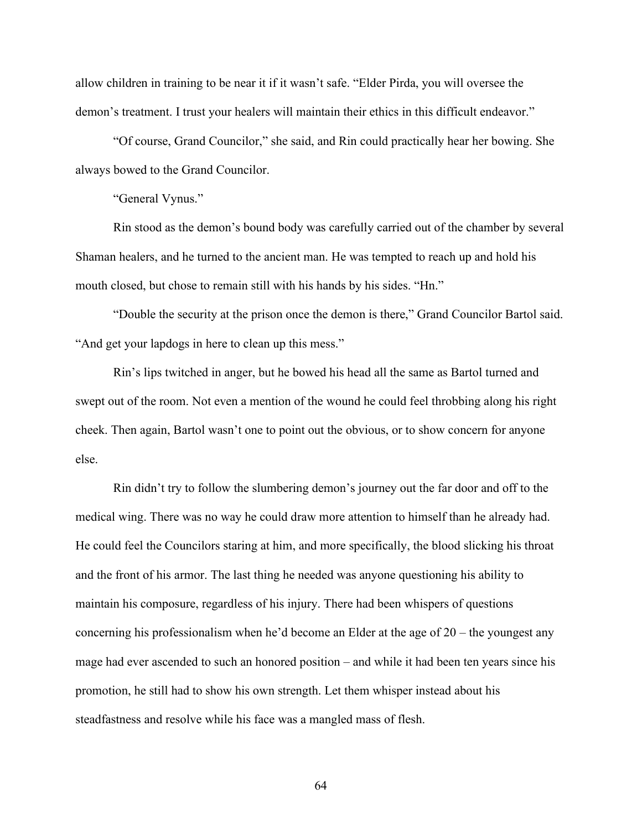allow children in training to be near it if it wasn't safe. "Elder Pirda, you will oversee the demon's treatment. I trust your healers will maintain their ethics in this difficult endeavor."

"Of course, Grand Councilor," she said, and Rin could practically hear her bowing. She always bowed to the Grand Councilor.

"General Vynus."

Rin stood as the demon's bound body was carefully carried out of the chamber by several Shaman healers, and he turned to the ancient man. He was tempted to reach up and hold his mouth closed, but chose to remain still with his hands by his sides. "Hn."

"Double the security at the prison once the demon is there," Grand Councilor Bartol said. "And get your lapdogs in here to clean up this mess."

Rin's lips twitched in anger, but he bowed his head all the same as Bartol turned and swept out of the room. Not even a mention of the wound he could feel throbbing along his right cheek. Then again, Bartol wasn't one to point out the obvious, or to show concern for anyone else.

Rin didn't try to follow the slumbering demon's journey out the far door and off to the medical wing. There was no way he could draw more attention to himself than he already had. He could feel the Councilors staring at him, and more specifically, the blood slicking his throat and the front of his armor. The last thing he needed was anyone questioning his ability to maintain his composure, regardless of his injury. There had been whispers of questions concerning his professionalism when he'd become an Elder at the age of 20 – the youngest any mage had ever ascended to such an honored position – and while it had been ten years since his promotion, he still had to show his own strength. Let them whisper instead about his steadfastness and resolve while his face was a mangled mass of flesh.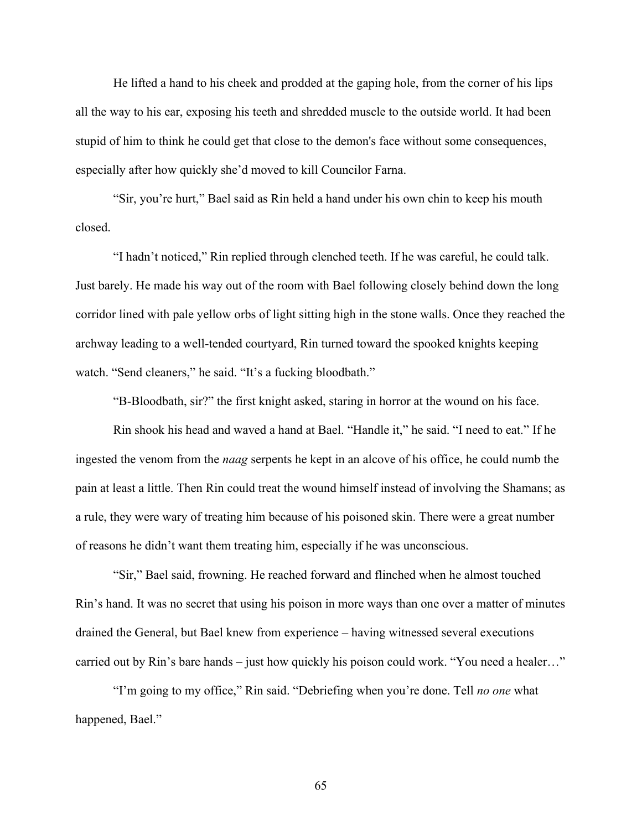He lifted a hand to his cheek and prodded at the gaping hole, from the corner of his lips all the way to his ear, exposing his teeth and shredded muscle to the outside world. It had been stupid of him to think he could get that close to the demon's face without some consequences, especially after how quickly she'd moved to kill Councilor Farna.

"Sir, you're hurt," Bael said as Rin held a hand under his own chin to keep his mouth closed.

"I hadn't noticed," Rin replied through clenched teeth. If he was careful, he could talk. Just barely. He made his way out of the room with Bael following closely behind down the long corridor lined with pale yellow orbs of light sitting high in the stone walls. Once they reached the archway leading to a well-tended courtyard, Rin turned toward the spooked knights keeping watch. "Send cleaners," he said. "It's a fucking bloodbath."

"B-Bloodbath, sir?" the first knight asked, staring in horror at the wound on his face.

Rin shook his head and waved a hand at Bael. "Handle it," he said. "I need to eat." If he ingested the venom from the *naag* serpents he kept in an alcove of his office, he could numb the pain at least a little. Then Rin could treat the wound himself instead of involving the Shamans; as a rule, they were wary of treating him because of his poisoned skin. There were a great number of reasons he didn't want them treating him, especially if he was unconscious.

"Sir," Bael said, frowning. He reached forward and flinched when he almost touched Rin's hand. It was no secret that using his poison in more ways than one over a matter of minutes drained the General, but Bael knew from experience – having witnessed several executions carried out by Rin's bare hands – just how quickly his poison could work. "You need a healer…"

"I'm going to my office," Rin said. "Debriefing when you're done. Tell *no one* what happened, Bael."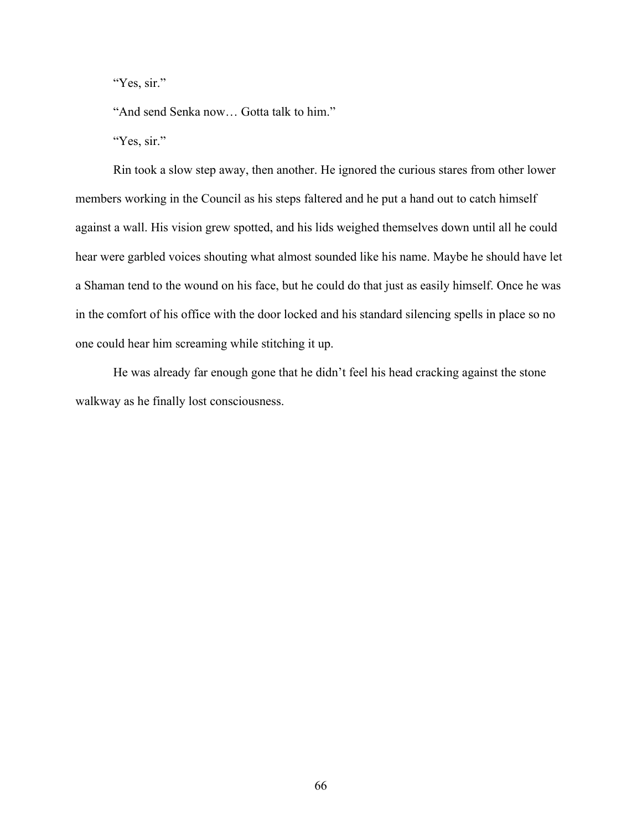"Yes, sir."

"And send Senka now… Gotta talk to him."

"Yes, sir."

Rin took a slow step away, then another. He ignored the curious stares from other lower members working in the Council as his steps faltered and he put a hand out to catch himself against a wall. His vision grew spotted, and his lids weighed themselves down until all he could hear were garbled voices shouting what almost sounded like his name. Maybe he should have let a Shaman tend to the wound on his face, but he could do that just as easily himself. Once he was in the comfort of his office with the door locked and his standard silencing spells in place so no one could hear him screaming while stitching it up.

He was already far enough gone that he didn't feel his head cracking against the stone walkway as he finally lost consciousness.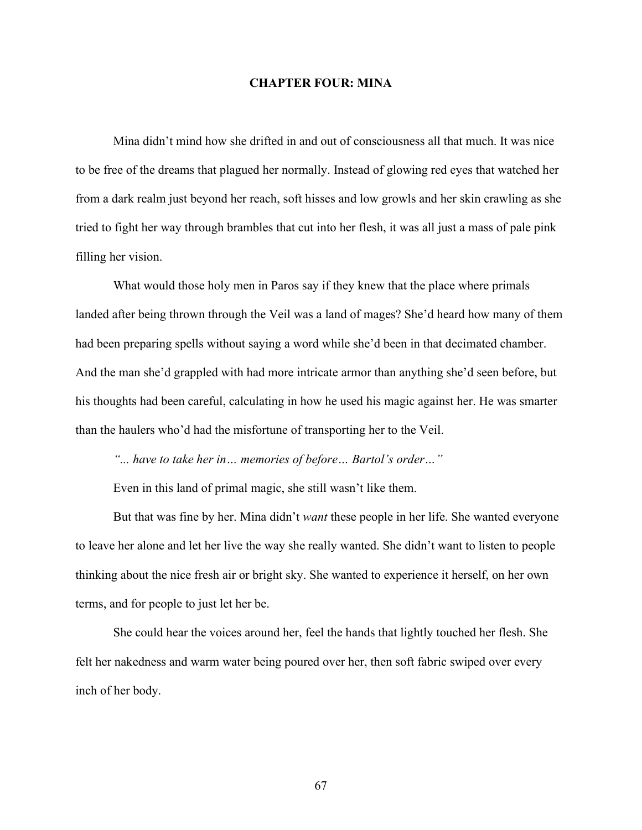## **CHAPTER FOUR: MINA**

Mina didn't mind how she drifted in and out of consciousness all that much. It was nice to be free of the dreams that plagued her normally. Instead of glowing red eyes that watched her from a dark realm just beyond her reach, soft hisses and low growls and her skin crawling as she tried to fight her way through brambles that cut into her flesh, it was all just a mass of pale pink filling her vision.

What would those holy men in Paros say if they knew that the place where primals landed after being thrown through the Veil was a land of mages? She'd heard how many of them had been preparing spells without saying a word while she'd been in that decimated chamber. And the man she'd grappled with had more intricate armor than anything she'd seen before, but his thoughts had been careful, calculating in how he used his magic against her. He was smarter than the haulers who'd had the misfortune of transporting her to the Veil.

*"... have to take her in… memories of before… Bartol's order…"*

Even in this land of primal magic, she still wasn't like them.

But that was fine by her. Mina didn't *want* these people in her life. She wanted everyone to leave her alone and let her live the way she really wanted. She didn't want to listen to people thinking about the nice fresh air or bright sky. She wanted to experience it herself, on her own terms, and for people to just let her be.

She could hear the voices around her, feel the hands that lightly touched her flesh. She felt her nakedness and warm water being poured over her, then soft fabric swiped over every inch of her body.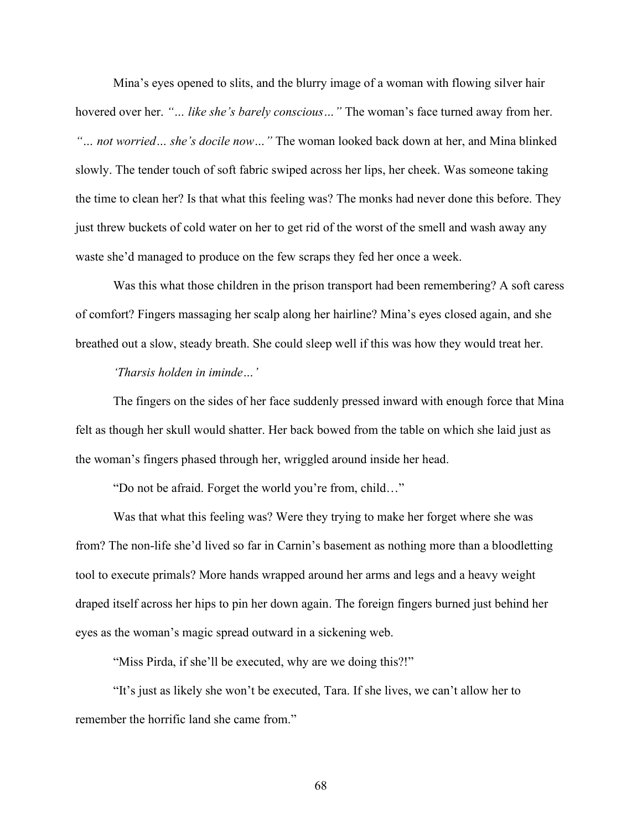Mina's eyes opened to slits, and the blurry image of a woman with flowing silver hair hovered over her. *"… like she's barely conscious…"* The woman's face turned away from her. *"… not worried… she's docile now…"* The woman looked back down at her, and Mina blinked slowly. The tender touch of soft fabric swiped across her lips, her cheek. Was someone taking the time to clean her? Is that what this feeling was? The monks had never done this before. They just threw buckets of cold water on her to get rid of the worst of the smell and wash away any waste she'd managed to produce on the few scraps they fed her once a week.

Was this what those children in the prison transport had been remembering? A soft caress of comfort? Fingers massaging her scalp along her hairline? Mina's eyes closed again, and she breathed out a slow, steady breath. She could sleep well if this was how they would treat her.

## *'Tharsis holden in iminde…'*

The fingers on the sides of her face suddenly pressed inward with enough force that Mina felt as though her skull would shatter. Her back bowed from the table on which she laid just as the woman's fingers phased through her, wriggled around inside her head.

"Do not be afraid. Forget the world you're from, child…"

Was that what this feeling was? Were they trying to make her forget where she was from? The non-life she'd lived so far in Carnin's basement as nothing more than a bloodletting tool to execute primals? More hands wrapped around her arms and legs and a heavy weight draped itself across her hips to pin her down again. The foreign fingers burned just behind her eyes as the woman's magic spread outward in a sickening web.

"Miss Pirda, if she'll be executed, why are we doing this?!"

"It's just as likely she won't be executed, Tara. If she lives, we can't allow her to remember the horrific land she came from."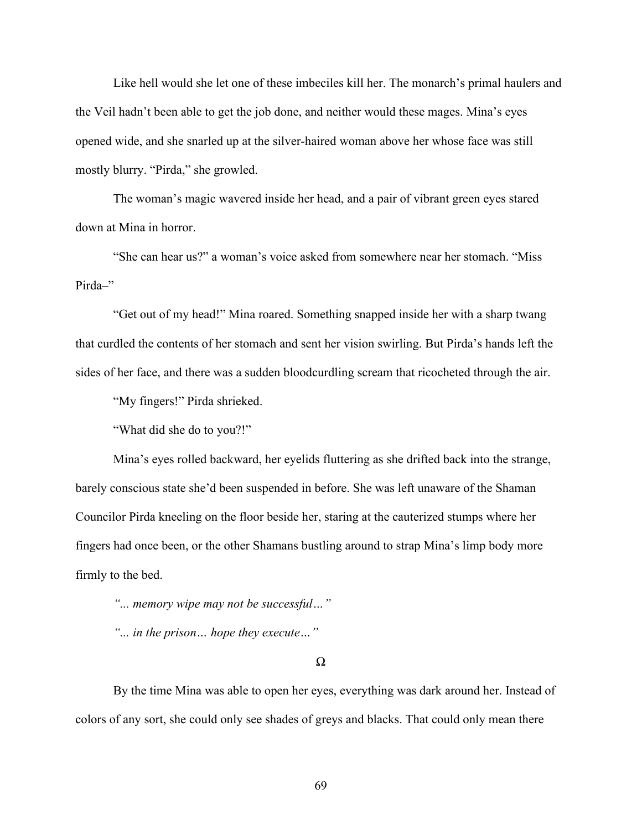Like hell would she let one of these imbeciles kill her. The monarch's primal haulers and the Veil hadn't been able to get the job done, and neither would these mages. Mina's eyes opened wide, and she snarled up at the silver-haired woman above her whose face was still mostly blurry. "Pirda," she growled.

The woman's magic wavered inside her head, and a pair of vibrant green eyes stared down at Mina in horror.

"She can hear us?" a woman's voice asked from somewhere near her stomach. "Miss Pirda-"

"Get out of my head!" Mina roared. Something snapped inside her with a sharp twang that curdled the contents of her stomach and sent her vision swirling. But Pirda's hands left the sides of her face, and there was a sudden bloodcurdling scream that ricocheted through the air.

"My fingers!" Pirda shrieked.

"What did she do to you?!"

Mina's eyes rolled backward, her eyelids fluttering as she drifted back into the strange, barely conscious state she'd been suspended in before. She was left unaware of the Shaman Councilor Pirda kneeling on the floor beside her, staring at the cauterized stumps where her fingers had once been, or the other Shamans bustling around to strap Mina's limp body more firmly to the bed.

*"... memory wipe may not be successful…"*

*"... in the prison… hope they execute…"*

Ω

By the time Mina was able to open her eyes, everything was dark around her. Instead of colors of any sort, she could only see shades of greys and blacks. That could only mean there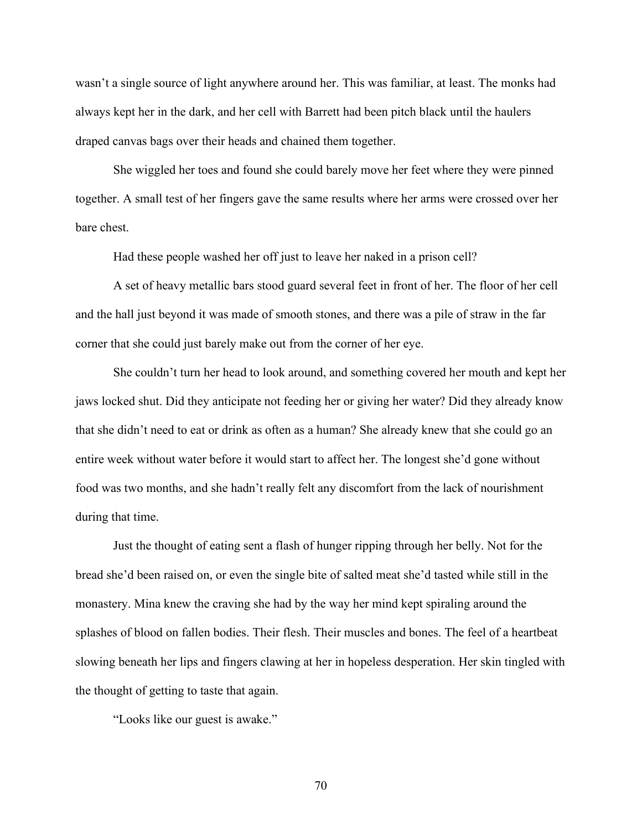wasn't a single source of light anywhere around her. This was familiar, at least. The monks had always kept her in the dark, and her cell with Barrett had been pitch black until the haulers draped canvas bags over their heads and chained them together.

She wiggled her toes and found she could barely move her feet where they were pinned together. A small test of her fingers gave the same results where her arms were crossed over her bare chest.

Had these people washed her off just to leave her naked in a prison cell?

A set of heavy metallic bars stood guard several feet in front of her. The floor of her cell and the hall just beyond it was made of smooth stones, and there was a pile of straw in the far corner that she could just barely make out from the corner of her eye.

She couldn't turn her head to look around, and something covered her mouth and kept her jaws locked shut. Did they anticipate not feeding her or giving her water? Did they already know that she didn't need to eat or drink as often as a human? She already knew that she could go an entire week without water before it would start to affect her. The longest she'd gone without food was two months, and she hadn't really felt any discomfort from the lack of nourishment during that time.

Just the thought of eating sent a flash of hunger ripping through her belly. Not for the bread she'd been raised on, or even the single bite of salted meat she'd tasted while still in the monastery. Mina knew the craving she had by the way her mind kept spiraling around the splashes of blood on fallen bodies. Their flesh. Their muscles and bones. The feel of a heartbeat slowing beneath her lips and fingers clawing at her in hopeless desperation. Her skin tingled with the thought of getting to taste that again.

"Looks like our guest is awake."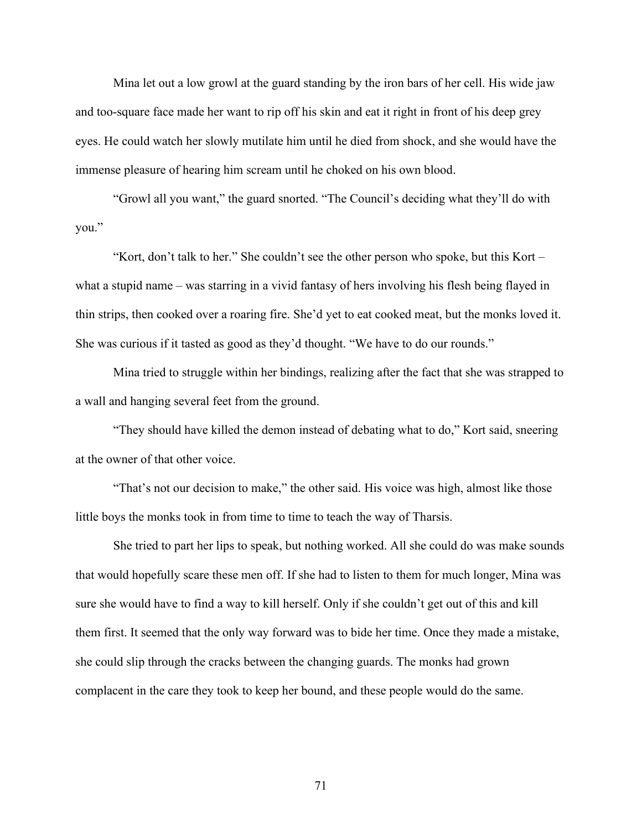Mina let out a low growl at the guard standing by the iron bars of her cell. His wide jaw and too-square face made her want to rip off his skin and eat it right in front of his deep grey eyes. He could watch her slowly mutilate him until he died from shock, and she would have the immense pleasure of hearing him scream until he choked on his own blood.

"Growl all you want," the guard snorted. "The Council's deciding what they'll do with you."

"Kort, don't talk to her." She couldn't see the other person who spoke, but this Kort – what a stupid name – was starring in a vivid fantasy of hers involving his flesh being flayed in thin strips, then cooked over a roaring fire. She'd yet to eat cooked meat, but the monks loved it. She was curious if it tasted as good as they'd thought. "We have to do our rounds."

Mina tried to struggle within her bindings, realizing after the fact that she was strapped to a wall and hanging several feet from the ground.

"They should have killed the demon instead of debating what to do," Kort said, sneering at the owner of that other voice.

"That's not our decision to make," the other said. His voice was high, almost like those little boys the monks took in from time to time to teach the way of Tharsis.

She tried to part her lips to speak, but nothing worked. All she could do was make sounds that would hopefully scare these men off. If she had to listen to them for much longer, Mina was sure she would have to find a way to kill herself. Only if she couldn't get out of this and kill them first. It seemed that the only way forward was to bide her time. Once they made a mistake, she could slip through the cracks between the changing guards. The monks had grown complacent in the care they took to keep her bound, and these people would do the same.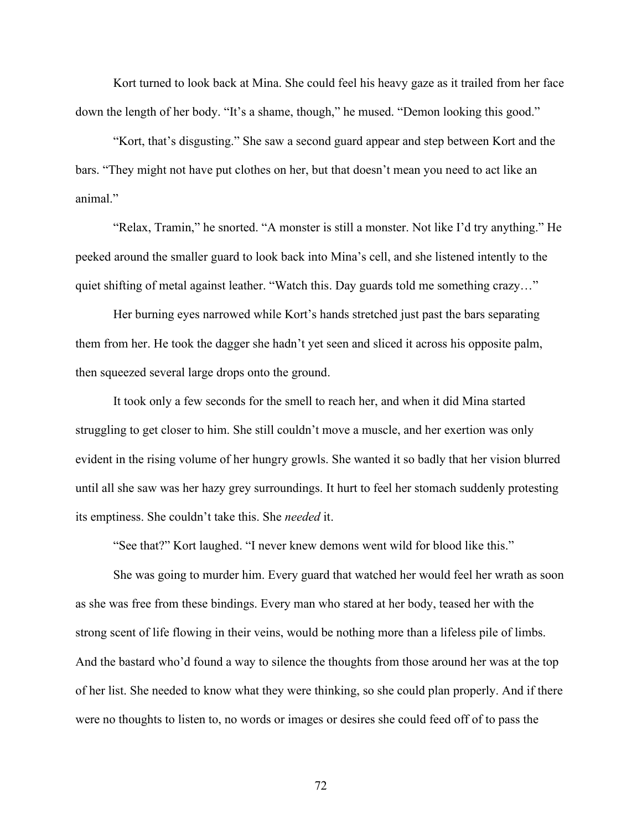Kort turned to look back at Mina. She could feel his heavy gaze as it trailed from her face down the length of her body. "It's a shame, though," he mused. "Demon looking this good."

"Kort, that's disgusting." She saw a second guard appear and step between Kort and the bars. "They might not have put clothes on her, but that doesn't mean you need to act like an animal."

"Relax, Tramin," he snorted. "A monster is still a monster. Not like I'd try anything." He peeked around the smaller guard to look back into Mina's cell, and she listened intently to the quiet shifting of metal against leather. "Watch this. Day guards told me something crazy..."

Her burning eyes narrowed while Kort's hands stretched just past the bars separating them from her. He took the dagger she hadn't yet seen and sliced it across his opposite palm, then squeezed several large drops onto the ground.

It took only a few seconds for the smell to reach her, and when it did Mina started struggling to get closer to him. She still couldn't move a muscle, and her exertion was only evident in the rising volume of her hungry growls. She wanted it so badly that her vision blurred until all she saw was her hazy grey surroundings. It hurt to feel her stomach suddenly protesting its emptiness. She couldn't take this. She *needed* it.

"See that?" Kort laughed. "I never knew demons went wild for blood like this."

She was going to murder him. Every guard that watched her would feel her wrath as soon as she was free from these bindings. Every man who stared at her body, teased her with the strong scent of life flowing in their veins, would be nothing more than a lifeless pile of limbs. And the bastard who'd found a way to silence the thoughts from those around her was at the top of her list. She needed to know what they were thinking, so she could plan properly. And if there were no thoughts to listen to, no words or images or desires she could feed off of to pass the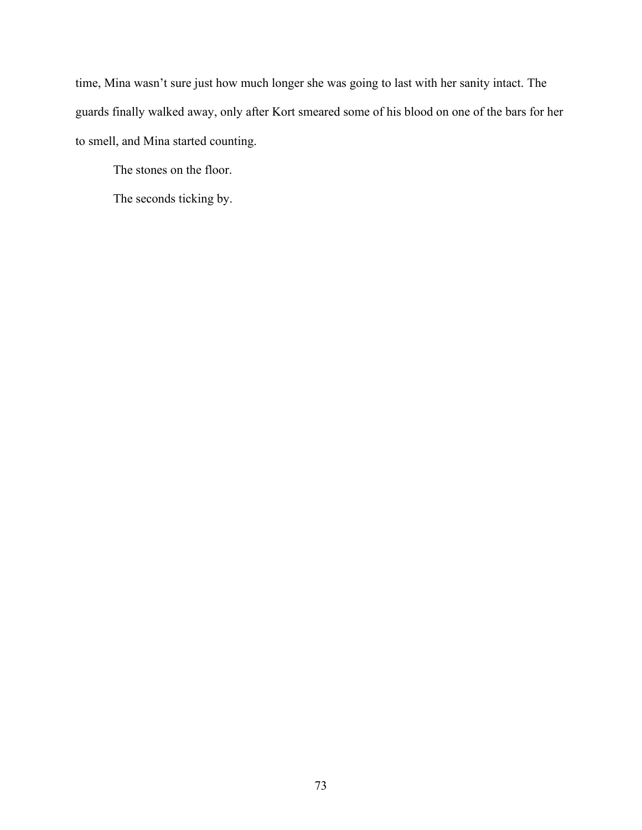time, Mina wasn't sure just how much longer she was going to last with her sanity intact. The guards finally walked away, only after Kort smeared some of his blood on one of the bars for her to smell, and Mina started counting.

The stones on the floor.

The seconds ticking by.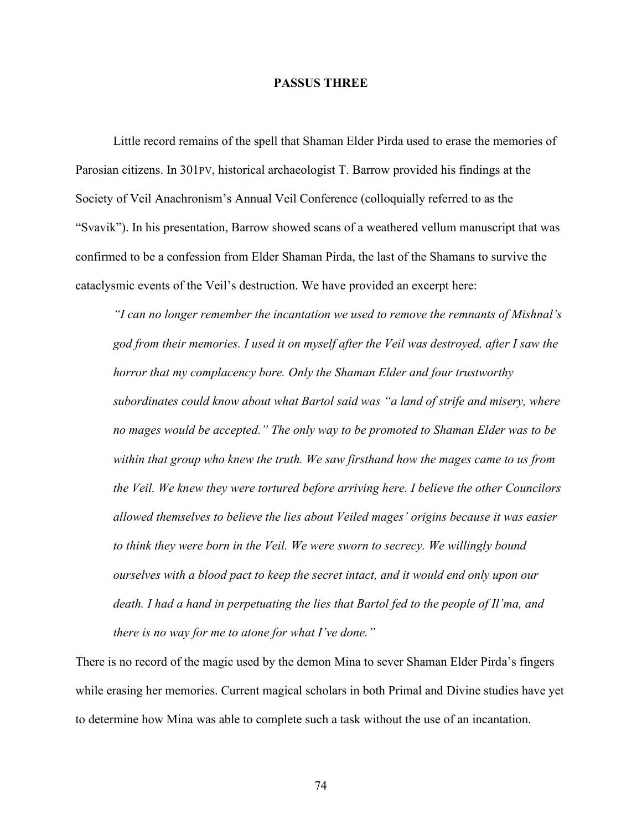## **PASSUS THREE**

Little record remains of the spell that Shaman Elder Pirda used to erase the memories of Parosian citizens. In 301PV, historical archaeologist T. Barrow provided his findings at the Society of Veil Anachronism's Annual Veil Conference (colloquially referred to as the "Svavik"). In his presentation, Barrow showed scans of a weathered vellum manuscript that was confirmed to be a confession from Elder Shaman Pirda, the last of the Shamans to survive the cataclysmic events of the Veil's destruction. We have provided an excerpt here:

*"I can no longer remember the incantation we used to remove the remnants of Mishnal's god from their memories. I used it on myself after the Veil was destroyed, after I saw the horror that my complacency bore. Only the Shaman Elder and four trustworthy subordinates could know about what Bartol said was "a land of strife and misery, where no mages would be accepted." The only way to be promoted to Shaman Elder was to be within that group who knew the truth. We saw firsthand how the mages came to us from the Veil. We knew they were tortured before arriving here. I believe the other Councilors allowed themselves to believe the lies about Veiled mages' origins because it was easier to think they were born in the Veil. We were sworn to secrecy. We willingly bound ourselves with a blood pact to keep the secret intact, and it would end only upon our death. I had a hand in perpetuating the lies that Bartol fed to the people of Il'ma, and there is no way for me to atone for what I've done."*

There is no record of the magic used by the demon Mina to sever Shaman Elder Pirda's fingers while erasing her memories. Current magical scholars in both Primal and Divine studies have yet to determine how Mina was able to complete such a task without the use of an incantation.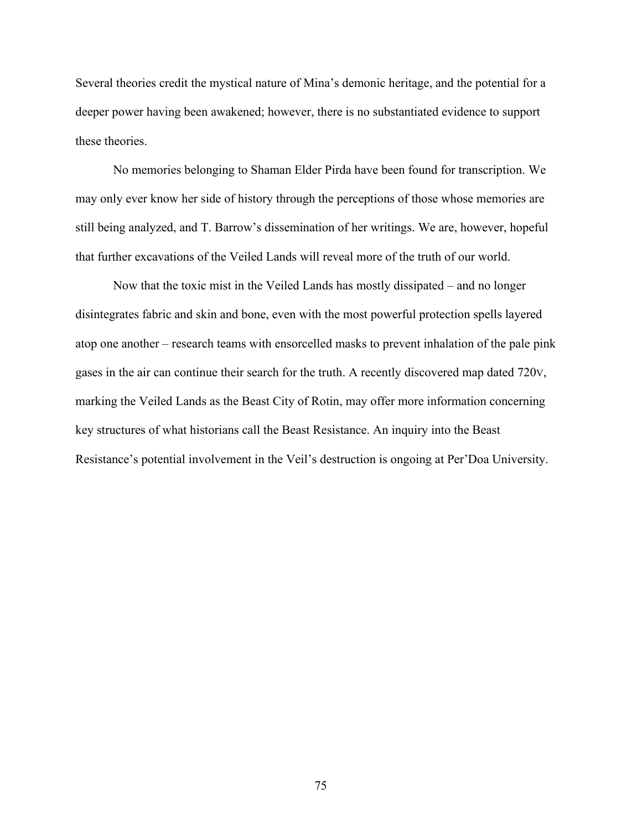Several theories credit the mystical nature of Mina's demonic heritage, and the potential for a deeper power having been awakened; however, there is no substantiated evidence to support these theories.

No memories belonging to Shaman Elder Pirda have been found for transcription. We may only ever know her side of history through the perceptions of those whose memories are still being analyzed, and T. Barrow's dissemination of her writings. We are, however, hopeful that further excavations of the Veiled Lands will reveal more of the truth of our world.

Now that the toxic mist in the Veiled Lands has mostly dissipated – and no longer disintegrates fabric and skin and bone, even with the most powerful protection spells layered atop one another – research teams with ensorcelled masks to prevent inhalation of the pale pink gases in the air can continue their search for the truth. A recently discovered map dated 720V, marking the Veiled Lands as the Beast City of Rotin, may offer more information concerning key structures of what historians call the Beast Resistance. An inquiry into the Beast Resistance's potential involvement in the Veil's destruction is ongoing at Per'Doa University.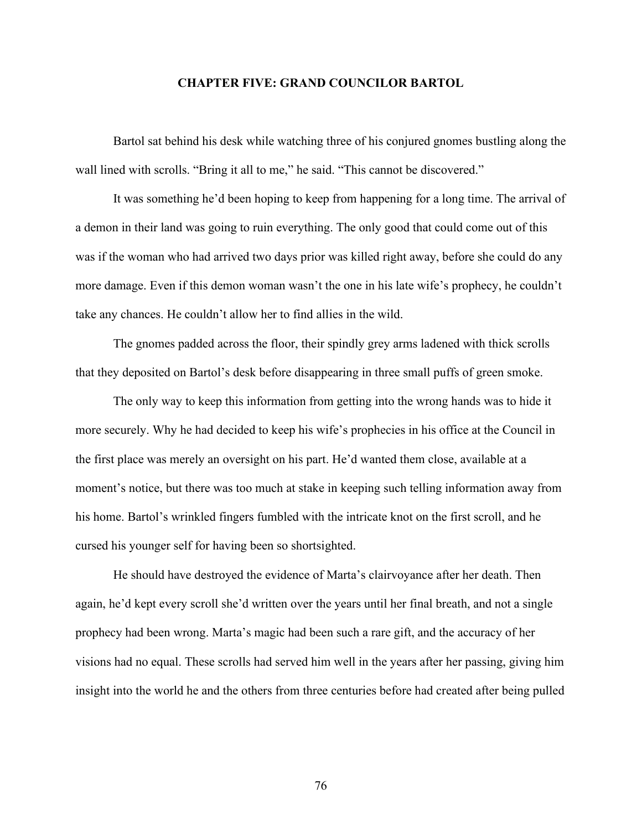## **CHAPTER FIVE: GRAND COUNCILOR BARTOL**

Bartol sat behind his desk while watching three of his conjured gnomes bustling along the wall lined with scrolls. "Bring it all to me," he said. "This cannot be discovered."

It was something he'd been hoping to keep from happening for a long time. The arrival of a demon in their land was going to ruin everything. The only good that could come out of this was if the woman who had arrived two days prior was killed right away, before she could do any more damage. Even if this demon woman wasn't the one in his late wife's prophecy, he couldn't take any chances. He couldn't allow her to find allies in the wild.

The gnomes padded across the floor, their spindly grey arms ladened with thick scrolls that they deposited on Bartol's desk before disappearing in three small puffs of green smoke.

The only way to keep this information from getting into the wrong hands was to hide it more securely. Why he had decided to keep his wife's prophecies in his office at the Council in the first place was merely an oversight on his part. He'd wanted them close, available at a moment's notice, but there was too much at stake in keeping such telling information away from his home. Bartol's wrinkled fingers fumbled with the intricate knot on the first scroll, and he cursed his younger self for having been so shortsighted.

He should have destroyed the evidence of Marta's clairvoyance after her death. Then again, he'd kept every scroll she'd written over the years until her final breath, and not a single prophecy had been wrong. Marta's magic had been such a rare gift, and the accuracy of her visions had no equal. These scrolls had served him well in the years after her passing, giving him insight into the world he and the others from three centuries before had created after being pulled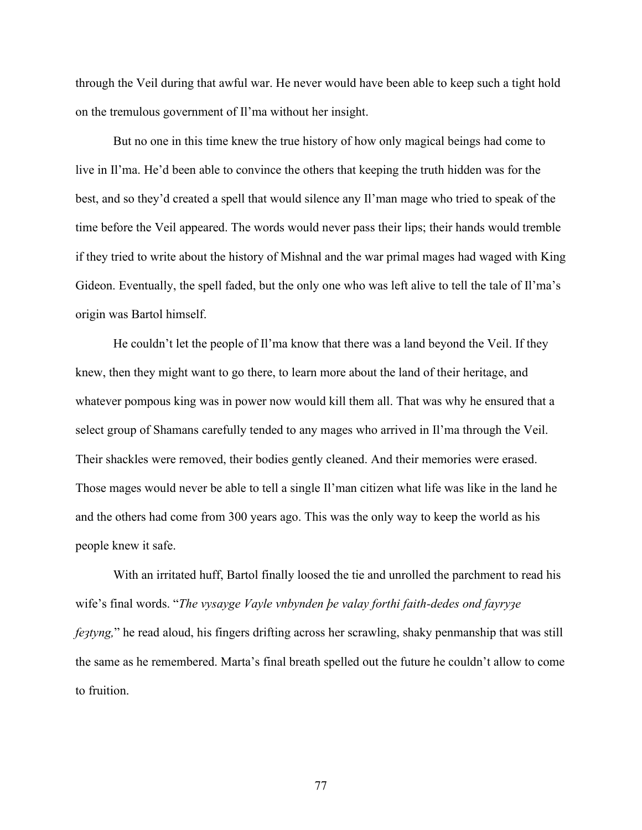through the Veil during that awful war. He never would have been able to keep such a tight hold on the tremulous government of Il'ma without her insight.

But no one in this time knew the true history of how only magical beings had come to live in Il'ma. He'd been able to convince the others that keeping the truth hidden was for the best, and so they'd created a spell that would silence any Il'man mage who tried to speak of the time before the Veil appeared. The words would never pass their lips; their hands would tremble if they tried to write about the history of Mishnal and the war primal mages had waged with King Gideon. Eventually, the spell faded, but the only one who was left alive to tell the tale of Il'ma's origin was Bartol himself.

He couldn't let the people of Il'ma know that there was a land beyond the Veil. If they knew, then they might want to go there, to learn more about the land of their heritage, and whatever pompous king was in power now would kill them all. That was why he ensured that a select group of Shamans carefully tended to any mages who arrived in Il'ma through the Veil. Their shackles were removed, their bodies gently cleaned. And their memories were erased. Those mages would never be able to tell a single Il'man citizen what life was like in the land he and the others had come from 300 years ago. This was the only way to keep the world as his people knew it safe.

With an irritated huff, Bartol finally loosed the tie and unrolled the parchment to read his wife's final words. "*The vysayge Vayle vnbynden þe valay forthi faith-dedes ond fayryȝe fe<sub>3tyng</sub>*," he read aloud, his fingers drifting across her scrawling, shaky penmanship that was still the same as he remembered. Marta's final breath spelled out the future he couldn't allow to come to fruition.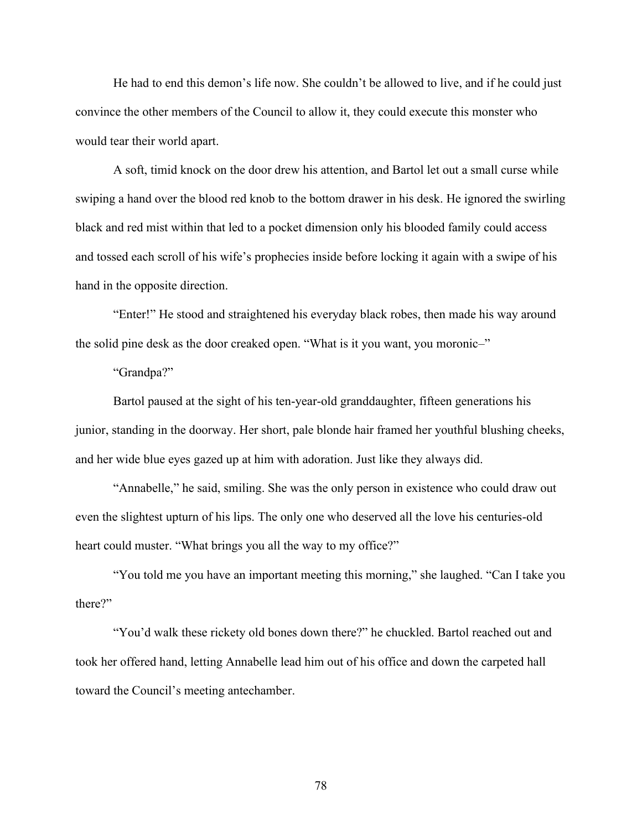He had to end this demon's life now. She couldn't be allowed to live, and if he could just convince the other members of the Council to allow it, they could execute this monster who would tear their world apart.

A soft, timid knock on the door drew his attention, and Bartol let out a small curse while swiping a hand over the blood red knob to the bottom drawer in his desk. He ignored the swirling black and red mist within that led to a pocket dimension only his blooded family could access and tossed each scroll of his wife's prophecies inside before locking it again with a swipe of his hand in the opposite direction.

"Enter!" He stood and straightened his everyday black robes, then made his way around the solid pine desk as the door creaked open. "What is it you want, you moronic–"

"Grandpa?"

Bartol paused at the sight of his ten-year-old granddaughter, fifteen generations his junior, standing in the doorway. Her short, pale blonde hair framed her youthful blushing cheeks, and her wide blue eyes gazed up at him with adoration. Just like they always did.

"Annabelle," he said, smiling. She was the only person in existence who could draw out even the slightest upturn of his lips. The only one who deserved all the love his centuries-old heart could muster. "What brings you all the way to my office?"

"You told me you have an important meeting this morning," she laughed. "Can I take you there?"

"You'd walk these rickety old bones down there?" he chuckled. Bartol reached out and took her offered hand, letting Annabelle lead him out of his office and down the carpeted hall toward the Council's meeting antechamber.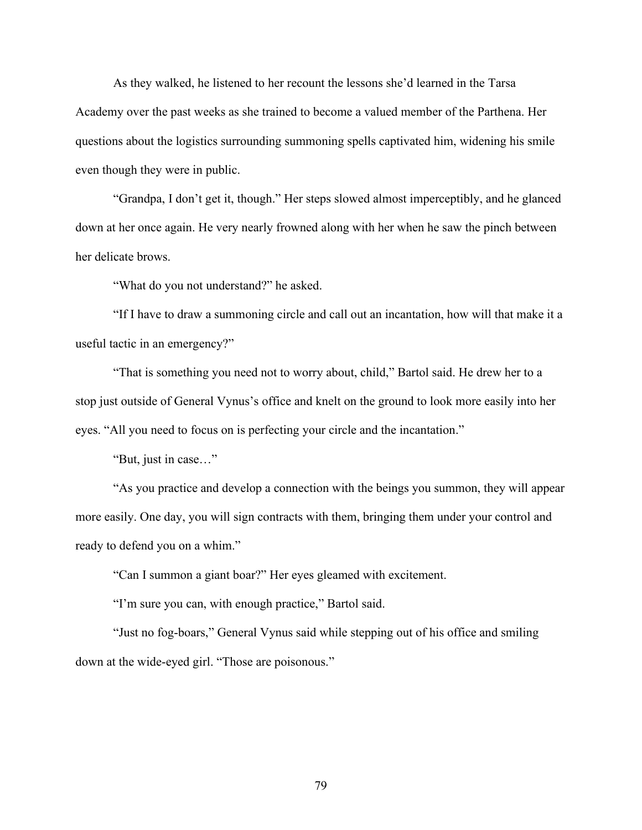As they walked, he listened to her recount the lessons she'd learned in the Tarsa Academy over the past weeks as she trained to become a valued member of the Parthena. Her questions about the logistics surrounding summoning spells captivated him, widening his smile even though they were in public.

"Grandpa, I don't get it, though." Her steps slowed almost imperceptibly, and he glanced down at her once again. He very nearly frowned along with her when he saw the pinch between her delicate brows.

"What do you not understand?" he asked.

"If I have to draw a summoning circle and call out an incantation, how will that make it a useful tactic in an emergency?"

"That is something you need not to worry about, child," Bartol said. He drew her to a stop just outside of General Vynus's office and knelt on the ground to look more easily into her eyes. "All you need to focus on is perfecting your circle and the incantation."

"But, just in case…"

"As you practice and develop a connection with the beings you summon, they will appear more easily. One day, you will sign contracts with them, bringing them under your control and ready to defend you on a whim."

"Can I summon a giant boar?" Her eyes gleamed with excitement.

"I'm sure you can, with enough practice," Bartol said.

"Just no fog-boars," General Vynus said while stepping out of his office and smiling down at the wide-eyed girl. "Those are poisonous."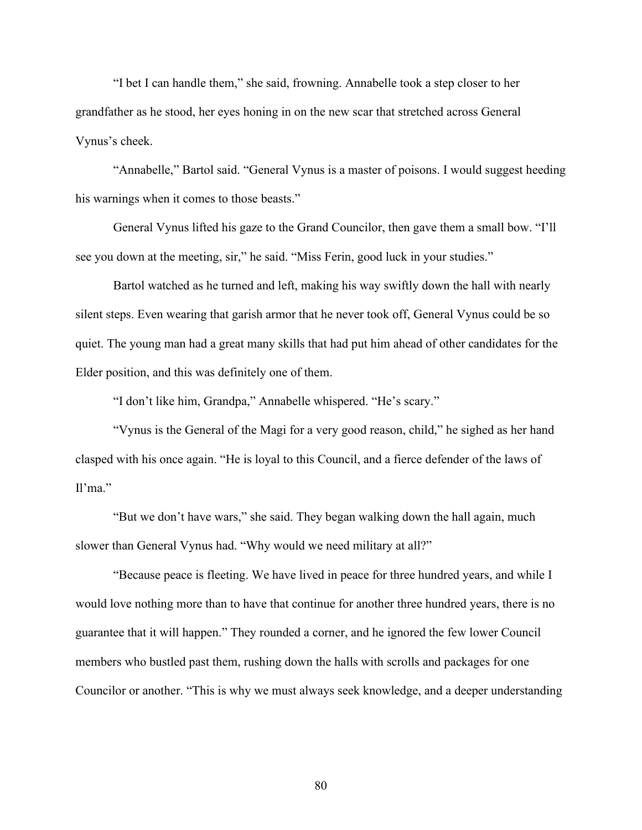"I bet I can handle them," she said, frowning. Annabelle took a step closer to her grandfather as he stood, her eyes honing in on the new scar that stretched across General Vynus's cheek.

"Annabelle," Bartol said. "General Vynus is a master of poisons. I would suggest heeding his warnings when it comes to those beasts."

General Vynus lifted his gaze to the Grand Councilor, then gave them a small bow. "I'll see you down at the meeting, sir," he said. "Miss Ferin, good luck in your studies."

Bartol watched as he turned and left, making his way swiftly down the hall with nearly silent steps. Even wearing that garish armor that he never took off, General Vynus could be so quiet. The young man had a great many skills that had put him ahead of other candidates for the Elder position, and this was definitely one of them.

"I don't like him, Grandpa," Annabelle whispered. "He's scary."

"Vynus is the General of the Magi for a very good reason, child," he sighed as her hand clasped with his once again. "He is loyal to this Council, and a fierce defender of the laws of  $Il'ma."$ 

"But we don't have wars," she said. They began walking down the hall again, much slower than General Vynus had. "Why would we need military at all?"

"Because peace is fleeting. We have lived in peace for three hundred years, and while I would love nothing more than to have that continue for another three hundred years, there is no guarantee that it will happen." They rounded a corner, and he ignored the few lower Council members who bustled past them, rushing down the halls with scrolls and packages for one Councilor or another. "This is why we must always seek knowledge, and a deeper understanding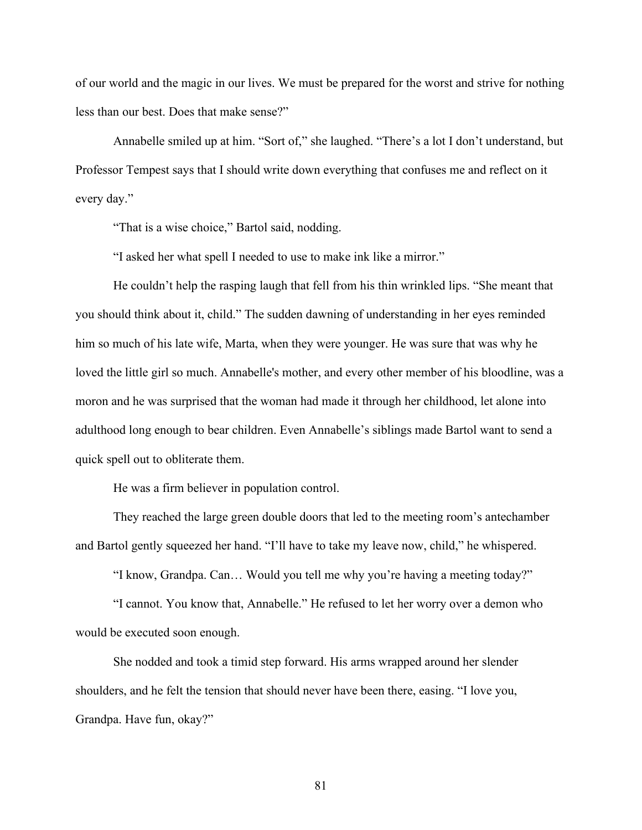of our world and the magic in our lives. We must be prepared for the worst and strive for nothing less than our best. Does that make sense?"

Annabelle smiled up at him. "Sort of," she laughed. "There's a lot I don't understand, but Professor Tempest says that I should write down everything that confuses me and reflect on it every day."

"That is a wise choice," Bartol said, nodding.

"I asked her what spell I needed to use to make ink like a mirror."

He couldn't help the rasping laugh that fell from his thin wrinkled lips. "She meant that you should think about it, child." The sudden dawning of understanding in her eyes reminded him so much of his late wife, Marta, when they were younger. He was sure that was why he loved the little girl so much. Annabelle's mother, and every other member of his bloodline, was a moron and he was surprised that the woman had made it through her childhood, let alone into adulthood long enough to bear children. Even Annabelle's siblings made Bartol want to send a quick spell out to obliterate them.

He was a firm believer in population control.

They reached the large green double doors that led to the meeting room's antechamber and Bartol gently squeezed her hand. "I'll have to take my leave now, child," he whispered.

"I know, Grandpa. Can… Would you tell me why you're having a meeting today?"

"I cannot. You know that, Annabelle." He refused to let her worry over a demon who would be executed soon enough.

She nodded and took a timid step forward. His arms wrapped around her slender shoulders, and he felt the tension that should never have been there, easing. "I love you, Grandpa. Have fun, okay?"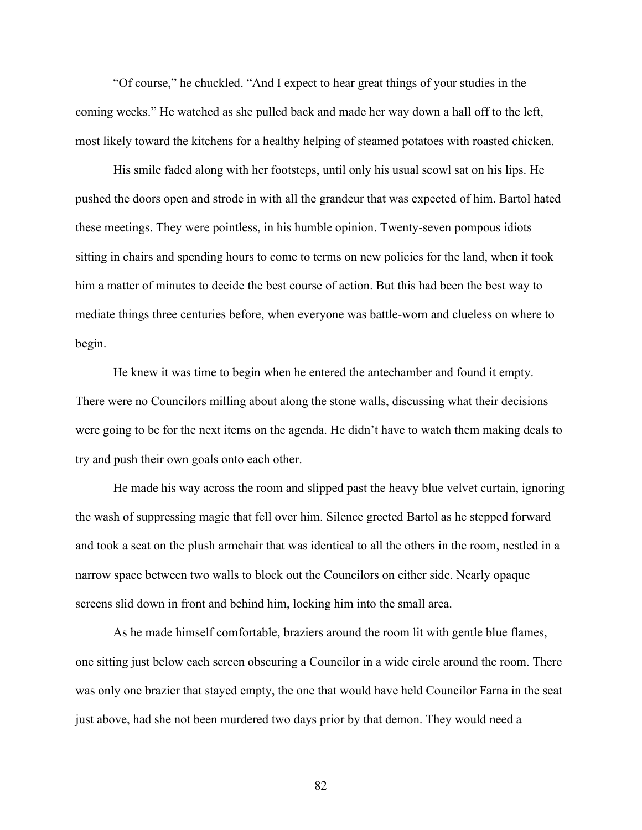"Of course," he chuckled. "And I expect to hear great things of your studies in the coming weeks." He watched as she pulled back and made her way down a hall off to the left, most likely toward the kitchens for a healthy helping of steamed potatoes with roasted chicken.

His smile faded along with her footsteps, until only his usual scowl sat on his lips. He pushed the doors open and strode in with all the grandeur that was expected of him. Bartol hated these meetings. They were pointless, in his humble opinion. Twenty-seven pompous idiots sitting in chairs and spending hours to come to terms on new policies for the land, when it took him a matter of minutes to decide the best course of action. But this had been the best way to mediate things three centuries before, when everyone was battle-worn and clueless on where to begin.

He knew it was time to begin when he entered the antechamber and found it empty. There were no Councilors milling about along the stone walls, discussing what their decisions were going to be for the next items on the agenda. He didn't have to watch them making deals to try and push their own goals onto each other.

He made his way across the room and slipped past the heavy blue velvet curtain, ignoring the wash of suppressing magic that fell over him. Silence greeted Bartol as he stepped forward and took a seat on the plush armchair that was identical to all the others in the room, nestled in a narrow space between two walls to block out the Councilors on either side. Nearly opaque screens slid down in front and behind him, locking him into the small area.

As he made himself comfortable, braziers around the room lit with gentle blue flames, one sitting just below each screen obscuring a Councilor in a wide circle around the room. There was only one brazier that stayed empty, the one that would have held Councilor Farna in the seat just above, had she not been murdered two days prior by that demon. They would need a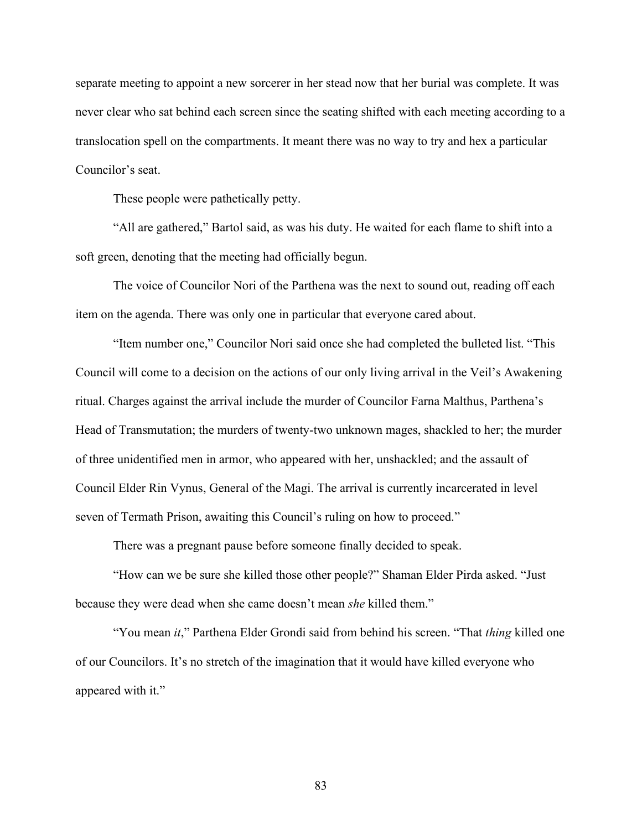separate meeting to appoint a new sorcerer in her stead now that her burial was complete. It was never clear who sat behind each screen since the seating shifted with each meeting according to a translocation spell on the compartments. It meant there was no way to try and hex a particular Councilor's seat.

These people were pathetically petty.

"All are gathered," Bartol said, as was his duty. He waited for each flame to shift into a soft green, denoting that the meeting had officially begun.

The voice of Councilor Nori of the Parthena was the next to sound out, reading off each item on the agenda. There was only one in particular that everyone cared about.

"Item number one," Councilor Nori said once she had completed the bulleted list. "This Council will come to a decision on the actions of our only living arrival in the Veil's Awakening ritual. Charges against the arrival include the murder of Councilor Farna Malthus, Parthena's Head of Transmutation; the murders of twenty-two unknown mages, shackled to her; the murder of three unidentified men in armor, who appeared with her, unshackled; and the assault of Council Elder Rin Vynus, General of the Magi. The arrival is currently incarcerated in level seven of Termath Prison, awaiting this Council's ruling on how to proceed."

There was a pregnant pause before someone finally decided to speak.

"How can we be sure she killed those other people?" Shaman Elder Pirda asked. "Just because they were dead when she came doesn't mean *she* killed them."

"You mean *it*," Parthena Elder Grondi said from behind his screen. "That *thing* killed one of our Councilors. It's no stretch of the imagination that it would have killed everyone who appeared with it."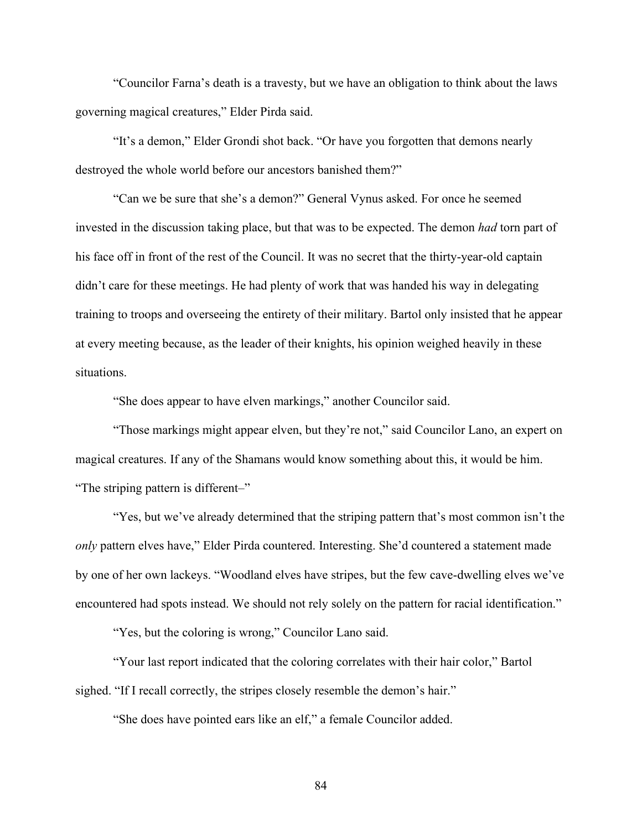"Councilor Farna's death is a travesty, but we have an obligation to think about the laws governing magical creatures," Elder Pirda said.

"It's a demon," Elder Grondi shot back. "Or have you forgotten that demons nearly destroyed the whole world before our ancestors banished them?"

"Can we be sure that she's a demon?" General Vynus asked. For once he seemed invested in the discussion taking place, but that was to be expected. The demon *had* torn part of his face off in front of the rest of the Council. It was no secret that the thirty-year-old captain didn't care for these meetings. He had plenty of work that was handed his way in delegating training to troops and overseeing the entirety of their military. Bartol only insisted that he appear at every meeting because, as the leader of their knights, his opinion weighed heavily in these situations.

"She does appear to have elven markings," another Councilor said.

"Those markings might appear elven, but they're not," said Councilor Lano, an expert on magical creatures. If any of the Shamans would know something about this, it would be him. "The striping pattern is different–"

"Yes, but we've already determined that the striping pattern that's most common isn't the *only* pattern elves have," Elder Pirda countered. Interesting. She'd countered a statement made by one of her own lackeys. "Woodland elves have stripes, but the few cave-dwelling elves we've encountered had spots instead. We should not rely solely on the pattern for racial identification."

"Yes, but the coloring is wrong," Councilor Lano said.

"Your last report indicated that the coloring correlates with their hair color," Bartol sighed. "If I recall correctly, the stripes closely resemble the demon's hair."

"She does have pointed ears like an elf," a female Councilor added.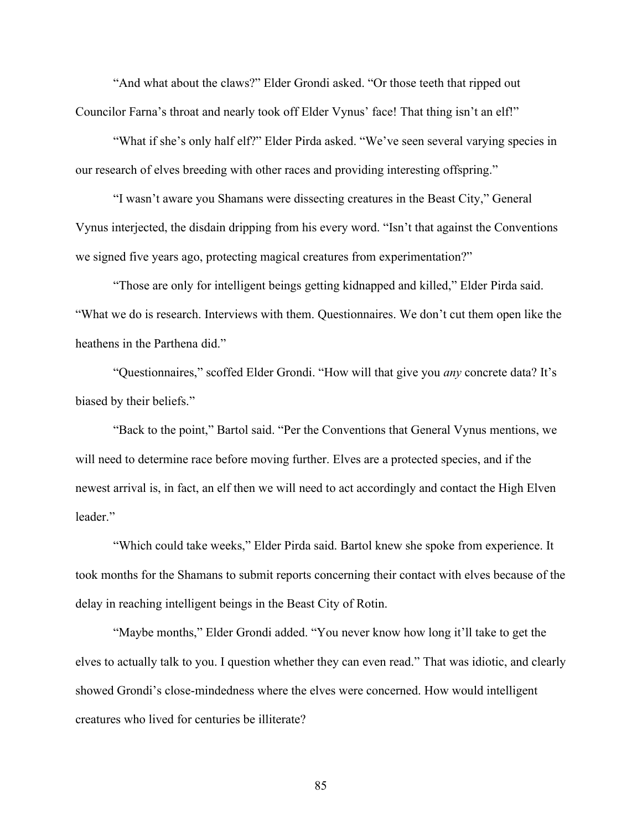"And what about the claws?" Elder Grondi asked. "Or those teeth that ripped out Councilor Farna's throat and nearly took off Elder Vynus' face! That thing isn't an elf!"

"What if she's only half elf?" Elder Pirda asked. "We've seen several varying species in our research of elves breeding with other races and providing interesting offspring."

"I wasn't aware you Shamans were dissecting creatures in the Beast City," General Vynus interjected, the disdain dripping from his every word. "Isn't that against the Conventions we signed five years ago, protecting magical creatures from experimentation?"

"Those are only for intelligent beings getting kidnapped and killed," Elder Pirda said. "What we do is research. Interviews with them. Questionnaires. We don't cut them open like the heathens in the Parthena did."

"Questionnaires," scoffed Elder Grondi. "How will that give you *any* concrete data? It's biased by their beliefs."

"Back to the point," Bartol said. "Per the Conventions that General Vynus mentions, we will need to determine race before moving further. Elves are a protected species, and if the newest arrival is, in fact, an elf then we will need to act accordingly and contact the High Elven leader."

"Which could take weeks," Elder Pirda said. Bartol knew she spoke from experience. It took months for the Shamans to submit reports concerning their contact with elves because of the delay in reaching intelligent beings in the Beast City of Rotin.

"Maybe months," Elder Grondi added. "You never know how long it'll take to get the elves to actually talk to you. I question whether they can even read." That was idiotic, and clearly showed Grondi's close-mindedness where the elves were concerned. How would intelligent creatures who lived for centuries be illiterate?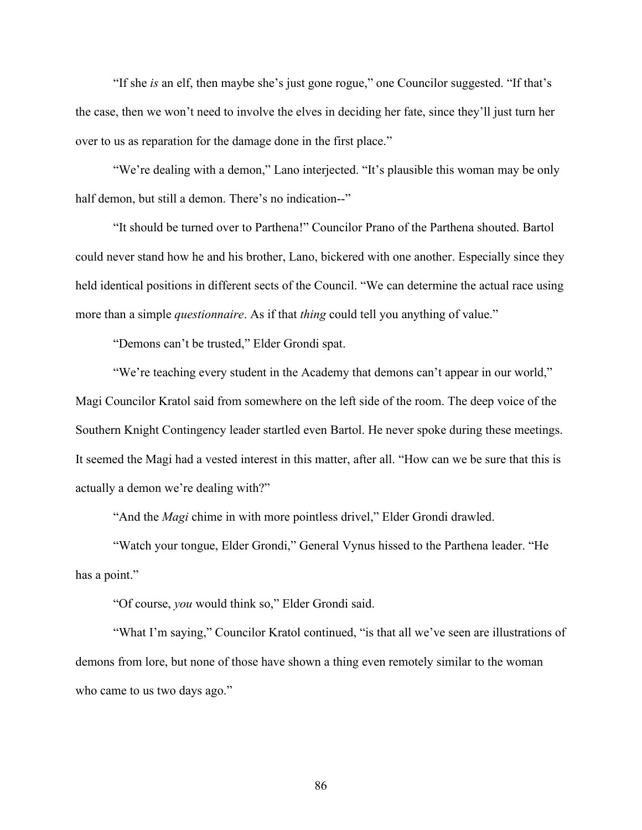"If she *is* an elf, then maybe she's just gone rogue," one Councilor suggested. "If that's the case, then we won't need to involve the elves in deciding her fate, since they'll just turn her over to us as reparation for the damage done in the first place."

"We're dealing with a demon," Lano interjected. "It's plausible this woman may be only half demon, but still a demon. There's no indication--"

"It should be turned over to Parthena!" Councilor Prano of the Parthena shouted. Bartol could never stand how he and his brother, Lano, bickered with one another. Especially since they held identical positions in different sects of the Council. "We can determine the actual race using more than a simple *questionnaire*. As if that *thing* could tell you anything of value."

"Demons can't be trusted," Elder Grondi spat.

"We're teaching every student in the Academy that demons can't appear in our world," Magi Councilor Kratol said from somewhere on the left side of the room. The deep voice of the Southern Knight Contingency leader startled even Bartol. He never spoke during these meetings. It seemed the Magi had a vested interest in this matter, after all. "How can we be sure that this is actually a demon we're dealing with?"

"And the *Magi* chime in with more pointless drivel," Elder Grondi drawled.

"Watch your tongue, Elder Grondi," General Vynus hissed to the Parthena leader. "He has a point."

"Of course, *you* would think so," Elder Grondi said.

"What I'm saying," Councilor Kratol continued, "is that all we've seen are illustrations of demons from lore, but none of those have shown a thing even remotely similar to the woman who came to us two days ago."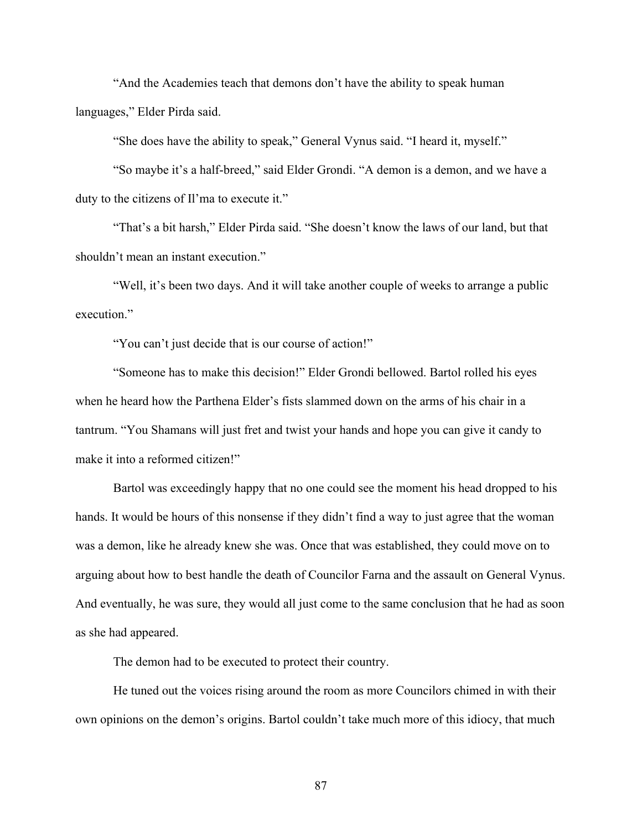"And the Academies teach that demons don't have the ability to speak human languages," Elder Pirda said.

"She does have the ability to speak," General Vynus said. "I heard it, myself."

"So maybe it's a half-breed," said Elder Grondi. "A demon is a demon, and we have a duty to the citizens of Il'ma to execute it."

"That's a bit harsh," Elder Pirda said. "She doesn't know the laws of our land, but that shouldn't mean an instant execution."

"Well, it's been two days. And it will take another couple of weeks to arrange a public execution."

"You can't just decide that is our course of action!"

"Someone has to make this decision!" Elder Grondi bellowed. Bartol rolled his eyes when he heard how the Parthena Elder's fists slammed down on the arms of his chair in a tantrum. "You Shamans will just fret and twist your hands and hope you can give it candy to make it into a reformed citizen!"

Bartol was exceedingly happy that no one could see the moment his head dropped to his hands. It would be hours of this nonsense if they didn't find a way to just agree that the woman was a demon, like he already knew she was. Once that was established, they could move on to arguing about how to best handle the death of Councilor Farna and the assault on General Vynus. And eventually, he was sure, they would all just come to the same conclusion that he had as soon as she had appeared.

The demon had to be executed to protect their country.

He tuned out the voices rising around the room as more Councilors chimed in with their own opinions on the demon's origins. Bartol couldn't take much more of this idiocy, that much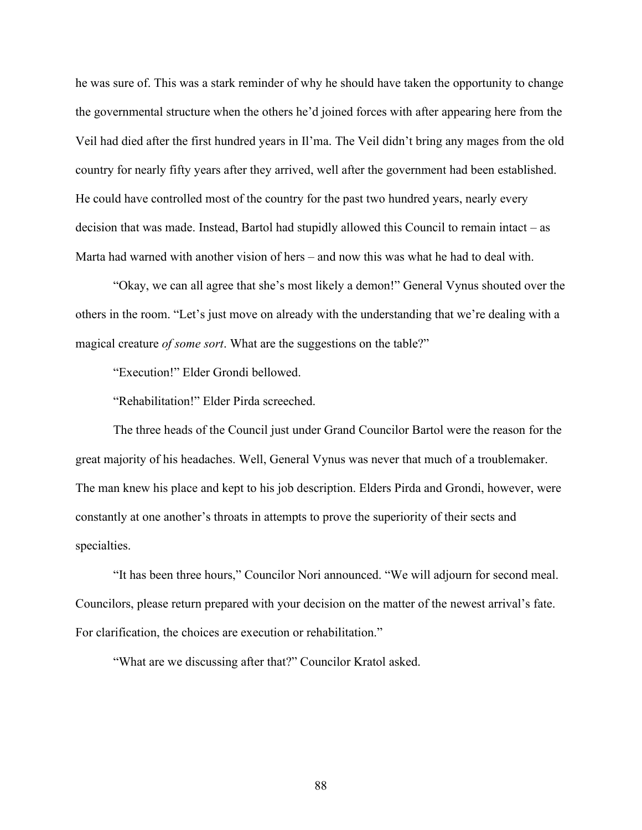he was sure of. This was a stark reminder of why he should have taken the opportunity to change the governmental structure when the others he'd joined forces with after appearing here from the Veil had died after the first hundred years in Il'ma. The Veil didn't bring any mages from the old country for nearly fifty years after they arrived, well after the government had been established. He could have controlled most of the country for the past two hundred years, nearly every decision that was made. Instead, Bartol had stupidly allowed this Council to remain intact – as Marta had warned with another vision of hers – and now this was what he had to deal with.

"Okay, we can all agree that she's most likely a demon!" General Vynus shouted over the others in the room. "Let's just move on already with the understanding that we're dealing with a magical creature *of some sort*. What are the suggestions on the table?"

"Execution!" Elder Grondi bellowed.

"Rehabilitation!" Elder Pirda screeched.

The three heads of the Council just under Grand Councilor Bartol were the reason for the great majority of his headaches. Well, General Vynus was never that much of a troublemaker. The man knew his place and kept to his job description. Elders Pirda and Grondi, however, were constantly at one another's throats in attempts to prove the superiority of their sects and specialties.

"It has been three hours," Councilor Nori announced. "We will adjourn for second meal. Councilors, please return prepared with your decision on the matter of the newest arrival's fate. For clarification, the choices are execution or rehabilitation."

"What are we discussing after that?" Councilor Kratol asked.